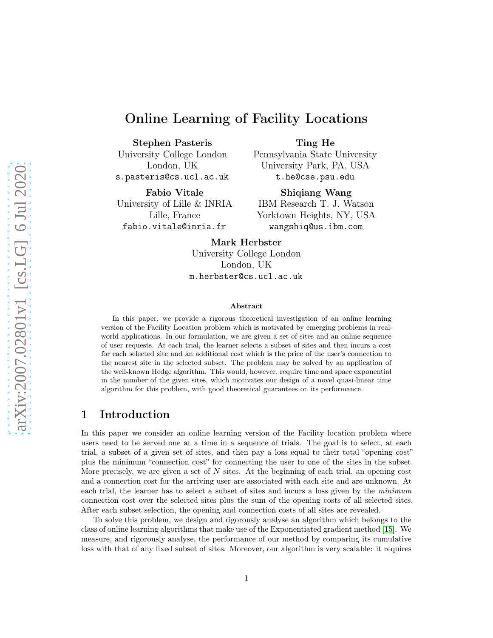# Online Learning of Facility Locations

Stephen Pasteris

Ting He

University College London London, UK s.pasteris@cs.ucl.ac.uk

Fabio Vitale University of Lille & INRIA Lille, France fabio.vitale@inria.fr

Pennsylvania State University University Park, PA, USA t.he@cse.psu.edu

Shiqiang Wang IBM Research T. J. Watson Yorktown Heights, NY, USA wangshiq@us.ibm.com

Mark Herbster

University College London London, UK m.herbster@cs.ucl.ac.uk

#### Abstract

In this paper, we provide a rigorous theoretical investigation of an online learning version of the Facility Location problem which is motivated by emerging problems in realworld applications. In our formulation, we are given a set of sites and an online sequence of user requests. At each trial, the learner selects a subset of sites and then incurs a cost for each selected site and an additional cost which is the price of the user's connection to the nearest site in the selected subset. The problem may be solved by an application of the well-known Hedge algorithm. This would, however, require time and space exponential in the number of the given sites, which motivates our design of a novel quasi-linear time algorithm for this problem, with good theoretical guarantees on its performance.

# 1 Introduction

In this paper we consider an online learning version of the Facility location problem where users need to be served one at a time in a sequence of trials. The goal is to select, at each trial, a subset of a given set of sites, and then pay a loss equal to their total "opening cost" plus the minimum "connection cost" for connecting the user to one of the sites in the subset. More precisely, we are given a set of  $N$  sites. At the beginning of each trial, an opening cost and a connection cost for the arriving user are associated with each site and are unknown. At each trial, the learner has to select a subset of sites and incurs a loss given by the *minimum* connection cost over the selected sites plus the sum of the opening costs of all selected sites. After each subset selection, the opening and connection costs of all sites are revealed.

To solve this problem, we design and rigorously analyse an algorithm which belongs to the class of online learning algorithms that make use of the Exponentiated gradient method [\[15\]](#page-10-0). We measure, and rigorously analyse, the performance of our method by comparing its cumulative loss with that of any fixed subset of sites. Moreover, our algorithm is very scalable: it requires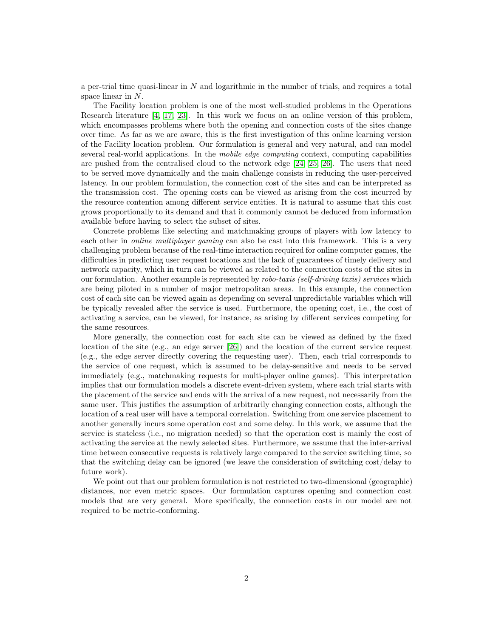a per-trial time quasi-linear in N and logarithmic in the number of trials, and requires a total space linear in N.

The Facility location problem is one of the most well-studied problems in the Operations Research literature [\[4,](#page-10-1) [17,](#page-10-2) [23\]](#page-11-0). In this work we focus on an online version of this problem, which encompasses problems where both the opening and connection costs of the sites change over time. As far as we are aware, this is the first investigation of this online learning version of the Facility location problem. Our formulation is general and very natural, and can model several real-world applications. In the *mobile edge computing* context, computing capabilities are pushed from the centralised cloud to the network edge [\[24,](#page-11-1) [25,](#page-11-2) [26\]](#page-11-3). The users that need to be served move dynamically and the main challenge consists in reducing the user-perceived latency. In our problem formulation, the connection cost of the sites and can be interpreted as the transmission cost. The opening costs can be viewed as arising from the cost incurred by the resource contention among different service entities. It is natural to assume that this cost grows proportionally to its demand and that it commonly cannot be deduced from information available before having to select the subset of sites.

Concrete problems like selecting and matchmaking groups of players with low latency to each other in *online multiplayer gaming* can also be cast into this framework. This is a very challenging problem because of the real-time interaction required for online computer games, the difficulties in predicting user request locations and the lack of guarantees of timely delivery and network capacity, which in turn can be viewed as related to the connection costs of the sites in our formulation. Another example is represented by *robo-taxis (self-driving taxis) services* which are being piloted in a number of major metropolitan areas. In this example, the connection cost of each site can be viewed again as depending on several unpredictable variables which will be typically revealed after the service is used. Furthermore, the opening cost, i.e., the cost of activating a service, can be viewed, for instance, as arising by different services competing for the same resources.

More generally, the connection cost for each site can be viewed as defined by the fixed location of the site (e.g., an edge server [\[26\]](#page-11-3)) and the location of the current service request (e.g., the edge server directly covering the requesting user). Then, each trial corresponds to the service of one request, which is assumed to be delay-sensitive and needs to be served immediately (e.g., matchmaking requests for multi-player online games). This interpretation implies that our formulation models a discrete event-driven system, where each trial starts with the placement of the service and ends with the arrival of a new request, not necessarily from the same user. This justifies the assumption of arbitrarily changing connection costs, although the location of a real user will have a temporal correlation. Switching from one service placement to another generally incurs some operation cost and some delay. In this work, we assume that the service is stateless (i.e., no migration needed) so that the operation cost is mainly the cost of activating the service at the newly selected sites. Furthermore, we assume that the inter-arrival time between consecutive requests is relatively large compared to the service switching time, so that the switching delay can be ignored (we leave the consideration of switching cost/delay to future work).

We point out that our problem formulation is not restricted to two-dimensional (geographic) distances, nor even metric spaces. Our formulation captures opening and connection cost models that are very general. More specifically, the connection costs in our model are not required to be metric-conforming.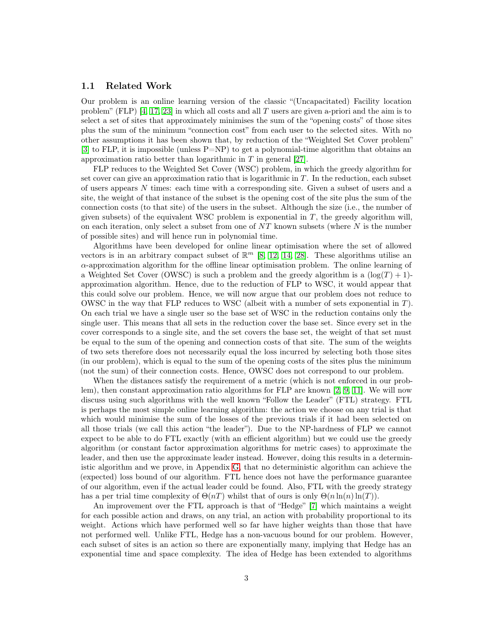#### 1.1 Related Work

Our problem is an online learning version of the classic "(Uncapacitated) Facility location problem" (FLP)  $[4, 17, 23]$  $[4, 17, 23]$  $[4, 17, 23]$  in which all costs and all T users are given a-priori and the aim is to select a set of sites that approximately minimises the sum of the "opening costs" of those sites plus the sum of the minimum "connection cost" from each user to the selected sites. With no other assumptions it has been shown that, by reduction of the "Weighted Set Cover problem"  $[3]$  to FLP, it is impossible (unless P=NP) to get a polynomial-time algorithm that obtains an approximation ratio better than logarithmic in T in general [\[27\]](#page-11-4).

FLP reduces to the Weighted Set Cover (WSC) problem, in which the greedy algorithm for set cover can give an approximation ratio that is logarithmic in  $T$ . In the reduction, each subset of users appears N times: each time with a corresponding site. Given a subset of users and a site, the weight of that instance of the subset is the opening cost of the site plus the sum of the connection costs (to that site) of the users in the subset. Although the size (i.e., the number of given subsets) of the equivalent WSC problem is exponential in  $T$ , the greedy algorithm will, on each iteration, only select a subset from one of  $NT$  known subsets (where  $N$  is the number of possible sites) and will hence run in polynomial time.

Algorithms have been developed for online linear optimisation where the set of allowed vectors is in an arbitrary compact subset of  $\mathbb{R}^m$  [\[8,](#page-10-4) [12,](#page-10-5) [14,](#page-10-6) [28\]](#page-11-5). These algorithms utilise an  $\alpha$ -approximation algorithm for the offline linear optimisation problem. The online learning of a Weighted Set Cover (OWSC) is such a problem and the greedy algorithm is a  $(\log(T) + 1)$ approximation algorithm. Hence, due to the reduction of FLP to WSC, it would appear that this could solve our problem. Hence, we will now argue that our problem does not reduce to OWSC in the way that FLP reduces to WSC (albeit with a number of sets exponential in  $T$ ). On each trial we have a single user so the base set of WSC in the reduction contains only the single user. This means that all sets in the reduction cover the base set. Since every set in the cover corresponds to a single site, and the set covers the base set, the weight of that set must be equal to the sum of the opening and connection costs of that site. The sum of the weights of two sets therefore does not necessarily equal the loss incurred by selecting both those sites (in our problem), which is equal to the sum of the opening costs of the sites plus the minimum (not the sum) of their connection costs. Hence, OWSC does not correspond to our problem.

When the distances satisfy the requirement of a metric (which is not enforced in our problem), then constant approximation ratio algorithms for FLP are known [\[2,](#page-10-7) [9,](#page-10-8) [11\]](#page-10-9). We will now discuss using such algorithms with the well known "Follow the Leader" (FTL) strategy. FTL is perhaps the most simple online learning algorithm: the action we choose on any trial is that which would minimise the sum of the losses of the previous trials if it had been selected on all those trials (we call this action "the leader"). Due to the NP-hardness of FLP we cannot expect to be able to do FTL exactly (with an efficient algorithm) but we could use the greedy algorithm (or constant factor approximation algorithms for metric cases) to approximate the leader, and then use the approximate leader instead. However, doing this results in a deterministic algorithm and we prove, in Appendix [G,](#page-41-0) that no deterministic algorithm can achieve the (expected) loss bound of our algorithm. FTL hence does not have the performance guarantee of our algorithm, even if the actual leader could be found. Also, FTL with the greedy strategy has a per trial time complexity of  $\Theta(nT)$  whilst that of ours is only  $\Theta(n \ln(n) \ln(T))$ .

An improvement over the FTL approach is that of "Hedge" [\[7\]](#page-10-10) which maintains a weight for each possible action and draws, on any trial, an action with probability proportional to its weight. Actions which have performed well so far have higher weights than those that have not performed well. Unlike FTL, Hedge has a non-vacuous bound for our problem. However, each subset of sites is an action so there are exponentially many, implying that Hedge has an exponential time and space complexity. The idea of Hedge has been extended to algorithms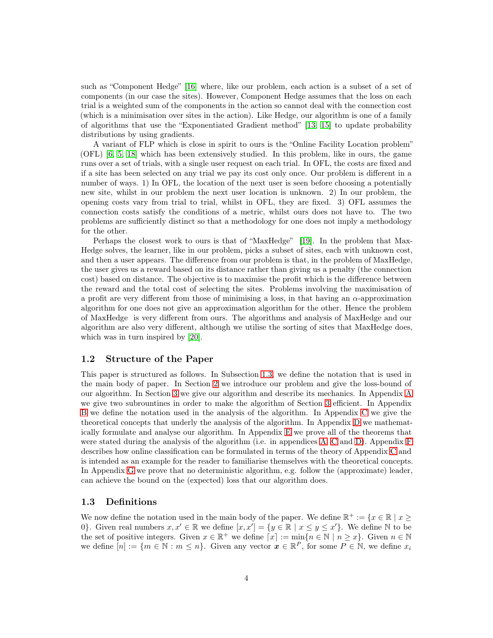such as "Component Hedge" [\[16\]](#page-10-11) where, like our problem, each action is a subset of a set of components (in our case the sites). However, Component Hedge assumes that the loss on each trial is a weighted sum of the components in the action so cannot deal with the connection cost (which is a minimisation over sites in the action). Like Hedge, our algorithm is one of a family of algorithms that use the "Exponentiated Gradient method" [\[13,](#page-10-12) [15\]](#page-10-0) to update probability distributions by using gradients.

A variant of FLP which is close in spirit to ours is the "Online Facility Location problem" (OFL) [\[6,](#page-10-13) [5,](#page-10-14) [18\]](#page-11-6) which has been extensively studied. In this problem, like in ours, the game runs over a set of trials, with a single user request on each trial. In OFL, the costs are fixed and if a site has been selected on any trial we pay its cost only once. Our problem is different in a number of ways. 1) In OFL, the location of the next user is seen before choosing a potentially new site, whilst in our problem the next user location is unknown. 2) In our problem, the opening costs vary from trial to trial, whilst in OFL, they are fixed. 3) OFL assumes the connection costs satisfy the conditions of a metric, whilst ours does not have to. The two problems are sufficiently distinct so that a methodology for one does not imply a methodology for the other.

Perhaps the closest work to ours is that of "MaxHedge" [\[19\]](#page-11-7). In the problem that Max-Hedge solves, the learner, like in our problem, picks a subset of sites, each with unknown cost, and then a user appears. The difference from our problem is that, in the problem of MaxHedge, the user gives us a reward based on its distance rather than giving us a penalty (the connection cost) based on distance. The objective is to maximise the profit which is the difference between the reward and the total cost of selecting the sites. Problems involving the maximisation of a profit are very different from those of minimising a loss, in that having an  $\alpha$ -approximation algorithm for one does not give an approximation algorithm for the other. Hence the problem of MaxHedge is very different from ours. The algorithms and analysis of MaxHedge and our algorithm are also very different, although we utilise the sorting of sites that MaxHedge does, which was in turn inspired by [\[20\]](#page-11-8).

#### 1.2 Structure of the Paper

This paper is structured as follows. In Subsection [1.3,](#page-3-0) we define the notation that is used in the main body of paper. In Section [2](#page-4-0) we introduce our problem and give the loss-bound of our algorithm. In Section [3](#page-5-0) we give our algorithm and describe its mechanics. In Appendix [A](#page-11-9) we give two subrountines in order to make the algorithm of Section [3](#page-5-0) efficient. In Appendix [B](#page-12-0) we define the notation used in the analysis of the algorithm. In Appendix [C](#page-13-0) we give the theoretical concepts that underly the analysis of the algorithm. In Appendix [D](#page-17-0) we mathematically formulate and analyse our algorithm. In Appendix [E](#page-20-0) we prove all of the theorems that were stated during the analysis of the algorithm (i.e. in appendices [A,](#page-11-9) [C](#page-13-0) and [D\)](#page-17-0). Appendix [F](#page-40-0) describes how online classification can be formulated in terms of the theory of Appendix [C](#page-13-0) and is intended as an example for the reader to familiarise themselves with the theoretical concepts. In Appendix [G](#page-41-0) we prove that no deterministic algorithm, e.g. follow the (approximate) leader, can achieve the bound on the (expected) loss that our algorithm does.

#### <span id="page-3-0"></span>1.3 Definitions

We now define the notation used in the main body of the paper. We define  $\mathbb{R}^+ := \{x \in \mathbb{R} \mid x \geq 0\}$ 0}. Given real numbers  $x, x' \in \mathbb{R}$  we define  $[x, x'] = \{y \in \mathbb{R} \mid x \le y \le x'\}$ . We define  $\mathbb N$  to be the set of positive integers. Given  $x \in \mathbb{R}^+$  we define  $\lceil x \rceil := \min\{n \in \mathbb{N} \mid n \geq x\}$ . Given  $n \in \mathbb{N}$ we define  $[n] := \{m \in \mathbb{N} : m \leq n\}$ . Given any vector  $\boldsymbol{x} \in \mathbb{R}^P$ , for some  $P \in \mathbb{N}$ , we define  $x_i$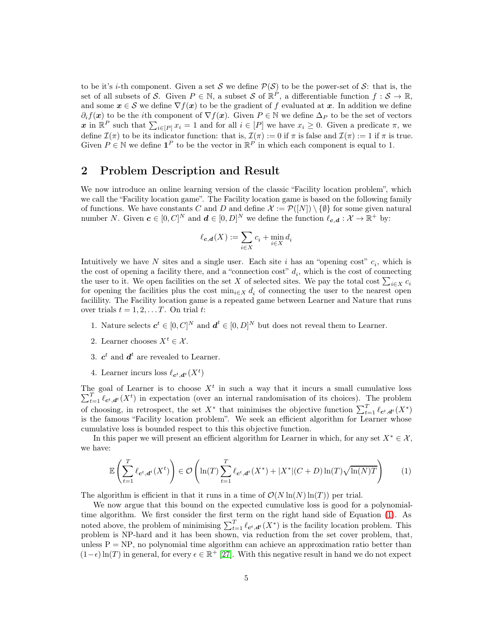to be it's *i*-th component. Given a set S we define  $\mathcal{P}(\mathcal{S})$  to be the power-set of S: that is, the set of all subsets of S. Given  $P \in \mathbb{N}$ , a subset S of  $\mathbb{R}^P$ , a differentiable function  $f : \mathcal{S} \to \mathbb{R}$ , and some  $x \in S$  we define  $\nabla f(x)$  to be the gradient of f evaluated at x. In addition we define  $\partial_i f(x)$  to be the *i*th component of  $\nabla f(x)$ . Given  $P \in \mathbb{N}$  we define  $\Delta_P$  to be the set of vectors x in  $\mathbb{R}^P$  such that  $\sum_{i\in[P]} x_i = 1$  and for all  $i \in [P]$  we have  $x_i \geq 0$ . Given a predicate  $\pi$ , we define  $\mathcal{I}(\pi)$  to be its indicator function: that is,  $\mathcal{I}(\pi) := 0$  if  $\pi$  is false and  $\mathcal{I}(\pi) := 1$  if  $\pi$  is true. Given  $P \in \mathbb{N}$  we define  $\mathbf{1}^P$  to be the vector in  $\mathbb{R}^P$  in which each component is equal to 1.

## <span id="page-4-0"></span>2 Problem Description and Result

We now introduce an online learning version of the classic "Facility location problem", which we call the "Facility location game". The Facility location game is based on the following family of functions. We have constants C and D and define  $\mathcal{X} := \mathcal{P}([N]) \setminus \{\emptyset\}$  for some given natural number N. Given  $c \in [0, C]^N$  and  $d \in [0, D]^N$  we define the function  $\ell_{c,d} : \mathcal{X} \to \mathbb{R}^+$  by:

$$
\ell_{\boldsymbol{c},\boldsymbol{d}}(X):=\sum_{i\in X}c_i+\min_{i\in X}d_i
$$

Intuitively we have N sites and a single user. Each site i has an "opening cost"  $c_i$ , which is the cost of opening a facility there, and a "connection cost"  $d_i$ , which is the cost of connecting the user to it. We open facilities on the set X of selected sites. We pay the total cost  $\sum_{i\in X} c_i$ for opening the facilities plus the cost  $\min_{i \in X} d_i$  of connecting the user to the nearest open facilility. The Facility location game is a repeated game between Learner and Nature that runs over trials  $t = 1, 2, \ldots T$ . On trial t:

- 1. Nature selects  $\boldsymbol{c}^t \in [0, C]^N$  and  $\boldsymbol{d}^t \in [0, D]^N$  but does not reveal them to Learner.
- 2. Learner chooses  $X^t \in \mathcal{X}$ .
- 3.  $c^t$  and  $d^t$  are revealed to Learner.
- 4. Learner incurs loss  $\ell_{\mathbf{c}^t, \mathbf{d}^t}(X^t)$

The goal of Learner is to choose  $X<sup>t</sup>$  in such a way that it incurs a small cumulative loss  $\sum_{t=1}^{T} \ell_{c^t, d^t}(X^t)$  in expectation (over an internal randomisation of its choices). The problem of choosing, in retrospect, the set  $X^*$  that minimises the objective function  $\sum_{t=1}^T \ell_{\mathbf{c}^t, \mathbf{d}^t}(X^*)$ is the famous "Facility location problem". We seek an efficient algorithm for Learner whose cumulative loss is bounded respect to this this objective function.

In this paper we will present an efficient algorithm for Learner in which, for any set  $X^* \in \mathcal{X}$ , we have:

<span id="page-4-1"></span>
$$
\mathbb{E}\left(\sum_{t=1}^T \ell_{\mathbf{c}^t, \mathbf{d}^t}(X^t)\right) \in \mathcal{O}\left(\ln(T) \sum_{t=1}^T \ell_{\mathbf{c}^t, \mathbf{d}^t}(X^*) + |X^*|(C+D)\ln(T)\sqrt{\ln(N)T}\right) \tag{1}
$$

The algorithm is efficient in that it runs in a time of  $\mathcal{O}(N \ln(N) \ln(T))$  per trial.

We now argue that this bound on the expected cumulative loss is good for a polynomialtime algorithm. We first consider the first term on the right hand side of Equation [\(1\)](#page-4-1). As noted above, the problem of minimising  $\sum_{t=1}^{T} \ell_{\mathbf{c}^t, \mathbf{d}^t}(X^*)$  is the facility location problem. This problem is NP-hard and it has been shown, via reduction from the set cover problem, that, unless  $P = NP$ , no polynomial time algorithm can achieve an approximation ratio better than  $(1 - \epsilon) \ln(T)$  in general, for every  $\epsilon \in \mathbb{R}^+$  [\[27\]](#page-11-4). With this negative result in hand we do not expect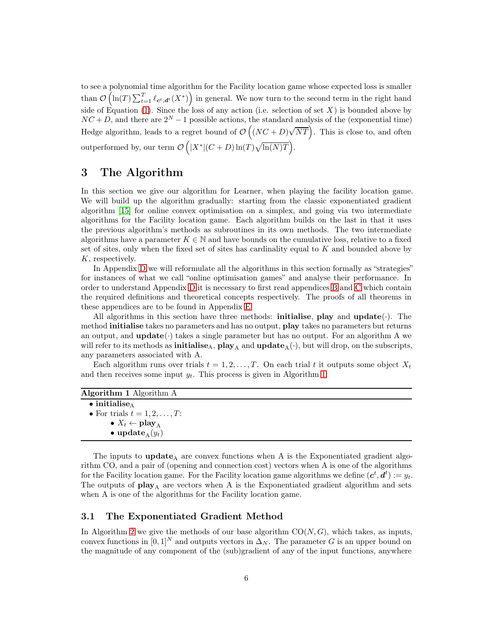to see a polynomial time algorithm for the Facility location game whose expected loss is smaller than  $\mathcal{O}\left(\ln(T)\sum_{t=1}^T \ell_{\mathbf{c}^t, \mathbf{d}^t}(X^*)\right)$  in general. We now turn to the second term in the right hand side of Equation [\(1\)](#page-4-1). Since the loss of any action (i.e. selection of set  $X$ ) is bounded above by  $NC + D$ , and there are  $2^N - 1$  possible actions, the standard analysis of the (exponential time) Hedge algorithm, leads to a regret bound of  $\mathcal{O}((NC+D)\sqrt{NT})$ . This is close to, and often outperformed by, our term  $\mathcal{O}\left(|X^*|(C+D)\ln(T)\sqrt{\ln(N)T}\right)$ .

## <span id="page-5-0"></span>3 The Algorithm

In this section we give our algorithm for Learner, when playing the facility location game. We will build up the algorithm gradually: starting from the classic exponentiated gradient algorithm [\[15\]](#page-10-0) for online convex optimisation on a simplex, and going via two intermediate algorithms for the Facility location game. Each algorithm builds on the last in that it uses the previous algorithm's methods as subroutines in its own methods. The two intermediate algorithms have a parameter  $K \in \mathbb{N}$  and have bounds on the cumulative loss, relative to a fixed set of sites, only when the fixed set of sites has cardinality equal to  $K$  and bounded above by K, respectively.

In Appendix [D](#page-17-0) we will reformulate all the algorithms in this section formally as "strategies" for instances of what we call "online optimisation games" and analyse their performance. In order to understand Appendix [D](#page-17-0) it is necessary to first read appendices [B](#page-12-0) and [C](#page-13-0) which contain the required definitions and theoretical concepts respectively. The proofs of all theorems in these appendices are to be found in Appendix [E.](#page-20-0)

All algorithms in this section have three methods: **initialise**, play and  $update(\cdot)$ . The method initialise takes no parameters and has no output, play takes no parameters but returns an output, and  $\textbf{update}(\cdot)$  takes a single parameter but has no output. For an algorithm A we will refer to its methods as **initialise**<sub>A</sub>,  $play_A$  and  $update_A(\cdot)$ , but will drop, on the subscripts, any parameters associated with A.

Each algorithm runs over trials  $t = 1, 2, \ldots, T$ . On each trial t it outputs some object  $X_t$ and then receives some input  $y_t$ . This process is given in Algorithm [1:](#page-5-1)

<span id="page-5-1"></span>

| Algorithm 1 Algorithm A              |  |  |
|--------------------------------------|--|--|
| $\bullet$ initialise.                |  |  |
| • For trials $t = 1, 2, \ldots, T$ : |  |  |
| • $X_t \leftarrow \text{play}_A$     |  |  |
| • update $(y_t)$                     |  |  |
|                                      |  |  |

The inputs to  $update_A$  are convex functions when A is the Exponentiated gradient algorithm CO, and a pair of (opening and connection cost) vectors when A is one of the algorithms for the Facility location game. For the Facility location game algorithms we define  $(c^t, d^t) := y_t$ . The outputs of  $play_A$  are vectors when A is the Exponentiated gradient algorithm and sets when A is one of the algorithms for the Facility location game.

### 3.1 The Exponentiated Gradient Method

In Algorithm [2](#page-6-0) we give the methods of our base algorithm  $CO(N, G)$ , which takes, as inputs, convex functions in  $[0, 1]^N$  and outputs vectors in  $\Delta_N$ . The parameter G is an upper bound on the magnitude of any component of the (sub)gradient of any of the input functions, anywhere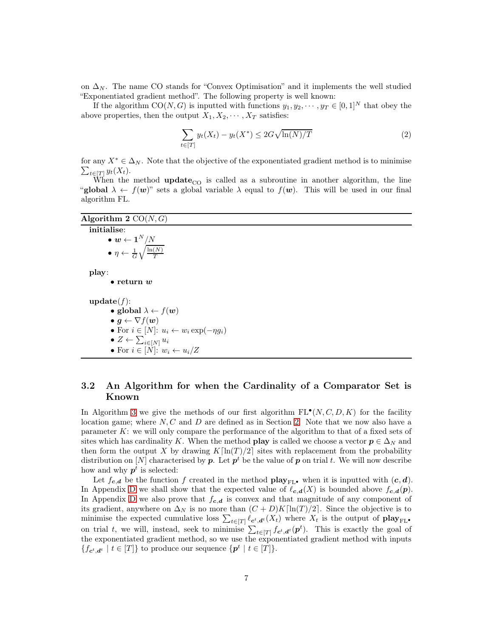on  $\Delta_N$ . The name CO stands for "Convex Optimisation" and it implements the well studied "Exponentiated gradient method". The following property is well known:

If the algorithm  $CO(N, G)$  is inputted with functions  $y_1, y_2, \dots, y_T \in [0, 1]^N$  that obey the above properties, then the output  $X_1, X_2, \cdots, X_T$  satisfies:

<span id="page-6-1"></span>
$$
\sum_{t \in [T]} y_t(X_t) - y_t(X^*) \le 2G\sqrt{\ln(N)/T} \tag{2}
$$

for any  $X^* \in \Delta_N$ . Note that the objective of the exponentiated gradient method is to minimise  $\sum_{t\in[T]} y_t(X_t).$ 

When the method **update**<sub>CO</sub> is called as a subroutine in another algorithm, the line "global  $\lambda \leftarrow f(w)$ " sets a global variable  $\lambda$  equal to  $f(w)$ . This will be used in our final algorithm FL.

<span id="page-6-0"></span>

| Algorithm 2 $CO(N, G)$                                        |  |
|---------------------------------------------------------------|--|
| initialise:                                                   |  |
| $\bullet \text{ } \textbf{w} \leftarrow \textbf{1}^N/N$       |  |
| $\bullet \eta \leftarrow \frac{1}{G} \sqrt{\frac{\ln(N)}{T}}$ |  |
| play:                                                         |  |
| $\bullet$ return $w$                                          |  |
| update(f):                                                    |  |
| • global $\lambda \leftarrow f(w)$                            |  |
| $\bullet \, g \leftarrow \nabla f(w)$                         |  |
| • For $i \in [N]$ : $u_i \leftarrow w_i \exp(-\eta g_i)$      |  |
| $\bullet$ Z $\leftarrow \sum_{i\in[N]} u_i$                   |  |
| • For $i \in [N]$ : $w_i \leftarrow u_i/Z$                    |  |
|                                                               |  |

### <span id="page-6-2"></span>3.2 An Algorithm for when the Cardinality of a Comparator Set is Known

In Algorithm [3](#page-7-0) we give the methods of our first algorithm  $FL^{\bullet}(N, C, D, K)$  for the facility location game; where  $N, C$  and  $D$  are defined as in Section [2.](#page-4-0) Note that we now also have a parameter K: we will only compare the performance of the algorithm to that of a fixed sets of sites which has cardinality K. When the method **play** is called we choose a vector  $p \in \Delta_N$  and then form the output X by drawing  $K[\ln(T)/2]$  sites with replacement from the probability distribution on  $[N]$  characterised by  $p$ . Let  $p<sup>t</sup>$  be the value of  $p$  on trial  $t$ . We will now describe how and why  $p<sup>t</sup>$  is selected:

Let  $f_{c,d}$  be the function f created in the method play $_{\text{FI},\bullet}$  when it is inputted with  $(c,d)$ . In Appendix [D](#page-17-0) we shall show that the expected value of  $\ell_{c,d}(X)$  is bounded above  $f_{c,d}(p)$ . In Appendix [D](#page-17-0) we also prove that  $f_{c,d}$  is convex and that magnitude of any component of its gradient, anywhere on  $\Delta_N$  is no more than  $(C+D)K[\ln(T)/2]$ . Since the objective is to minimise the expected cumulative loss  $\sum_{t\in[T]}\ell_{\mathbf{c}^t,\mathbf{d}^t}(X_t)$  where  $X_t$  is the output of  $\mathbf{play}_{\text{FL}}$ . on trial t, we will, instead, seek to minimise  $\sum_{t\in[T]} f_{\mathbf{c}^t, \mathbf{d}^t}(\mathbf{p}^t)$ . This is exactly the goal of the exponentiated gradient method, so we use the exponentiated gradient method with inputs  ${f_{c^t, d^t} \mid t \in [T]}$  to produce our sequence  ${p^t \mid t \in [T]}$ .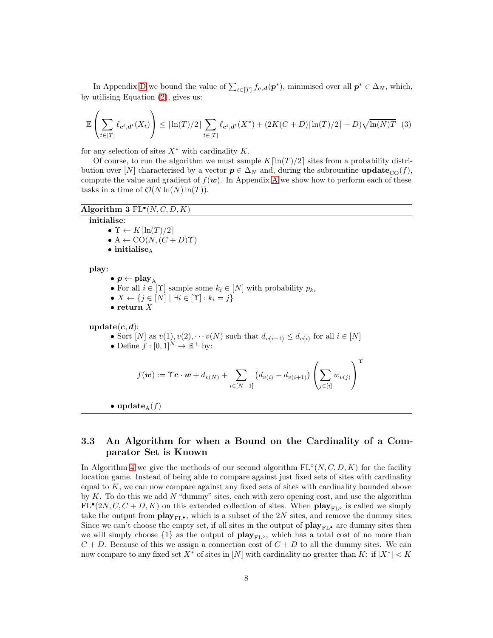In Appendix [D](#page-17-0) we bound the value of  $\sum_{t \in [T]} f_{c,d}(p^*)$ , minimised over all  $p^* \in \Delta_N$ , which, by utilising Equation [\(2\)](#page-6-1), gives us:

$$
\mathbb{E}\left(\sum_{t\in[T]}\ell_{\mathbf{c}^t,\mathbf{d}^t}(X_t)\right) \leq \lceil \ln(T)/2 \rceil \sum_{t\in[T]}\ell_{\mathbf{c}^t,\mathbf{d}^t}(X^*) + (2K(C+D)\lceil \ln(T)/2 \rceil + D)\sqrt{\ln(N)T} \tag{3}
$$

for any selection of sites  $X^*$  with cardinality  $K$ .

Of course, to run the algorithm we must sample  $K[\ln(T)/2]$  sites from a probability distribution over [N] characterised by a vector  $p \in \Delta_N$  and, during the subrountine **update**<sub>CO</sub> $(f)$ , compute the value and gradient of  $f(\mathbf{w})$ . In [A](#page-11-9)ppendix A we show how to perform each of these tasks in a time of  $\mathcal{O}(N \ln(N) \ln(T))$ .

#### <span id="page-7-0"></span>Algorithm  $3 FL^{\bullet}(N, C, D, K)$

#### initialise:

•  $\Upsilon \leftarrow K[\ln(T)/2]$ 

- $A \leftarrow CO(N, (C + D)\Upsilon)$
- $\bullet$  initialise<sub>A</sub>

play:

- $p \leftarrow play_A$ 
	- For all  $i \in [\Upsilon]$  sample some  $k_i \in [N]$  with probability  $p_{k_i}$
	- $X \leftarrow \{j \in [N] \mid \exists i \in [\Upsilon] : k_i = j\}$
- return  $X$

 $update(c, d)$ :

- Sort  $[N]$  as  $v(1), v(2), \cdots v(N)$  such that  $d_{v(i+1)} \leq d_{v(i)}$  for all  $i \in [N]$
- Define  $f: [0,1]^N \to \mathbb{R}^+$  by:

$$
f(\boldsymbol{w}) := \Upsilon \boldsymbol{c} \cdot \boldsymbol{w} + d_{v(N)} + \sum_{i \in [N-1]} (d_{v(i)} - d_{v(i+1)}) \left( \sum_{j \in [i]} w_{v(j)} \right)^{\Upsilon}
$$

• update<sub>A</sub> $(f)$ 

## 3.3 An Algorithm for when a Bound on the Cardinality of a Comparator Set is Known

In Algorithm [4](#page-8-0) we give the methods of our second algorithm  $FL<sup>o</sup>(N, C, D, K)$  for the facility location game. Instead of being able to compare against just fixed sets of sites with cardinality equal to  $K$ , we can now compare against any fixed sets of sites with cardinality bounded above by  $K$ . To do this we add  $N$  "dummy" sites, each with zero opening cost, and use the algorithm  $FL^{\bullet}(2N, C, C + D, K)$  on this extended collection of sites. When  $\mathbf{play}_{FL^{\circ}}$  is called we simply take the output from  $\mathbf{play}_{\mathbf{FL}^{\bullet}}$ , which is a subset of the 2N sites, and remove the dummy sites. Since we can't choose the empty set, if all sites in the output of  $\mathbf{play}_{\mathbf{FL}^*}$  are dummy sites then we will simply choose  $\{1\}$  as the output of play<sub>FL</sub>◦, which has a total cost of no more than  $C + D$ . Because of this we assign a connection cost of  $C + D$  to all the dummy sites. We can now compare to any fixed set  $X^*$  of sites in  $[N]$  with cardinality no greater than K: if  $|X^*| < K$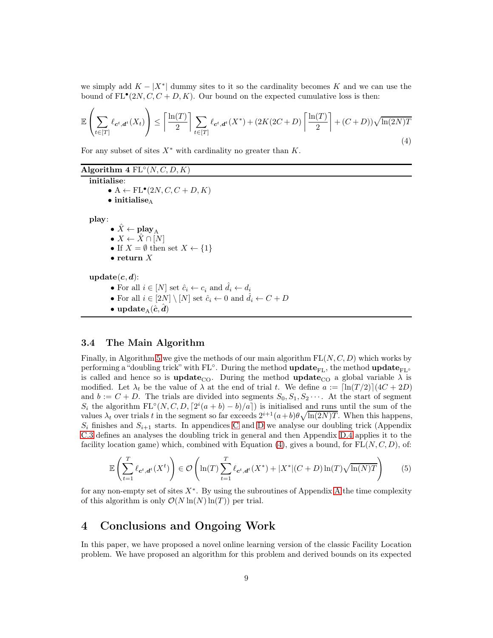<span id="page-8-1"></span>we simply add  $K - |X^*|$  dummy sites to it so the cardinality becomes K and we can use the bound of  $FL^{\bullet}(2N, C, C+D, K)$ . Our bound on the expected cumulative loss is then:

$$
\mathbb{E}\left(\sum_{t\in[T]}\ell_{\mathbf{c}^t,\mathbf{d}^t}(X_t)\right) \le \left[\frac{\ln(T)}{2}\right] \sum_{t\in[T]}\ell_{\mathbf{c}^t,\mathbf{d}^t}(X^*) + (2K(2C+D)\left[\frac{\ln(T)}{2}\right] + (C+D)\sqrt{\ln(2N)T}
$$
\n(4)

For any subset of sites  $X^*$  with cardinality no greater than  $K$ .

<span id="page-8-0"></span>Algorithm  $4 \text{ FL}°(N, C, D, K)$ 

initialise: • A  $\leftarrow$  FL $^{\bullet}$ (2*N*, *C*, *C* + *D*, *K*)  $\bullet$  initialise<sub>A</sub> play: •  $\tilde{X} \leftarrow \textbf{play}_{A}$  $\bullet\ X \leftarrow \hat{X} \cap [N]$ • If  $X = \emptyset$  then set  $X \leftarrow \{1\}$ • return  $X$  $update(c, d)$ : • For all  $i \in [N]$  set  $\hat{c}_i \leftarrow c_i$  and  $\hat{d}_i \leftarrow d_i$ • For all  $i \in [2N] \setminus [N]$  set  $\hat{c}_i \leftarrow 0$  and  $\hat{d}_i \leftarrow C + D$ • update  $(\hat{c}, d)$ 

#### <span id="page-8-2"></span>3.4 The Main Algorithm

Finally, in Algorithm [5](#page-9-0) we give the methods of our main algorithm  $FL(N, C, D)$  which works by performing a "doubling trick" with FL<sup>∘</sup>. During the method  $\mathbf{update}_{\mathrm{FL}}$ , the method  $\mathbf{update}_{\mathrm{FL} \circ}$ is called and hence so is **update**<sub>CO</sub>. During the method **update**<sub>CO</sub> a global variable  $\lambda$  is modified. Let  $\lambda_t$  be the value of  $\lambda$  at the end of trial t. We define  $a := \left[\ln(T/2)\right](4C + 2D)$ and  $b := C + D$ . The trials are divided into segments  $S_0, S_1, S_2 \cdots$ . At the start of segment  $S_i$  the algorithm  $FL°(N, C, D, [2^i(a + b) - b)/a])$  is initialised and runs until the sum of the values  $\lambda_t$  over trials t in the segment so far exceeds  $2^{i+1}(a+b)\theta\sqrt{\ln(2N)T}$ . When this happens,  $S_i$  finishes and  $S_{i+1}$  starts. In appendices [C](#page-13-0) and [D](#page-17-0) we analyse our doubling trick (Appendix [C.3](#page-15-0) defines an analyses the doubling trick in general and then Appendix [D.4](#page-20-1) applies it to the facility location game) which, combined with Equation [\(4\)](#page-8-1), gives a bound, for  $FL(N, C, D)$ , of:

$$
\mathbb{E}\left(\sum_{t=1}^{T} \ell_{\mathbf{c}^t, \mathbf{d}^t}(X^t)\right) \in \mathcal{O}\left(\ln(T) \sum_{t=1}^{T} \ell_{\mathbf{c}^t, \mathbf{d}^t}(X^*) + |X^*|(C+D)\ln(T)\sqrt{\ln(N)T}\right) \tag{5}
$$

for any non-empty set of sites  $X^*$ . By using the subroutines of [A](#page-11-9)ppendix A the time complexity of this algorithm is only  $\mathcal{O}(N \ln(N) \ln(T))$  per trial.

## 4 Conclusions and Ongoing Work

In this paper, we have proposed a novel online learning version of the classic Facility Location problem. We have proposed an algorithm for this problem and derived bounds on its expected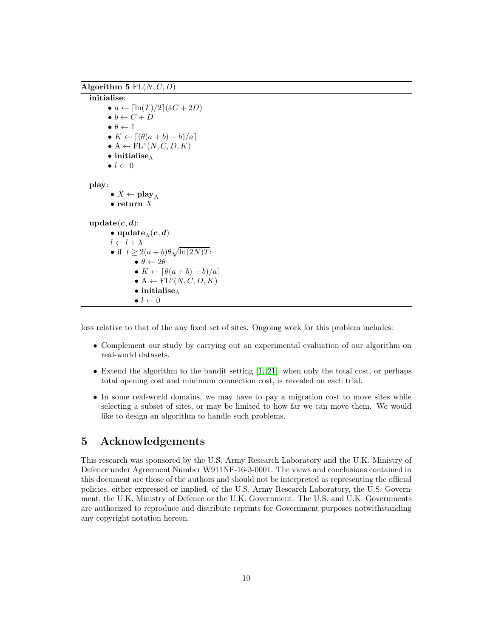<span id="page-9-0"></span>Algorithm 5  $FL(N, C, D)$ 

initialise: •  $a \leftarrow [\ln(T)/2](4C + 2D)$  $\bullet~b \leftarrow C + D$  $\bullet$   $\theta \leftarrow 1$ •  $K \leftarrow \left[ \frac{(\theta(a+b)-b)}{a} \right]$  $\bullet A \leftarrow FL^{\circ}(N, C, D, K)$  $\bullet$  initialise<sub>A</sub>  $\bullet$   $l \leftarrow 0$ play: •  $X \leftarrow \textbf{play}_A$ • return  $X$  $update(c, d)$ : • update  $(c, d)$  $l \leftarrow l + \lambda$ • if  $l \geq 2(a+b)\theta \sqrt{\ln(2N)T}$ :  $\bullet$   $\theta \leftarrow 2\theta$ •  $K \leftarrow [\theta(a+b) - b)/a]$  $\bullet A \leftarrow \textup{FL}^{\circ}(N, C, D, K)$  $\bullet$  initialise<sub>A</sub>  $\bullet$   $l \leftarrow 0$ 

loss relative to that of the any fixed set of sites. Ongoing work for this problem includes:

- Complement our study by carrying out an experimental evaluation of our algorithm on real-world datasets.
- Extend the algorithm to the bandit setting  $[1, 21]$  $[1, 21]$ , when only the total cost, or perhaps total opening cost and minimum connection cost, is revealed on each trial.
- In some real-world domains, we may have to pay a migration cost to move sites while selecting a subset of sites, or may be limited to how far we can move them. We would like to design an algorithm to handle such problems.

# 5 Acknowledgements

This research was sponsored by the U.S. Army Research Laboratory and the U.K. Ministry of Defence under Agreement Number W911NF-16-3-0001. The views and conclusions contained in this document are those of the authors and should not be interpreted as representing the official policies, either expressed or implied, of the U.S. Army Research Laboratory, the U.S. Government, the U.K. Ministry of Defence or the U.K. Government. The U.S. and U.K. Governments are authorized to reproduce and distribute reprints for Government purposes notwithstanding any copyright notation hereon.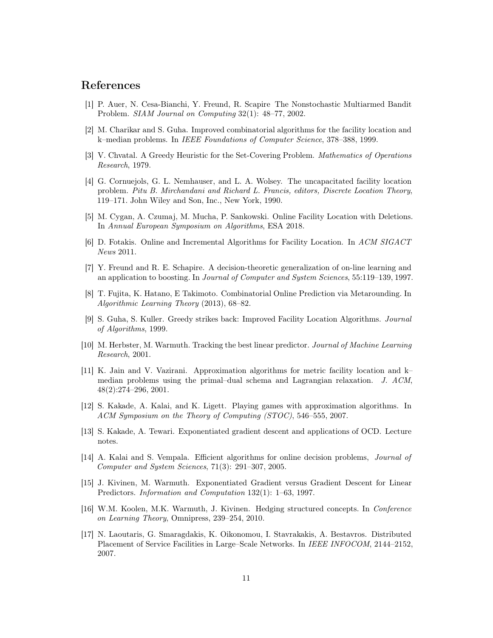## <span id="page-10-15"></span>References

- <span id="page-10-7"></span>[1] P. Auer, N. Cesa-Bianchi, Y. Freund, R. Scapire The Nonstochastic Multiarmed Bandit Problem. *SIAM Journal on Computing* 32(1): 48–77, 2002.
- <span id="page-10-3"></span>[2] M. Charikar and S. Guha. Improved combinatorial algorithms for the facility location and k–median problems. In *IEEE Foundations of Computer Science*, 378–388, 1999.
- <span id="page-10-1"></span>[3] V. Chvatal. A Greedy Heuristic for the Set-Covering Problem. *Mathematics of Operations Research*, 1979.
- [4] G. Cornuejols, G. L. Nemhauser, and L. A. Wolsey. The uncapacitated facility location problem. *Pitu B. Mirchandani and Richard L. Francis, editors, Discrete Location Theory*, 119–171. John Wiley and Son, Inc., New York, 1990.
- <span id="page-10-14"></span><span id="page-10-13"></span>[5] M. Cygan, A. Czumaj, M. Mucha, P. Sankowski. Online Facility Location with Deletions. In *Annual European Symposium on Algorithms*, ESA 2018.
- <span id="page-10-10"></span>[6] D. Fotakis. Online and Incremental Algorithms for Facility Location. In *ACM SIGACT News* 2011.
- [7] Y. Freund and R. E. Schapire. A decision-theoretic generalization of on-line learning and an application to boosting. In *Journal of Computer and System Sciences*, 55:119–139, 1997.
- <span id="page-10-4"></span>[8] T. Fujita, K. Hatano, E Takimoto. Combinatorial Online Prediction via Metarounding. In *Algorithmic Learning Theory* (2013), 68–82.
- <span id="page-10-8"></span>[9] S. Guha, S. Kuller. Greedy strikes back: Improved Facility Location Algorithms. *Journal of Algorithms*, 1999.
- [10] M. Herbster, M. Warmuth. Tracking the best linear predictor. *Journal of Machine Learning Research*, 2001.
- <span id="page-10-9"></span>[11] K. Jain and V. Vazirani. Approximation algorithms for metric facility location and k– median problems using the primal–dual schema and Lagrangian relaxation. *J. ACM*, 48(2):274–296, 2001.
- <span id="page-10-5"></span>[12] S. Kakade, A. Kalai, and K. Ligett. Playing games with approximation algorithms. In *ACM Symposium on the Theory of Computing (STOC)*, 546–555, 2007.
- <span id="page-10-12"></span><span id="page-10-6"></span>[13] S. Kakade, A. Tewari. Exponentiated gradient descent and applications of OCD. Lecture notes.
- [14] A. Kalai and S. Vempala. Efficient algorithms for online decision problems, *Journal of Computer and System Sciences*, 71(3): 291–307, 2005.
- <span id="page-10-0"></span>[15] J. Kivinen, M. Warmuth. Exponentiated Gradient versus Gradient Descent for Linear Predictors. *Information and Computation* 132(1): 1–63, 1997.
- <span id="page-10-11"></span>[16] W.M. Koolen, M.K. Warmuth, J. Kivinen. Hedging structured concepts. In *Conference on Learning Theory*, Omnipress, 239–254, 2010.
- <span id="page-10-2"></span>[17] N. Laoutaris, G. Smaragdakis, K. Oikonomou, I. Stavrakakis, A. Bestavros. Distributed Placement of Service Facilities in Large–Scale Networks. In *IEEE INFOCOM*, 2144–2152, 2007.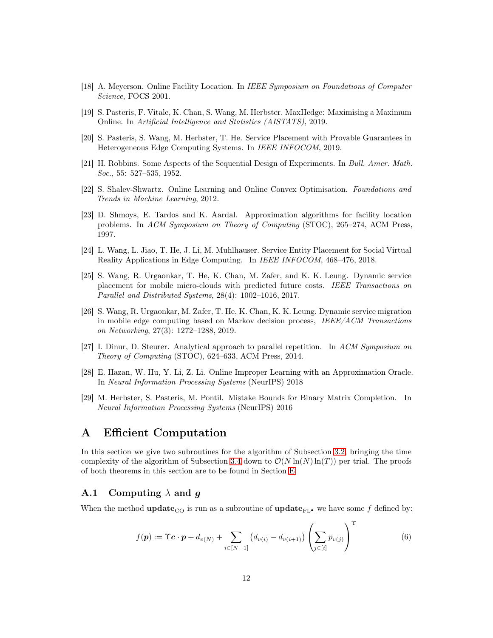- <span id="page-11-7"></span><span id="page-11-6"></span>[18] A. Meyerson. Online Facility Location. In *IEEE Symposium on Foundations of Computer Science*, FOCS 2001.
- <span id="page-11-8"></span>[19] S. Pasteris, F. Vitale, K. Chan, S. Wang, M. Herbster. MaxHedge: Maximising a Maximum Online. In *Artificial Intelligence and Statistics (AISTATS)*, 2019.
- <span id="page-11-10"></span>[20] S. Pasteris, S. Wang, M. Herbster, T. He. Service Placement with Provable Guarantees in Heterogeneous Edge Computing Systems. In *IEEE INFOCOM*, 2019.
- [21] H. Robbins. Some Aspects of the Sequential Design of Experiments. In *Bull. Amer. Math. Soc.*, 55: 527–535, 1952.
- <span id="page-11-0"></span>[22] S. Shalev-Shwartz. Online Learning and Online Convex Optimisation. *Foundations and Trends in Machine Learning*, 2012.
- [23] D. Shmoys, E. Tardos and K. Aardal. Approximation algorithms for facility location problems. In *ACM Symposium on Theory of Computing* (STOC), 265–274, ACM Press, 1997.
- <span id="page-11-2"></span><span id="page-11-1"></span>[24] L. Wang, L. Jiao, T. He, J. Li, M. Muhlhauser. Service Entity Placement for Social Virtual Reality Applications in Edge Computing. In *IEEE INFOCOM*, 468–476, 2018.
- [25] S. Wang, R. Urgaonkar, T. He, K. Chan, M. Zafer, and K. K. Leung. Dynamic service placement for mobile micro-clouds with predicted future costs. *IEEE Transactions on Parallel and Distributed Systems*, 28(4): 1002–1016, 2017.
- <span id="page-11-3"></span>[26] S. Wang, R. Urgaonkar, M. Zafer, T. He, K. Chan, K. K. Leung. Dynamic service migration in mobile edge computing based on Markov decision process, *IEEE/ACM Transactions on Networking*, 27(3): 1272–1288, 2019.
- <span id="page-11-4"></span>[27] I. Dinur, D. Steurer. Analytical approach to parallel repetition. In *ACM Symposium on Theory of Computing* (STOC), 624–633, ACM Press, 2014.
- <span id="page-11-5"></span>[28] E. Hazan, W. Hu, Y. Li, Z. Li. Online Improper Learning with an Approximation Oracle. In *Neural Information Processing Systems* (NeurIPS) 2018
- <span id="page-11-12"></span>[29] M. Herbster, S. Pasteris, M. Pontil. Mistake Bounds for Binary Matrix Completion. In *Neural Information Processing Systems* (NeurIPS) 2016

# <span id="page-11-9"></span>A Efficient Computation

In this section we give two subroutines for the algorithm of Subsection [3.2,](#page-6-2) bringing the time complexity of the algorithm of Subsection [3.4](#page-8-2) down to  $\mathcal{O}(N \ln(N) \ln(T))$  per trial. The proofs of both theorems in this section are to be found in Section [E](#page-20-0)

#### A.1 Computing  $\lambda$  and q

<span id="page-11-11"></span>When the method update<sub>CO</sub> is run as a subroutine of update<sub>FL</sub>• we have some f defined by:

$$
f(\mathbf{p}) := \Upsilon \mathbf{c} \cdot \mathbf{p} + d_{v(N)} + \sum_{i \in [N-1]} \left( d_{v(i)} - d_{v(i+1)} \right) \left( \sum_{j \in [i]} p_{v(j)} \right)^{\Upsilon}
$$
(6)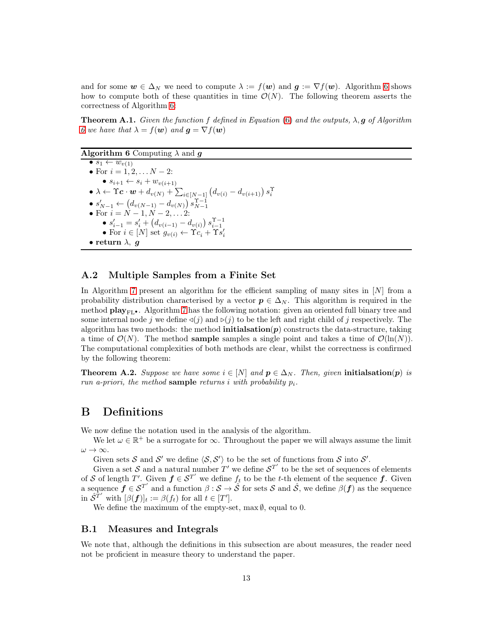and for some  $w \in \Delta_N$  we need to compute  $\lambda := f(w)$  and  $g := \nabla f(w)$ . Algorithm [6](#page-12-1) shows how to compute both of these quantities in time  $\mathcal{O}(N)$ . The following theorem asserts the correctness of Algorithm [6:](#page-12-1)

<span id="page-12-2"></span>Theorem A.1. *Given the function* f *defined in Equation* [\(6\)](#page-11-11) *and the outputs,* λ, g *of Algorithm [6](#page-12-1)* we have that  $\lambda = f(\mathbf{w})$  and  $\mathbf{q} = \nabla f(\mathbf{w})$ 

#### <span id="page-12-1"></span>**Algorithm 6** Computing  $\lambda$  and **g**

 $\bullet$  s<sub>1</sub>  $\leftarrow$   $w_{v(1)}$ • For  $i = 1, 2, \ldots N - 2$ : •  $s_{i+1} \leftarrow s_i + w_{v(i+1)}$  $\bullet\ \lambda \leftarrow \Upsilon\bm{c}\cdot\bm{w} + d_{v(N)} + \sum_{i\in[N-1]} \left( d_{v(i)} - d_{v(i+1)} \right) s_i^{\Upsilon}$ •  $s'_{N-1} \leftarrow (d_{v(N-1)} - d_{v(N)}) s_{N-1}^{T-1}$ <br>• For  $i = N - 1, N - 2, ... 2$ : •  $s'_{i-1} = s'_{i} + (d_{v(i-1)} - d_{v(i)}) s_{i-1}^{\Upsilon - 1}$ <br>• For  $i \in [N]$  set  $g_{v(i)} \leftarrow \Upsilon c_i + \Upsilon s'_i$ • return  $\lambda$ , q

#### A.2 Multiple Samples from a Finite Set

In Algorithm [7](#page-13-1) present an algorithm for the efficient sampling of many sites in [N] from a probability distribution characterised by a vector  $p \in \Delta_N$ . This algorithm is required in the method  $\mathbf{play}_{\mathbf{FL}}$ . Algorithm [7](#page-13-1) has the following notation: given an oriented full binary tree and some internal node j we define  $\triangleleft(j)$  and  $\square(j)$  to be the left and right child of j respectively. The algorithm has two methods: the method **initialsation** $(p)$  constructs the data-structure, taking a time of  $\mathcal{O}(N)$ . The method **sample** samples a single point and takes a time of  $\mathcal{O}(\ln(N))$ . The computational complexities of both methods are clear, whilst the correctness is confirmed by the following theorem:

<span id="page-12-3"></span>**Theorem A.2.** *Suppose we have some*  $i \in [N]$  *and*  $p \in \Delta_N$ *. Then, given* initialsation(p) *is run a-priori, the method* sample *returns* i *with probability* pi*.*

# <span id="page-12-0"></span>B Definitions

We now define the notation used in the analysis of the algorithm.

We let  $\omega \in \mathbb{R}^+$  be a surrogate for  $\infty$ . Throughout the paper we will always assume the limit  $\omega \to \infty$ .

Given sets S and S' we define  $\langle S, S' \rangle$  to be the set of functions from S into S'.

Given a set S and a natural number T' we define  $S^{T'}$  to be the set of sequences of elements of S of length T'. Given  $f \in S^{T'}$  we define  $f_t$  to be the t-th element of the sequence f. Given a sequence  $f \in S^{T'}$  and a function  $\beta : S \to \hat{S}$  for sets S and  $\hat{S}$ , we define  $\beta(f)$  as the sequence in  $\hat{S}^{T'}$  with  $[\beta(\boldsymbol{f})]_t := \beta(f_t)$  for all  $t \in [T']$ .

We define the maximum of the empty-set, max  $\emptyset$ , equal to 0.

#### B.1 Measures and Integrals

We note that, although the definitions in this subsection are about measures, the reader need not be proficient in measure theory to understand the paper.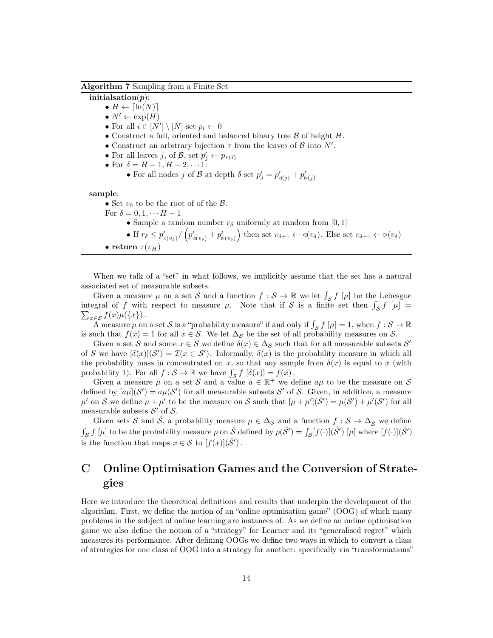#### <span id="page-13-1"></span>Algorithm 7 Sampling from a Finite Set

initialsation $(p)$ :

•  $H \leftarrow \lceil \ln(N) \rceil$ 

- $\bullet N' \leftarrow \exp(H)$
- For all  $i \in [N'] \setminus [N]$  set  $p_i \leftarrow 0$
- Construct a full, oriented and balanced binary tree  $\beta$  of height H.
- Construct an arbitrary bijection  $\tau$  from the leaves of  $\mathcal B$  into  $N'$ .
- For all leaves j, of  $\mathcal{B}$ , set  $p'_j \leftarrow p_{\tau(i)}$
- For  $\delta = H 1, H 2, \cdots$  1:
	- For all nodes  $j$  of  $\mathcal B$  at depth  $\delta$  set  $p'_j = p'_{\triangleleft(j)} + p'_{\triangleright(j)}$

sample:

• Set  $v_0$  to be the root of of the  $\beta$ .

- For  $\delta = 0, 1, \cdots H-1$ 
	- Sample a random number  $r_{\delta}$  uniformly at random from [0, 1]
- If  $r_\delta \leq p'_{\triangleleft(v_\delta)} / (p'_{\triangleleft(v_\delta)} + p'_{\triangleright(v_\delta)})$  then set  $v_{\delta+1} \leftarrow \triangleleft(v_\delta)$ . Else set  $v_{\delta+1} \leftarrow \triangleright(v_\delta)$ • return  $\tau(v_H)$

When we talk of a "set" in what follows, we implicitly assume that the set has a natural associated set of measurable subsets.

Given a measure  $\mu$  on a set S and a function  $f : S \to \mathbb{R}$  we let  $\int_{S} f[\mu]$  be the Lebesgue integral of f with respect to measure  $\mu$ . Note that if S is a finite set then  $\int_{\mathcal{S}} f(\mu)$  =  $\sum_{x\in\mathcal{S}}f(x)\mu(\lbrace x\rbrace).$ 

A measure  $\mu$  on a set S is a "probability measure" if and only if  $\int_{S} f[\mu] = 1$ , when  $f : S \to \mathbb{R}$ is such that  $f(x) = 1$  for all  $x \in S$ . We let  $\Delta_S$  be the set of all probability measures on S.

Given a set S and some  $x \in S$  we define  $\delta(x) \in \Delta_S$  such that for all measurable subsets S' of S we have  $[\delta(x)](\mathcal{S}') = \mathcal{I}(x \in \mathcal{S}')$ . Informally,  $\delta(x)$  is the probability measure in which all the probability mass in concentrated on x, so that any sample from  $\delta(x)$  is equal to x (with probability 1). For all  $f : \mathcal{S} \to \mathbb{R}$  we have  $\int_{\mathcal{S}} f[\delta(x)] = f(x)$ .

Given a measure  $\mu$  on a set S and a value  $a \in \mathbb{R}^+$  we define  $a\mu$  to be the measure on S defined by  $[a\mu](\mathcal{S}') = a\mu(\mathcal{S}')$  for all measurable subsets  $\mathcal{S}'$  of  $\mathcal{S}$ . Given, in addition, a measure  $\mu'$  on S we define  $\mu + \mu'$  to be the measure on S such that  $[\mu + \mu'](\mathcal{S}') = \mu(\mathcal{S}') + \mu'(\mathcal{S}')$  for all measurable subsets  $\mathcal{S}'$  of  $\mathcal{S}$ .

Given sets S and  $\hat{S}$ , a probability measure  $\mu \in \Delta_{\mathcal{S}}$  and a function  $f : \mathcal{S} \to \Delta_{\hat{S}}$  we define  $\int_{\mathcal{S}} f[\mu]$  to be the probability measure p on  $\hat{\mathcal{S}}$  defined by  $p(\hat{\mathcal{S}}') = \int_{\mathcal{S}} [f(\cdot)](\hat{\mathcal{S}}')[\mu]$  where  $[f(\cdot)](\hat{\mathcal{S}}')$ is the function that maps  $x \in \mathcal{S}$  to  $[f(x)](\hat{\mathcal{S}}')$ .

# <span id="page-13-0"></span>C Online Optimisation Games and the Conversion of Strategies

Here we introduce the theoretical definitions and results that underpin the development of the algorithm. First, we define the notion of an "online optimisation game" (OOG) of which many problems in the subject of online learning are instances of. As we define an online optimisation game we also define the notion of a "strategy" for Learner and its "generalised regret" which measures its performance. After defining OOGs we define two ways in which to convert a class of strategies for one class of OOG into a strategy for another: specifically via "transformations"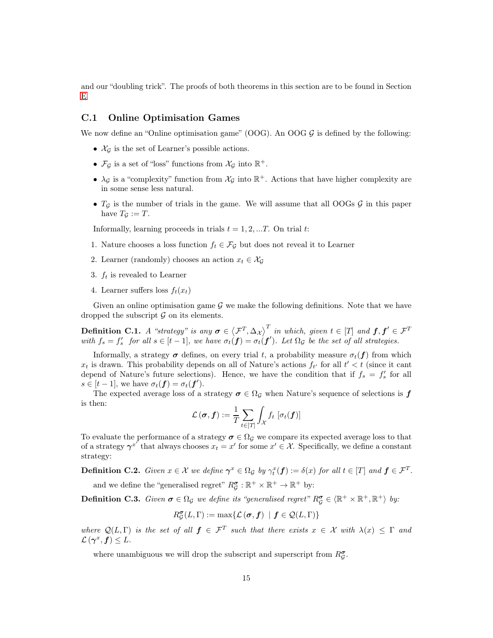and our "doubling trick". The proofs of both theorems in this section are to be found in Section [E](#page-20-0)

## C.1 Online Optimisation Games

We now define an "Online optimisation game" (OOG). An OOG  $\mathcal{G}$  is defined by the following:

- $\mathcal{X}_G$  is the set of Learner's possible actions.
- $\mathcal{F}_{\mathcal{G}}$  is a set of "loss" functions from  $\mathcal{X}_{\mathcal{G}}$  into  $\mathbb{R}^+$ .
- $\lambda_{\mathcal{G}}$  is a "complexity" function from  $\mathcal{X}_{\mathcal{G}}$  into  $\mathbb{R}^+$ . Actions that have higher complexity are in some sense less natural.
- $T_g$  is the number of trials in the game. We will assume that all OOGs  $g$  in this paper have  $T_{\mathcal{G}} := T$ .

Informally, learning proceeds in trials  $t = 1, 2, ...T$ . On trial t:

- 1. Nature chooses a loss function  $f_t \in \mathcal{F}_{\mathcal{G}}$  but does not reveal it to Learner
- 2. Learner (randomly) chooses an action  $x_t \in \mathcal{X}_{\mathcal{G}}$
- 3.  $f_t$  is revealed to Learner
- 4. Learner suffers loss  $f_t(x_t)$

Given an online optimisation game  $\mathcal G$  we make the following definitions. Note that we have dropped the subscript  $\mathcal G$  on its elements.

**Definition C.1.** *A* "strategy" is any  $\boldsymbol{\sigma} \in \left\langle \mathcal{F}^T, \Delta_{\mathcal{X}} \right\rangle^T$  in which, given  $t \in [T]$  and  $\boldsymbol{f}, \boldsymbol{f}' \in \mathcal{F}^T$ with  $f_s = f'_s$  for all  $s \in [t-1]$ , we have  $\sigma_t(f) = \sigma_t(f')$ . Let  $\Omega_g$  be the set of all strategies.

Informally, a strategy  $\sigma$  defines, on every trial t, a probability measure  $\sigma_t(f)$  from which  $x_t$  is drawn. This probability depends on all of Nature's actions  $f_{t'}$  for all  $t' < t$  (since it cant depend of Nature's future selections). Hence, we have the condition that if  $f_s = f'_s$  for all  $s \in [t-1]$ , we have  $\sigma_t(f) = \sigma_t(f')$ .

The expected average loss of a strategy  $\sigma \in \Omega_{\mathcal{G}}$  when Nature's sequence of selections is  $f$ is then:

$$
\mathcal{L}(\boldsymbol{\sigma}, \boldsymbol{f}) := \frac{1}{T} \sum_{t \in [T]} \int_{\mathcal{X}} f_t \, [\sigma_t(\boldsymbol{f})]
$$

To evaluate the performance of a strategy  $\sigma \in \Omega_{\mathcal{G}}$  we compare its expected average loss to that of a strategy  $\gamma^{x'}$  that always chooses  $x_t = x'$  for some  $x' \in \mathcal{X}$ . Specifically, we define a constant strategy:

**Definition C.2.** Given  $x \in \mathcal{X}$  we define  $\gamma^x \in \Omega_{\mathcal{G}}$  by  $\gamma_i^x(f) := \delta(x)$  for all  $t \in [T]$  and  $f \in \mathcal{F}^T$ .

and we define the "generalised regret"  $R_{\mathcal{G}}^{\sigma} : \mathbb{R}^+ \times \mathbb{R}^+ \to \mathbb{R}^+$  by:

**Definition C.3.** *Given*  $\sigma \in \Omega_{\mathcal{G}}$  *we define its "generalised regret"*  $R_{\mathcal{G}}^{\sigma} \in \langle \mathbb{R}^+ \times \mathbb{R}^+, \mathbb{R}^+ \rangle$  by:

$$
R_{\mathcal{G}}^{\sigma}(L,\Gamma) := \max \{ \mathcal{L}(\sigma, \boldsymbol{f}) \mid \boldsymbol{f} \in \mathcal{Q}(L,\Gamma) \}
$$

*where*  $Q(L, \Gamma)$  *is the set of all*  $f \in \mathcal{F}^T$  *such that there exists*  $x \in \mathcal{X}$  *with*  $\lambda(x) \leq \Gamma$  *and*  $\mathcal{L}(\boldsymbol{\gamma}^x,\boldsymbol{f})\leq L.$ 

where unambiguous we will drop the subscript and superscript from  $R_{\mathcal{G}}^{\sigma}.$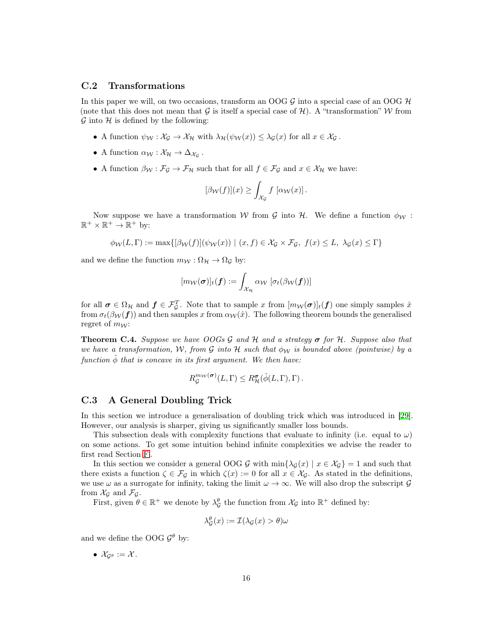#### C.2 Transformations

In this paper we will, on two occasions, transform an OOG  $G$  into a special case of an OOG  $H$ (note that this does not mean that  $G$  is itself a special case of  $H$ ). A "transformation" W from  $\mathcal G$  into  $\mathcal H$  is defined by the following:

- A function  $\psi_{\mathcal{W}} : \mathcal{X}_{\mathcal{G}} \to \mathcal{X}_{\mathcal{H}}$  with  $\lambda_{\mathcal{H}}(\psi_{\mathcal{W}}(x)) \leq \lambda_{\mathcal{G}}(x)$  for all  $x \in \mathcal{X}_{\mathcal{G}}$ .
- A function  $\alpha_{\mathcal{W}} : \mathcal{X}_{\mathcal{H}} \to \Delta_{\mathcal{X}_{\mathcal{G}}}$ .
- A function  $\beta_{\mathcal{W}} : \mathcal{F}_{\mathcal{G}} \to \mathcal{F}_{\mathcal{H}}$  such that for all  $f \in \mathcal{F}_{\mathcal{G}}$  and  $x \in \mathcal{X}_{\mathcal{H}}$  we have:

$$
[\beta_{\mathcal{W}}(f)](x) \geq \int_{\mathcal{X}_{\mathcal{G}}} f \, [\alpha_{\mathcal{W}}(x)].
$$

Now suppose we have a transformation W from G into H. We define a function  $\phi_{\mathcal{W}}$ :  $\mathbb{R}^+ \times \mathbb{R}^+ \to \mathbb{R}^+$  by:

$$
\phi_{\mathcal{W}}(L,\Gamma) := \max\{[\beta_{\mathcal{W}}(f)](\psi_{\mathcal{W}}(x)) \mid (x,f) \in \mathcal{X}_{\mathcal{G}} \times \mathcal{F}_{\mathcal{G}}, f(x) \leq L, \lambda_{\mathcal{G}}(x) \leq \Gamma\}
$$

and we define the function  $m_W : \Omega_{\mathcal{H}} \to \Omega_{\mathcal{G}}$  by:

$$
[m_{\mathcal{W}}(\boldsymbol{\sigma})]_t(\boldsymbol{f}) := \int_{\mathcal{X}_{\mathcal{H}}} \alpha_{\mathcal{W}} \, \left[ \sigma_t(\beta_{\mathcal{W}}(\boldsymbol{f})) \right]
$$

for all  $\sigma \in \Omega_{\mathcal{H}}$  and  $f \in \mathcal{F}_{\mathcal{G}}^T$ . Note that to sample x from  $[m_{\mathcal{W}}(\sigma)]_t(f)$  one simply samples x from  $\sigma_t(\beta_W(f))$  and then samples x from  $\alpha_W(\hat{x})$ . The following theorem bounds the generalised regret of  $m_W$ :

<span id="page-15-1"></span>Theorem C.4. *Suppose we have OOGs* G *and* H *and a strategy* σ *for* H*. Suppose also that we have a transformation,* W, from G *into* H *such that*  $\phi_W$  *is bounded above (pointwise) by a function*  $\hat{\phi}$  *that is concave in its first argument. We then have:* 

$$
R_{\mathcal{G}}^{m_{\mathcal{W}}}(\sigma)(L,\Gamma) \leq R_{\mathcal{H}}^{\sigma}(\hat{\phi}(L,\Gamma),\Gamma).
$$

#### <span id="page-15-0"></span>C.3 A General Doubling Trick

In this section we introduce a generalisation of doubling trick which was introduced in [\[29\]](#page-11-12). However, our analysis is sharper, giving us significantly smaller loss bounds.

This subsection deals with complexity functions that evaluate to infinity (i.e. equal to  $\omega$ ) on some actions. To get some intuition behind infinite complexities we advise the reader to first read Section [F](#page-40-0) .

In this section we consider a general OOG G with  $\min{\{\lambda_{\mathcal{G}}(x) | x \in \mathcal{X}_{\mathcal{G}}\}} = 1$  and such that there exists a function  $\zeta \in \mathcal{F}_{\mathcal{G}}$  in which  $\zeta(x) := 0$  for all  $x \in \mathcal{X}_{\mathcal{G}}$ . As stated in the definitions, we use  $\omega$  as a surrogate for infinity, taking the limit  $\omega \to \infty$ . We will also drop the subscript  $\mathcal G$ from  $\mathcal{X}_{\mathcal{G}}$  and  $\mathcal{F}_{\mathcal{G}}$ .

First, given  $\theta \in \mathbb{R}^+$  we denote by  $\lambda_{\mathcal{G}}^{\theta}$  the function from  $\mathcal{X}_{\mathcal{G}}$  into  $\mathbb{R}^+$  defined by:

$$
\lambda_{\mathcal{G}}^{\theta}(x) := \mathcal{I}(\lambda_{\mathcal{G}}(x) > \theta)\omega
$$

and we define the OOG  $\mathcal{G}^{\theta}$  by:

•  $\mathcal{X}_{G^{\theta}} := \mathcal{X}$ .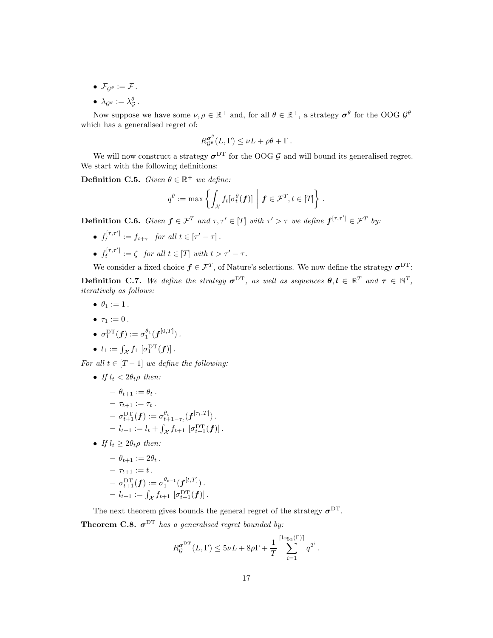- $\mathcal{F}_{G^{\theta}} := \mathcal{F}$ .
- $\bullet\ \lambda_{{\mathcal G}^\theta}:=\lambda_{\mathcal G}^\theta\,.$

Now suppose we have some  $\nu, \rho \in \mathbb{R}^+$  and, for all  $\theta \in \mathbb{R}^+$ , a strategy  $\sigma^{\theta}$  for the OOG  $\mathcal{G}^{\theta}$ which has a generalised regret of:

$$
R_{\mathcal{G}^{\theta}}^{\sigma^{\theta}}(L,\Gamma) \leq \nu L + \rho \theta + \Gamma.
$$

We will now construct a strategy  $\sigma^{DT}$  for the OOG  $\mathcal{G}$  and will bound its generalised regret. We start with the following definitions:

**Definition C.5.** *Given*  $\theta \in \mathbb{R}^+$  *we define:* 

$$
q^{\theta} := \max \left\{ \int_{\mathcal{X}} f_t[\sigma_t^{\theta}(\boldsymbol{f})] \mid \boldsymbol{f} \in \mathcal{F}^T, t \in [T] \right\}.
$$

**Definition C.6.** Given  $f \in \mathcal{F}^T$  and  $\tau, \tau' \in [T]$  with  $\tau' > \tau$  we define  $f^{[\tau,\tau']} \in \mathcal{F}^T$  by:

- $f_t^{[\tau,\tau']} := f_{t+\tau}$  for all  $t \in [\tau'-\tau]$ .
- $f_t^{[\tau,\tau']} := \zeta$  *for all*  $t \in [T]$  *with*  $t > \tau' \tau$ *.*

<span id="page-16-1"></span>We consider a fixed choice  $f \in \mathcal{F}^T$ , of Nature's selections. We now define the strategy  $\sigma^{DT}$ : **Definition C.7.** We define the strategy  $\sigma^{DT}$ , as well as sequences  $\theta, l \in \mathbb{R}^T$  and  $\tau \in \mathbb{N}^T$ , *iteratively as follows:*

- $\bullet$   $\theta_1 := 1$ .
- $\tau_1 := 0$ .

$$
\bullet \ \sigma_1^{\mathrm{DT}}(\boldsymbol{f}) := \sigma_1^{\theta_1}(\boldsymbol{f}^{[0,T]})\,.
$$

• 
$$
l_1 := \int_{\mathcal{X}} f_1 \left[ \sigma_1^{\mathrm{DT}}(\boldsymbol{f}) \right].
$$

*For all*  $t \in [T-1]$  *we define the following:* 

• *If*  $l_t < 2\theta_t \rho$  *then:* 

$$
- \theta_{t+1} := \theta_t.
$$
  
\n
$$
- \tau_{t+1} := \tau_t.
$$
  
\n
$$
- \sigma_{t+1}^{\mathsf{DT}}(\mathbf{f}) := \sigma_{t+1-\tau_t}^{\theta_t}(\mathbf{f}^{[\tau_t, T]}).
$$
  
\n
$$
- l_{t+1} := l_t + \int_{\mathcal{X}} f_{t+1} [\sigma_{t+1}^{\mathsf{DT}}(\mathbf{f})].
$$

• *If*  $l_t \geq 2\theta_t \rho$  *then:* 

$$
- \theta_{t+1} := 2\theta_t.
$$
  
-  $\tau_{t+1} := t.$   
-  $\sigma_{t+1}^{\mathcal{DT}}(\mathbf{f}) := \sigma_1^{\theta_{t+1}}(\mathbf{f}^{[t,T]}).$   
-  $l_{t+1} := \int_{\mathcal{X}} f_{t+1} [\sigma_{t+1}^{\mathcal{DT}}(\mathbf{f})].$ 

The next theorem gives bounds the general regret of the strategy  $\sigma^{DT}$ .

<span id="page-16-0"></span>**Theorem C.8.**  $\sigma^{DT}$  has a generalised regret bounded by:

$$
R_{\mathcal{G}}^{\sigma^{\mathrm{DT}}}(L,\Gamma) \leq 5\nu L + 8\rho\Gamma + \frac{1}{T}\sum_{i=1}^{\lceil \log_2(\Gamma) \rceil} q^{2^i}.
$$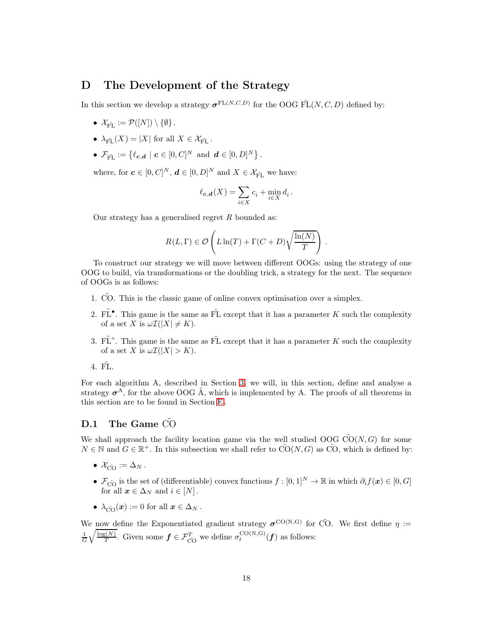## <span id="page-17-0"></span>D The Development of the Strategy

In this section we develop a strategy  $\sigma^{FL(N,C,D)}$  for the OOG  $\tilde{FL}(N, C, D)$  defined by:

- $\mathcal{X}_{\tilde{\text{FT}}} := \mathcal{P}([N]) \setminus \{\emptyset\}.$
- $\lambda_{\tilde{\mathrm{FT}}}(X) = |X|$  for all  $X \in \mathcal{X}_{\tilde{\mathrm{FT}}}$ .
- $\mathcal{F}_{\tilde{\mathrm{FL}}} := \{ \ell_{\boldsymbol{c},\boldsymbol{d}} \mid \boldsymbol{c} \in [0,C]^N \text{ and } \boldsymbol{d} \in [0,D]^N \}.$

where, for  $\mathbf{c} \in [0, C]^N$ ,  $\mathbf{d} \in [0, D]^N$  and  $X \in \mathcal{X}_{\tilde{\mathrm{FL}}}$  we have:

$$
\ell_{\mathbf{c},\mathbf{d}}(X) = \sum_{i \in X} c_i + \min_{i \in X} d_i.
$$

Our strategy has a generalised regret  $R$  bounded as:

$$
R(L,\Gamma) \in \mathcal{O}\left(L\ln(T) + \Gamma(C+D)\sqrt{\frac{\ln(N)}{T}}\right).
$$

To construct our strategy we will move between different OOGs: using the strategy of one OOG to build, via transformations or the doubling trick, a strategy for the next. The sequence of OOGs is as follows:

- 1. CO. This is the classic game of online convex optimisation over a simplex.
- 2. FL<sup> $\bullet$ </sup>. This game is the same as FL except that it has a parameter K such the complexity of a set X is  $\omega \mathcal{I}(|X| \neq K)$ .
- 3. FL<sup> $\circ$ </sup>. This game is the same as FL except that it has a parameter K such the complexity of a set X is  $\omega \mathcal{I}(|X| > K)$ .

4. FL.

For each algorithm A, described in Section [3,](#page-5-0) we will, in this section, define and analyse a strategy  $\sigma^A$ , for the above OOG  $\tilde{A}$ , which is implemented by A. The proofs of all theorems in this section are to be found in Section [E](#page-20-0) .

## D.1 The Game CO

We shall approach the facility location game via the well studied OOG  $\tilde{CO}(N, G)$  for some  $N \in \mathbb{N}$  and  $G \in \mathbb{R}^+$ . In this subsection we shall refer to  $\tilde{CO}(N, G)$  as  $\tilde{CO}$ , which is defined by:

- $\mathcal{X}_{\tilde{\mathrm{CO}}} := \Delta_N$ .
- $\mathcal{F}_{\tilde{C}}$  is the set of (differentiable) convex functions  $f : [0,1]^N \to \mathbb{R}$  in which  $\partial_i f(x) \in [0, G]$ for all  $x \in \Delta_N$  and  $i \in [N]$ .
- $\lambda_{\tilde{CO}}(x) := 0$  for all  $x \in \Delta_N$ .

We now define the Exponentiated gradient strategy  $\sigma^{\text{CO}(N,G)}$  for CO. We first define  $\eta :=$  $\frac{1}{G}\sqrt{\frac{\log(N)}{T}}$ . Given some  $f \in \mathcal{F}_{\tilde{CO}}^T$  we define  $\sigma_t^{\text{CO}(N,G)}(f)$  as follows: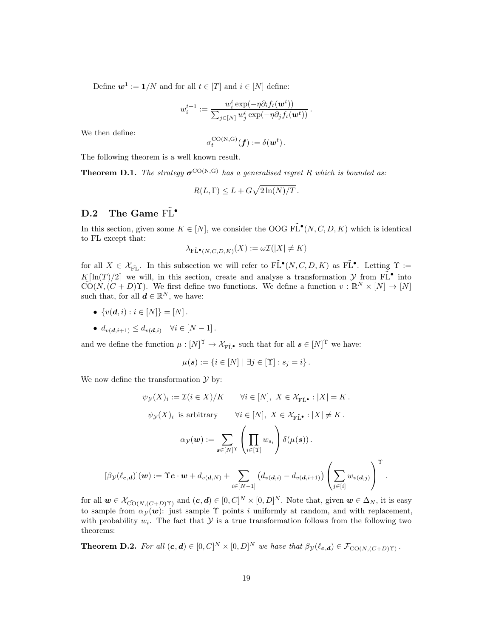Define  $\mathbf{w}^1 := \mathbf{1}/N$  and for all  $t \in [T]$  and  $i \in [N]$  define:

$$
w_i^{t+1} := \frac{w_i^t \exp(-\eta \partial_i f_t(\boldsymbol{w}^t))}{\sum_{j \in [N]} w_j^t \exp(-\eta \partial_j f_t(\boldsymbol{w}^t))}.
$$

We then define:

$$
\sigma_t^{\mathrm{CO(N,G)}}(\pmb{f}) := \delta(\pmb{w}^t)\,.
$$

The following theorem is a well known result.

<span id="page-18-0"></span>**Theorem D.1.** *The strategy*  $\sigma^{\text{CO}(N,G)}$  *has a generalised regret* R *which is bounded as:* 

$$
R(L,\Gamma) \leq L + G\sqrt{2\ln(N)/T}.
$$

# D.2 The Game  $\tilde{FL}^{\bullet}$

In this section, given some  $K \in [N]$ , we consider the OOG  $\tilde{\mathrm{FL}}^{\bullet}(N, C, D, K)$  which is identical to FL except that:

$$
\lambda_{\mathrm{F\tilde{L}^\bullet}(N,C,D,K)}(X):=\omega\mathcal{I}(|X|\neq K)
$$

for all  $X \in \mathcal{X}_{\widetilde{\mathrm{FL}}}$ . In this subsection we will refer to  $\widetilde{\mathrm{FL}}^{\bullet}(N, C, D, K)$  as  $\widetilde{\mathrm{FL}}^{\bullet}$ . Letting  $\Upsilon :=$  $K[\ln(T)/2]$  we will, in this section, create and analyse a transformation  $\mathcal{Y}$  from  $\tilde{FL}^{\bullet}$  into  $\widetilde{\mathrm{CO}}(N,(C+D)\Upsilon)$ . We first define two functions. We define a function  $v : \mathbb{R}^N \times [N] \to [N]$ such that, for all  $\mathbf{d} \in \mathbb{R}^N$ , we have:

- $\{v(\boldsymbol{d}, i) : i \in [N]\} = [N]$ .
- $d_{v(\boldsymbol{d},i+1)} \leq d_{v(\boldsymbol{d},i)}$   $\forall i \in [N-1]$ .

and we define the function  $\mu : [N]^{\Upsilon} \to \mathcal{X}_{\mathbf{F}\tilde{\mathbf{L}}^{\bullet}}$  such that for all  $s \in [N]^{\Upsilon}$  we have:

$$
\mu(\mathbf{s}) := \{ i \in [N] \mid \exists j \in [\Upsilon] : s_j = i \}.
$$

We now define the transformation  $\mathcal Y$  by:

$$
\psi_{\mathcal{Y}}(X)_i := \mathcal{I}(i \in X)/K \qquad \forall i \in [N], \ X \in \mathcal{X}_{\mathbf{F}\tilde{\mathbf{L}}^{\bullet}} : |X| = K.
$$

$$
\psi_{\mathcal{Y}}(X)_i \text{ is arbitrary} \qquad \forall i \in [N], \ X \in \mathcal{X}_{\mathbf{F}\tilde{\mathbf{L}}^{\bullet}} : |X| \neq K.
$$

$$
\alpha_{\mathcal{Y}}(\mathbf{w}) := \sum_{\mathbf{s} \in [N]^{\Upsilon}} \left(\prod_{i \in [\Upsilon]} w_{s_i}\right) \delta(\mu(\mathbf{s})).
$$

$$
[\beta_{\mathcal{Y}}(\ell_{\mathbf{c},\mathbf{d}})](\mathbf{w}) := \Upsilon \mathbf{c} \cdot \mathbf{w} + d_{\nu(\mathbf{d},N)} + \sum_{i \in [N-1]} \left(d_{\nu(\mathbf{d},i)} - d_{\nu(\mathbf{d},i+1)}\right) \left(\sum_{j \in [i]} w_{\nu(\mathbf{d},j)}\right)^{\Upsilon}
$$

.

for all  $w \in \mathcal{X}_{\tilde{CO}(N,(C+D)\Upsilon)}$  and  $(c,d) \in [0,C]^N \times [0,D]^N$ . Note that, given  $w \in \Delta_N$ , it is easy to sample from  $\alpha_{\mathcal{Y}}(w)$ : just sample  $\Upsilon$  points i uniformly at random, and with replacement, with probability  $w_i$ . The fact that  $\mathcal Y$  is a true transformation follows from the following two theorems:

<span id="page-18-1"></span>**Theorem D.2.** For all  $(c, d) \in [0, C]^N \times [0, D]^N$  we have that  $\beta_{\mathcal{Y}}(\ell_{c,d}) \in \mathcal{F}_{\text{CO}(N,(C+D)\Upsilon)}$ .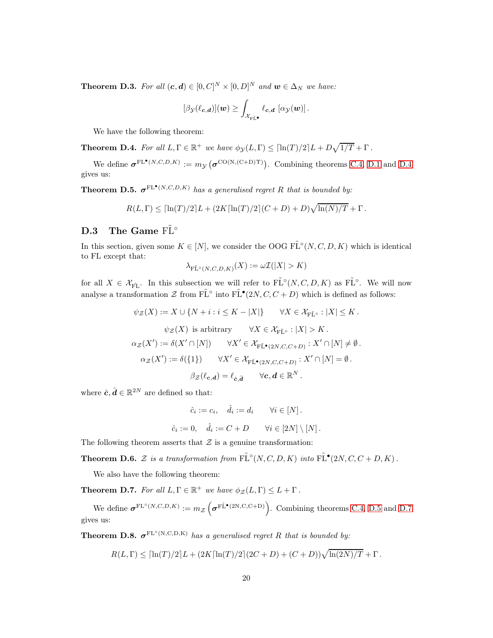<span id="page-19-4"></span>**Theorem D.3.** For all  $(c,d) \in [0,C]^N \times [0,D]^N$  and  $w \in \Delta_N$  we have:

$$
[\beta_{\mathcal{Y}}(\ell_{\boldsymbol{c},\boldsymbol{d}})](\boldsymbol{w}) \geq \int_{\mathcal{X}_{\mathrm{F}\tilde{\boldsymbol{L}}^{\bullet}}} \ell_{\boldsymbol{c},\boldsymbol{d}}\, [\alpha_{\mathcal{Y}}(\boldsymbol{w})]\,.
$$

We have the following theorem:

<span id="page-19-0"></span>**Theorem D.4.** *For all*  $L, \Gamma \in \mathbb{R}^+$  *we have*  $\phi_{\mathcal{Y}}(L, \Gamma) \leq [\ln(T)/2]L + D\sqrt{1/T} + \Gamma$ .

We define  $\sigma^{\text{FL}^{\bullet}(N,C,D,K)} := m_{\mathcal{Y}}(\sigma^{\text{CO}(N,(C+D)\Upsilon)})$ . Combining theorems [C.4,](#page-15-1) [D.1](#page-18-0) and [D.4](#page-19-0) gives us:

<span id="page-19-1"></span>**Theorem D.5.**  $\sigma^{\text{FL}^{\bullet}(N,C,D,K)}$  *has a generalised regret* R *that is bounded by:* 

$$
R(L,\Gamma) \leq \left[\ln(T)/2\right]L + \left(2K\left[\ln(T)/2\right](C+D) + D\right)\sqrt{\ln(N)/T} + \Gamma.
$$

# D.3 The Game  $\tilde{FL}^{\circ}$

In this section, given some  $K \in [N]$ , we consider the OOG  $\tilde{\mathrm{FL}}^{\circ}(N, C, D, K)$  which is identical to FL except that:

$$
\lambda_{\mathrm{F\tilde{L}}^{\circ}(N,C,D,K)}(X):=\omega\mathcal{I}(|X|>K)
$$

for all  $X \in \mathcal{X}_{\widetilde{\mathrm{FL}}}$ . In this subsection we will refer to  $\widetilde{\mathrm{FL}}^{\circ}(N, C, D, K)$  as  $\widetilde{\mathrm{FL}}^{\circ}$ . We will now analyse a transformation  $\mathcal Z$  from  $\tilde{\mathrm{FL}}^{\circ}$  into  $\tilde{\mathrm{FL}}^{\bullet}(2N, C, C+D)$  which is defined as follows:

$$
\psi_{\mathcal{Z}}(X) := X \cup \{ N + i : i \leq K - |X| \} \qquad \forall X \in \mathcal{X}_{\mathrm{F}\tilde{\mathrm{L}}^{\circ}} : |X| \leq K.
$$

$$
\psi_{\mathcal{Z}}(X) \text{ is arbitrary} \qquad \forall X \in \mathcal{X}_{\mathrm{F}\tilde{\mathrm{L}}^{\circ}} : |X| > K.
$$

$$
\alpha_{\mathcal{Z}}(X') := \delta(X' \cap [N]) \qquad \forall X' \in \mathcal{X}_{\mathrm{F}\tilde{\mathrm{L}}^{\bullet}(2N,C,C+D)} : X' \cap [N] \neq \emptyset.
$$

$$
\alpha_{\mathcal{Z}}(X') := \delta(\{1\}) \qquad \forall X' \in \mathcal{X}_{\mathrm{F}\tilde{\mathrm{L}}^{\bullet}(2N,C,C+D)} : X' \cap [N] = \emptyset.
$$

$$
\beta_{\mathcal{Z}}(\ell_{c,d}) = \ell_{\hat{c},\hat{d}} \qquad \forall c, d \in \mathbb{R}^{N}.
$$

where  $\hat{\mathbf{c}}, \hat{\mathbf{d}} \in \mathbb{R}^{2N}$  are defined so that:

$$
\hat{c}_i := c_i, \quad \hat{d}_i := d_i \qquad \forall i \in [N].
$$
  

$$
\hat{c}_i := 0, \quad \hat{d}_i := C + D \qquad \forall i \in [2N] \setminus [N].
$$

The following theorem asserts that  $\mathcal Z$  is a genuine transformation:

<span id="page-19-5"></span>**Theorem D.6.** Z is a transformation from  $\tilde{\mathrm{FL}}^{\circ}(N, C, D, K)$  into  $\tilde{\mathrm{FL}}^{\bullet}(2N, C, C + D, K)$ .

We also have the following theorem:

<span id="page-19-2"></span>**Theorem D.7.** For all  $L, \Gamma \in \mathbb{R}^+$  we have  $\phi_{\mathcal{Z}}(L, \Gamma) \leq L + \Gamma$ .

We define  $\sigma^{\text{FL}^{\circ}(N,C,D,K)} := m_{\mathcal{Z}}\left(\sigma^{\text{FL}^{\bullet}(2N,C,C+D)}\right)$ . Combining theorems [C.4,](#page-15-1) [D.5](#page-19-1) and [D.7](#page-19-2) gives us:

<span id="page-19-3"></span>**Theorem D.8.**  $\sigma^{\text{FL}^{\circ}(\text{N},\text{C},\text{D},\text{K})}$  *has a generalised regret* R *that is bounded by:* 

$$
R(L,\Gamma) \leq \left[ \ln(T)/2 \right] L + \left( 2K \left[ \ln(T)/2 \right] (2C+D) + (C+D) \right) \sqrt{\ln(2N)/T} + \Gamma.
$$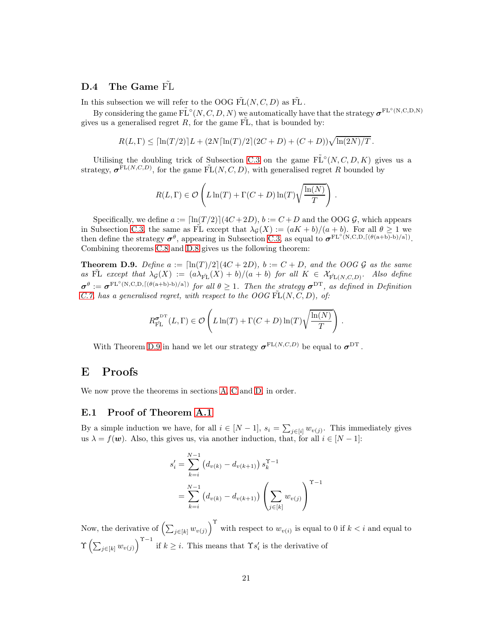## <span id="page-20-1"></span>D.4 The Game FL

In this subsection we will refer to the OOG  $\tilde{FL}(N, C, D)$  as  $\tilde{FL}$ .

By considering the game  $\tilde{\mathrm{FL}}^\circ(N, C, D, N)$  we automatically have that the strategy  $\sigma^{\mathrm{FL}^\circ(N, C, D, N)}$ gives us a generalised regret  $R$ , for the game FL, that is bounded by:

$$
R(L,\Gamma) \leq \left[ \ln(T/2) \right] L + (2N \left[ \ln(T)/2 \right] (2C+D) + (C+D) \sqrt{\ln(2N)/T}.
$$

Utilising the doubling trick of Subsection [C.3](#page-15-0) on the game  $\tilde{\mathrm{FL}}^\circ(N, C, D, K)$  gives us a strategy,  $\sigma^{\text{FL}(N,C,D)}$ , for the game  $\tilde{\text{FL}}(N, C, D)$ , with generalised regret R bounded by

$$
R(L,\Gamma) \in \mathcal{O}\left(L\ln(T) + \Gamma(C+D)\ln(T)\sqrt{\frac{\ln(N)}{T}}\right)
$$

.

Specifically, we define  $a := \left[\ln(T/2)\right](4C+2D)$ ,  $b := C + D$  and the OOG G, which appears in Subsection [C.3,](#page-15-0) the same as FL except that  $\lambda_{\mathcal{G}}(X) := (aK + b)/(a + b)$ . For all  $\theta \geq 1$  we then define the strategy  $\sigma^{\theta}$ , appearing in Subsection [C.3,](#page-15-0) as equal to  $\sigma^{\text{FL}^{\circ}(N,C,D,\lceil(\theta(a+b)-b)/a\rceil)}$ . Combining theorems [C.8](#page-16-0) and [D.8](#page-19-3) gives us the following theorem:

<span id="page-20-2"></span>**Theorem D.9.** *Define*  $a := \left[\ln(T)/2\right](4C + 2D)$ *,*  $b := C + D$ *, and the OOG G as the same*  $as \tilde{FL} except that \lambda_{\mathcal{G}}(X) := (a\lambda_{\tilde{FL}}(X) + b)/(a + b)$  *for all*  $K \in \mathcal{X}_{\tilde{FL}(N,C,D)}$ *. Also define*  $\sigma^{\theta} := \sigma^{\text{FL}^{\circ}(\text{N},\text{C},\text{D},\lceil(\theta(\text{a}+\text{b})-\text{b})/\text{a}\rceil)}$  for all  $\theta \geq 1$ . Then the strategy  $\sigma^{\text{DT}}$ , as defined in Definition *[C.7,](#page-16-1)* has a generalised regret, with respect to the OOG  $FL(N, C, D)$ , of:

$$
R_{\tilde{\mathrm{PL}}}^{\sigma^{\mathrm{DT}}}(L,\Gamma) \in \mathcal{O}\left(L\ln(T) + \Gamma(C+D)\ln(T)\sqrt{\frac{\ln(N)}{T}}\right)\,.
$$

With Theorem [D.9](#page-20-2) in hand we let our strategy  $\sigma^{\text{FL}(N,C,D)}$  be equal to  $\sigma^{\text{DT}}$ .

## <span id="page-20-0"></span>E Proofs

We now prove the theorems in sections [A,](#page-11-9) [C](#page-13-0) and [D,](#page-17-0) in order.

#### E.1 Proof of Theorem [A.1](#page-12-2)

By a simple induction we have, for all  $i \in [N-1]$ ,  $s_i = \sum_{j \in [i]} w_{v(j)}$ . This immediately gives us  $\lambda = f(\boldsymbol{w})$ . Also, this gives us, via another induction, that, for all  $i \in [N-1]$ :

$$
s'_{i} = \sum_{k=i}^{N-1} (d_{v(k)} - d_{v(k+1)}) s_{k}^{\Upsilon - 1}
$$
  
= 
$$
\sum_{k=i}^{N-1} (d_{v(k)} - d_{v(k+1)}) \left( \sum_{j \in [k]} w_{v(j)} \right)^{\Upsilon - 1}
$$

Now, the derivative of  $\left(\sum_{j\in[k]} w_{v(j)}\right)^{\Upsilon}$  with respect to  $w_{v(i)}$  is equal to 0 if  $k < i$  and equal to  $\Upsilon\left(\sum_{j\in[k]}w_{v(j)}\right)^{\Upsilon-1}$  if  $k\geq i$ . This means that  $\Upsilon s'_{i}$  is the derivative of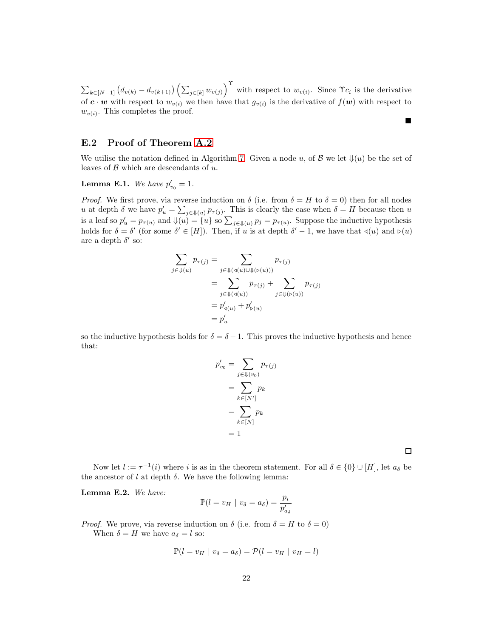$\sum_{k\in[N-1]} (d_{v(k)} - d_{v(k+1)}) \left( \sum_{j\in[k]} w_{v(j)} \right)^{\Upsilon}$  with respect to  $w_{v(i)}$ . Since  $\Upsilon_{c_i}$  is the derivative of  $c \cdot w$  with respect to  $w_{v(i)}$  we then have that  $g_{v(i)}$  is the derivative of  $f(w)$  with respect to  $w_{v(i)}$ . This completes the proof.

### E.2 Proof of Theorem [A.2](#page-12-3)

We utilise the notation defined in Algorithm [7.](#page-13-1) Given a node u, of  $\mathcal{B}$  we let  $\mathcal{L}(u)$  be the set of leaves of  $\beta$  which are descendants of  $u$ .

# <span id="page-21-1"></span>**Lemma E.1.** We have  $p'_{v_0} = 1$ .

*Proof.* We first prove, via reverse induction on  $\delta$  (i.e. from  $\delta = H$  to  $\delta = 0$ ) then for all nodes u at depth  $\delta$  we have  $p'_u = \sum_{j \in \mathcal{Y}(u)} p_{\tau(j)}$ . This is clearly the case when  $\delta = H$  because then u is a leaf so  $p'_u = p_{\tau(u)}$  and  $\psi(u) = \{u\}$  so  $\sum_{j \in \psi(u)} p_j = p_{\tau(u)}$ . Suppose the inductive hypothesis holds for  $\delta = \delta'$  (for some  $\delta' \in [H]$ ). Then, if u is at depth  $\delta' - 1$ , we have that  $\triangleleft(u)$  and  $\triangleright(u)$ are a depth  $\delta'$  so:

$$
\sum_{j \in \mathcal{J}(u)} p_{\tau(j)} = \sum_{j \in \mathcal{J}(\mathcal{A}(u) \cup \mathcal{J}(\mathcal{D}(u)))} p_{\tau(j)}
$$

$$
= \sum_{j \in \mathcal{J}(\mathcal{A}(u))} p_{\tau(j)} + \sum_{j \in \mathcal{J}(\mathcal{D}(u))} p_{\tau(j)}
$$

$$
= p'_{\mathcal{A}(u)} + p'_{\mathcal{D}(u)}
$$

$$
= p'_{u}
$$

so the inductive hypothesis holds for  $\delta = \delta - 1$ . This proves the inductive hypothesis and hence that:

$$
p'_{v_0} = \sum_{j \in \mathbb{U}(v_0)} p_{\tau(j)}
$$

$$
= \sum_{k \in [N']} p_k
$$

$$
= \sum_{k \in [N]} p_k
$$

$$
= 1
$$

 $\Box$ 

■

Now let  $l := \tau^{-1}(i)$  where i is as in the theorem statement. For all  $\delta \in \{0\} \cup [H]$ , let  $a_{\delta}$  be the ancestor of  $l$  at depth  $\delta$ . We have the following lemma:

<span id="page-21-0"></span>Lemma E.2. *We have:*

$$
\mathbb{P}(l = v_H \mid v_\delta = a_\delta) = \frac{p_i}{p_{a_\delta}'}
$$

*Proof.* We prove, via reverse induction on  $\delta$  (i.e. from  $\delta = H$  to  $\delta = 0$ ) When  $\delta = H$  we have  $a_{\delta} = l$  so:

$$
\mathbb{P}(l = v_H \mid v_\delta = a_\delta) = \mathcal{P}(l = v_H \mid v_H = l)
$$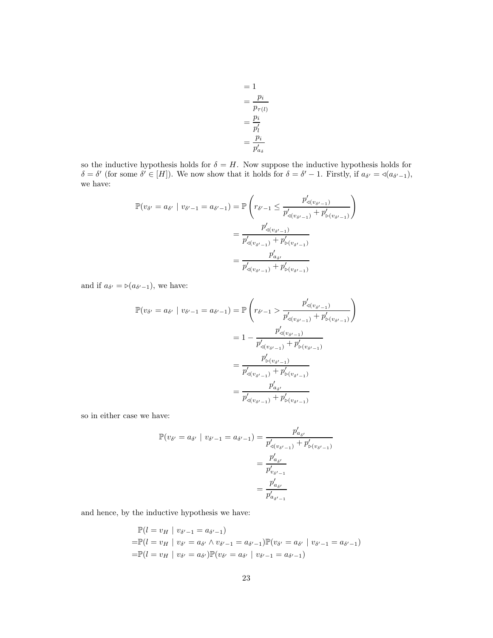$$
= 1
$$
  
= 
$$
\frac{p_i}{p_{\tau(l)}}
$$
  
= 
$$
\frac{p_i}{p'_l}
$$
  
= 
$$
\frac{p_i}{p'_{a_{\delta}}}
$$

so the inductive hypothesis holds for  $\delta = H$ . Now suppose the inductive hypothesis holds for  $\delta = \delta'$  (for some  $\delta' \in [H]$ ). We now show that it holds for  $\delta = \delta' - 1$ . Firstly, if  $a_{\delta'} = \triangleleft (a_{\delta'-1})$ , we have:

$$
\mathbb{P}(v_{\delta'} = a_{\delta'} \mid v_{\delta'-1} = a_{\delta'-1}) = \mathbb{P}\left(r_{\delta'-1} \le \frac{p'_{\triangleleft(v_{\delta'-1})}}{p'_{\triangleleft(v_{\delta'-1})} + p'_{\triangleright(v_{\delta'-1})}}\right)\n= \frac{p'_{\triangleleft(v_{\delta'-1})}}{p'_{\triangleleft(v_{\delta'-1})} + p'_{\triangleright(v_{\delta'-1})}}\n= \frac{p'_{\triangleleft(v_{\delta'-1})}}{p'_{\triangleleft(v_{\delta'-1})} + p'_{\triangleright(v_{\delta'-1})}}
$$

and if  $a_{\delta'} = \succeq (a_{\delta'-1})$ , we have:

$$
\mathbb{P}(v_{\delta'} = a_{\delta'} \mid v_{\delta'-1} = a_{\delta'-1}) = \mathbb{P}\left(r_{\delta'-1} > \frac{p'_{\triangleleft(v_{\delta'-1})}}{p'_{\triangleleft(v_{\delta'-1})} + p'_{\triangleright(v_{\delta'-1})}}\right)\n= 1 - \frac{p'_{\triangleleft(v_{\delta'-1})}}{p'_{\triangleleft(v_{\delta'-1})} + p'_{\triangleright(v_{\delta'-1})}}\n= \frac{p'_{\triangleright(v_{\delta'-1})}}{p'_{\triangleleft(v_{\delta'-1})} + p'_{\triangleright(v_{\delta'-1})}}\n= \frac{p'_{\triangleleft(v_{\delta'-1})}}{p'_{\triangleleft(v_{\delta'-1})} + p'_{\triangleright(v_{\delta'-1})}}
$$

so in either case we have:

$$
\mathbb{P}(v_{\delta'} = a_{\delta'} \mid v_{\delta'-1} = a_{\delta'-1}) = \frac{p'_{a_{\delta'}}}{p'_{a(v_{\delta'-1})} + p'_{b(v_{\delta'-1})}}
$$

$$
= \frac{p'_{a_{\delta'}}}{p'_{a_{\delta'}}}
$$

$$
= \frac{p'_{a_{\delta'}}}{p'_{a_{\delta'-1}}}
$$

and hence, by the inductive hypothesis we have:

$$
\mathbb{P}(l = v_H | v_{\delta'-1} = a_{\delta'-1})
$$
  
=  $\mathbb{P}(l = v_H | v_{\delta'} = a_{\delta'} \land v_{\delta'-1} = a_{\delta'-1}) \mathbb{P}(v_{\delta'} = a_{\delta'} | v_{\delta'-1} = a_{\delta'-1})$   
=  $\mathbb{P}(l = v_H | v_{\delta'} = a_{\delta'}) \mathbb{P}(v_{\delta'} = a_{\delta'} | v_{\delta'-1} = a_{\delta'-1})$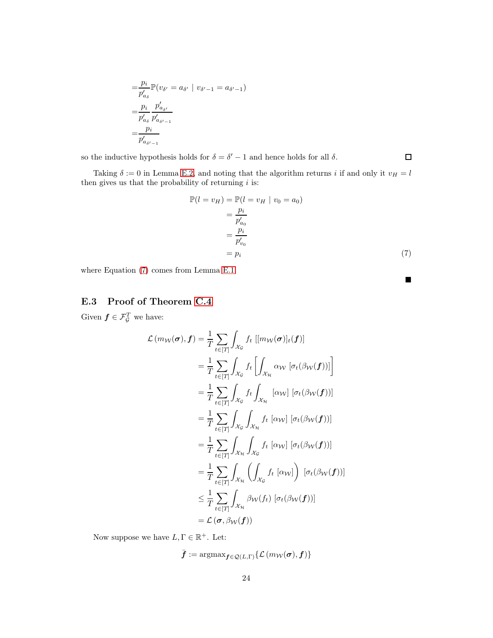$$
= \frac{p_i}{p'_{a_{\delta}}} \mathbb{P}(v_{\delta'} = a_{\delta'} | v_{\delta'-1} = a_{\delta'-1})
$$
  
= 
$$
\frac{p_i}{p'_{a_{\delta}}} \frac{p'_{a_{\delta'}}}{p'_{a_{\delta'-1}}}
$$
  
= 
$$
\frac{p_i}{p'_{a_{\delta'-1}}}
$$

so the inductive hypothesis holds for  $\delta = \delta' - 1$  and hence holds for all  $\delta$ .

Taking  $\delta := 0$  in Lemma [E.2,](#page-21-0) and noting that the algorithm returns i if and only it  $v_H = l$ then gives us that the probability of returning  $i$  is:

$$
\mathbb{P}(l = v_H) = \mathbb{P}(l = v_H \mid v_0 = a_0)
$$

$$
= \frac{p_i}{p'_{a_0}}
$$

$$
= \frac{p_i}{p'_{v_0}}
$$

$$
= p_i \tag{7}
$$

<span id="page-23-0"></span> $\blacksquare$ 

 $\Box$ 

where Equation [\(7\)](#page-23-0) comes from Lemma [E.1.](#page-21-1)

# E.3 Proof of Theorem [C.4](#page-15-1)

Given  $f \in \mathcal{F}_{\mathcal{G}}^T$  we have:

$$
\mathcal{L}(m_{W}(\sigma), \mathbf{f}) = \frac{1}{T} \sum_{t \in [T]} \int_{\mathcal{X}_{\mathcal{G}}} f_{t} \left[ [m_{W}(\sigma)]_{t}(\mathbf{f}) \right]
$$
\n
$$
= \frac{1}{T} \sum_{t \in [T]} \int_{\mathcal{X}_{\mathcal{G}}} f_{t} \left[ \int_{\mathcal{X}_{\mathcal{H}}} \alpha_{W} \left[ \sigma_{t}(\beta_{W}(\mathbf{f})) \right] \right]
$$
\n
$$
= \frac{1}{T} \sum_{t \in [T]} \int_{\mathcal{X}_{\mathcal{G}}} f_{t} \int_{\mathcal{X}_{\mathcal{H}}} \left[ \alpha_{W} \right] \left[ \sigma_{t}(\beta_{W}(\mathbf{f})) \right]
$$
\n
$$
= \frac{1}{T} \sum_{t \in [T]} \int_{\mathcal{X}_{\mathcal{G}}} \int_{\mathcal{X}_{\mathcal{H}}} f_{t} \left[ \alpha_{W} \right] \left[ \sigma_{t}(\beta_{W}(\mathbf{f})) \right]
$$
\n
$$
= \frac{1}{T} \sum_{t \in [T]} \int_{\mathcal{X}_{\mathcal{H}}} \int_{\mathcal{X}_{\mathcal{G}}} f_{t} \left[ \alpha_{W} \right] \left[ \sigma_{t}(\beta_{W}(\mathbf{f})) \right]
$$
\n
$$
= \frac{1}{T} \sum_{t \in [T]} \int_{\mathcal{X}_{\mathcal{H}}} \left( \int_{\mathcal{X}_{\mathcal{G}}} f_{t} \left[ \alpha_{W} \right] \right) \left[ \sigma_{t}(\beta_{W}(\mathbf{f})) \right]
$$
\n
$$
\leq \frac{1}{T} \sum_{t \in [T]} \int_{\mathcal{X}_{\mathcal{H}}} \beta_{W}(f_{t}) \left[ \sigma_{t}(\beta_{W}(\mathbf{f})) \right]
$$
\n
$$
= \mathcal{L}(\sigma, \beta_{W}(\mathbf{f}))
$$

Now suppose we have  $L, \Gamma \in \mathbb{R}^+$ . Let:

$$
\bar{\pmb{f}} := \mathop{\mathrm{argmax}}_{\pmb{f} \in \mathcal{Q}(L,\Gamma)} \{\mathcal{L}\left(m_{\mathcal{W}}(\pmb{\sigma}), \pmb{f}\right)\}
$$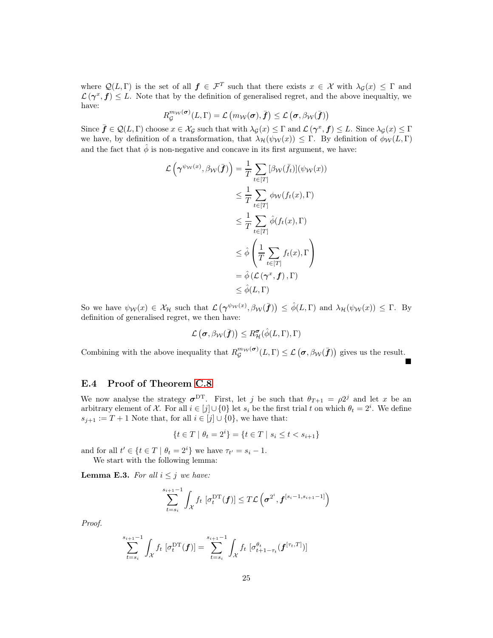where  $Q(L, \Gamma)$  is the set of all  $f \in \mathcal{F}^T$  such that there exists  $x \in \mathcal{X}$  with  $\lambda_{\mathcal{G}}(x) \leq \Gamma$  and  $\mathcal{L}(\gamma^x, \mathbf{f}) \leq L$ . Note that by the definition of generalised regret, and the above inequaltiy, we have:

$$
R_{\mathcal{G}}^{m_{\mathcal{W}}}(\boldsymbol{\sigma})(L,\Gamma)=\mathcal{L}\left(m_{\mathcal{W}}(\boldsymbol{\sigma}),\bar{\boldsymbol{f}}\right)\leq\mathcal{L}\left(\boldsymbol{\sigma},\beta_{\mathcal{W}}(\bar{\boldsymbol{f}})\right)
$$

Since  $\bar{\boldsymbol{f}} \in \mathcal{Q}(L, \Gamma)$  choose  $x \in \mathcal{X}_{\mathcal{G}}$  such that with  $\lambda_{\mathcal{G}}(x) \leq \Gamma$  and  $\mathcal{L}(\boldsymbol{\gamma}^x, \boldsymbol{f}) \leq L$ . Since  $\lambda_{\mathcal{G}}(x) \leq \Gamma$ we have, by definition of a transformation, that  $\lambda_{\mathcal{H}}(\psi_{\mathcal{W}}(x)) \leq \Gamma$ . By definition of  $\phi_{\mathcal{W}}(L, \Gamma)$ and the fact that  $\hat{\phi}$  is non-negative and concave in its first argument, we have:

$$
\mathcal{L}\left(\gamma^{\psi_{\mathcal{W}}(x)}, \beta_{\mathcal{W}}(\bar{f})\right) = \frac{1}{T} \sum_{t \in [T]} [\beta_{\mathcal{W}}(\bar{f}_{t})](\psi_{\mathcal{W}}(x))
$$
  
\n
$$
\leq \frac{1}{T} \sum_{t \in [T]} \phi_{\mathcal{W}}(f_t(x), \Gamma)
$$
  
\n
$$
\leq \frac{1}{T} \sum_{t \in [T]} \hat{\phi}(f_t(x), \Gamma)
$$
  
\n
$$
\leq \hat{\phi}\left(\frac{1}{T} \sum_{t \in [T]} f_t(x), \Gamma\right)
$$
  
\n
$$
= \hat{\phi}\left(\mathcal{L}\left(\gamma^x, f\right), \Gamma\right)
$$
  
\n
$$
\leq \hat{\phi}(L, \Gamma)
$$

So we have  $\psi_{\mathcal{W}}(x) \in \mathcal{X}_{\mathcal{H}}$  such that  $\mathcal{L}(\gamma^{\psi_{\mathcal{W}}(x)}, \beta_{\mathcal{W}}(\bar{f})) \leq \hat{\phi}(L, \Gamma)$  and  $\lambda_{\mathcal{H}}(\psi_{\mathcal{W}}(x)) \leq \Gamma$ . By definition of generalised regret, we then have:

$$
\mathcal{L}\left(\pmb{\sigma},\beta_{\mathcal{W}}(\bar{\pmb{f}})\right)\leq R_{\mathcal{H}}^{\pmb{\sigma}}(\hat{\phi}(L,\Gamma),\Gamma)
$$

Combining with the above inequality that  $R_{\mathcal{G}}^{m_{\mathcal{W}}}(\sigma)(L,\Gamma) \leq \mathcal{L}(\sigma, \beta_{\mathcal{W}}(\bar{f}))$  gives us the result.  $\blacksquare$ 

### E.4 Proof of Theorem [C.8](#page-16-0)

We now analyse the strategy  $\sigma^{DT}$ . First, let j be such that  $\theta_{T+1} = \rho 2^j$  and let x be an arbitrary element of X. For all  $i \in [j] \cup \{0\}$  let  $s_i$  be the first trial t on which  $\theta_t = 2^i$ . We define  $s_{i+1} := T + 1$  Note that, for all  $i \in [j] \cup \{0\}$ , we have that:

$$
\{t \in T \mid \theta_t = 2^i\} = \{t \in T \mid s_i \le t < s_{i+1}\}
$$

and for all  $t' \in \{t \in T \mid \theta_t = 2^i\}$  we have  $\tau_{t'} = s_i - 1$ . We start with the following lemma:

<span id="page-24-0"></span>**Lemma E.3.** For all  $i \leq j$  we have:

$$
\sum_{t=s_i}^{s_{i+1}-1} \int_{\mathcal{X}} f_t \, \left[ \sigma_t^{\mathrm{DT}}(\boldsymbol{f}) \right] \leq T \mathcal{L} \left( \boldsymbol{\sigma}^{2^i}, \boldsymbol{f}^{[s_i-1, s_{i+1}-1]} \right)
$$

*Proof.*

$$
\sum_{t=s_i}^{s_{i+1}-1} \int_{\mathcal{X}} f_t \left[ \sigma_t^{\mathrm{DT}}(\boldsymbol{f}) \right] = \sum_{t=s_i}^{s_{i+1}-1} \int_{\mathcal{X}} f_t \left[ \sigma_{t+1-\tau_t}^{\theta_t}(\boldsymbol{f}^{[\tau_t,T]}) \right]
$$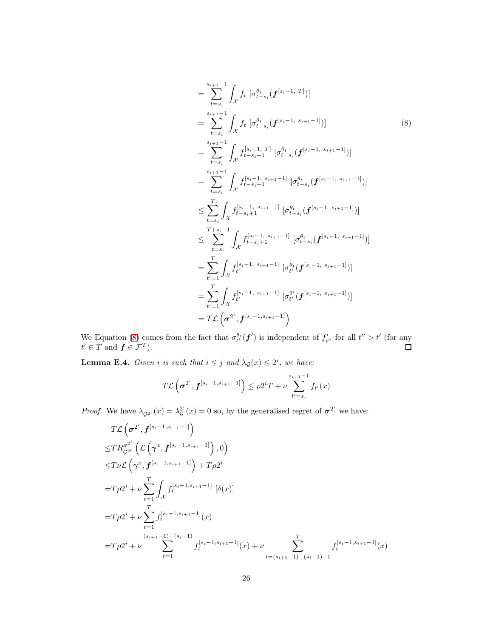<span id="page-25-0"></span>
$$
= \sum_{t=s_{i}}^{s_{i+1}-1} \int_{\mathcal{X}} f_{t} \left[ \sigma_{t-s_{i}}^{\theta_{t}}(f^{[s_{i}-1, T]}) \right]
$$
\n
$$
= \sum_{t=s_{i}}^{s_{i+1}-1} \int_{\mathcal{X}} f_{t} \left[ \sigma_{t-s_{i}}^{\theta_{t}}(f^{[s_{i}-1, s_{i+1}-1]}) \right]
$$
\n
$$
= \sum_{t=s_{i}}^{s_{i+1}-1} \int_{\mathcal{X}} f^{[s_{i}-1, T]}_{t-s_{i}+1} \left[ \sigma_{t-s_{i}}^{\theta_{t}}(f^{[s_{i}-1, s_{i+1}-1]}) \right]
$$
\n
$$
= \sum_{t=s_{i}}^{s_{i+1}-1} \int_{\mathcal{X}} f^{[s_{i}-1, s_{i+1}-1]}_{t-s_{i}+1} \left[ \sigma_{t-s_{i}}^{\theta_{t}}(f^{[s_{i}-1, s_{i+1}-1]}) \right]
$$
\n
$$
\leq \sum_{t=s_{i}}^{T} \int_{\mathcal{X}} f^{[s_{i}-1, s_{i+1}-1]}_{t-s_{i}+1} \left[ \sigma_{t-s_{i}}^{\theta_{t}}(f^{[s_{i}-1, s_{i+1}-1]}) \right]
$$
\n
$$
\leq \sum_{t=s_{i}}^{T+s_{i}-1} \int_{\mathcal{X}} f^{[s_{i}-1, s_{i+1}-1]}_{t-s_{i}+1} \left[ \sigma_{t-s_{i}}^{\theta_{t}}(f^{[s_{i}-1, s_{i+1}-1]}) \right]
$$
\n
$$
= \sum_{t'=1}^{T} \int_{\mathcal{X}} f^{[s_{i}-1, s_{i+1}-1]}_{t} \left[ \sigma_{t'}^{\theta_{t}}(f^{[s_{i}-1, s_{i+1}-1]}) \right]
$$
\n
$$
= \sum_{t'=1}^{T} \int_{\mathcal{X}} f^{[s_{i}-1, s_{i+1}-1]}_{t} \left[ \sigma_{t'}^{\theta_{t}}(f^{[s_{i}-1, s_{i+1}-1]}) \right]
$$
\n
$$
= TL \left( \sigma^{2^{i}}, f^{[s_{i}-1, s_{i+1}-1]} \right)
$$

We Equation [\(8\)](#page-25-0) comes from the fact that  $\sigma_t^{\theta_t}(\boldsymbol{f}')$  is independent of  $f'_{t''}$  for all  $t'' > t'$  (for any  $t' \in T$  and  $f \in \mathcal{F}^T$ ).

<span id="page-25-1"></span>**Lemma E.4.** *Given i is such that*  $i \leq j$  *and*  $\lambda_{\mathcal{G}}(x) \leq 2^{i}$ *, we have:* 

$$
T\mathcal{L}\left(\sigma^{2^i}, \mathbf{f}^{[s_i-1, s_{i+1}-1]}\right) \leq \rho 2^i T + \nu \sum_{t'=s_i}^{s_{i+1}-1} f_{t'}(x)
$$

*Proof.* We have  $\lambda_{\mathcal{G}^{2^i}}(x) = \lambda_{\mathcal{G}}^{2^i}$  $g^{2^i}(x) = 0$  so, by the generalised regret of  $\sigma^{2^i}$  we have:

$$
T\mathcal{L}\left(\sigma^{2^{i}}, f^{[s_{i}-1,s_{i+1}-1]}\right)
$$
  
\n
$$
\leq T R_{\mathcal{G}^{2^{i}}}^{\sigma^{2^{i}}} \left(\mathcal{L}\left(\gamma^{x}, f^{[s_{i}-1,s_{i+1}-1]}\right), 0\right)
$$
  
\n
$$
\leq T \nu \mathcal{L}\left(\gamma^{x}, f^{[s_{i}-1,s_{i+1}-1]}\right) + T \rho 2^{i}
$$
  
\n
$$
= T \rho 2^{i} + \nu \sum_{t=1}^{T} \int_{\mathcal{X}} f_{t}^{[s_{i}-1,s_{i+1}-1]} \left[\delta(x)\right]
$$
  
\n
$$
= T \rho 2^{i} + \nu \sum_{t=1}^{T} f_{t}^{[s_{i}-1,s_{i+1}-1]}(x)
$$
  
\n
$$
= T \rho 2^{i} + \nu \sum_{t=1}^{(s_{i+1}-1)-(s_{i}-1)} f_{t}^{[s_{i}-1,s_{i+1}-1]}(x) + \nu \sum_{t=(s_{i+1}-1)-(s_{i}-1)+1}^{T} f_{t}^{[s_{i}-1,s_{i+1}-1]}(x)
$$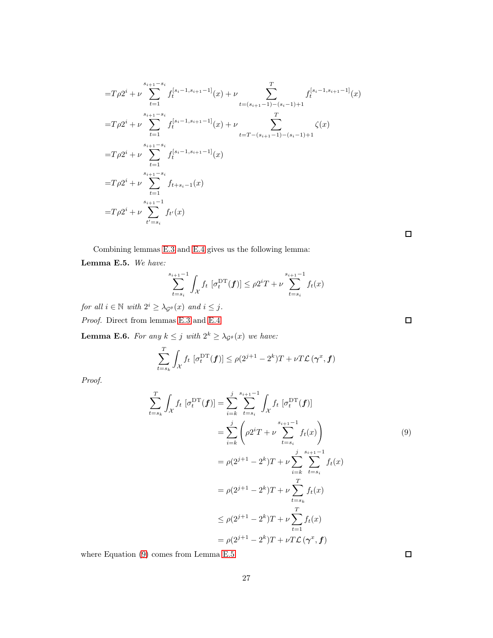$$
=T\rho 2^{i} + \nu \sum_{t=1}^{s_{i+1}-s_{i}} f_{t}^{[s_{i-1},s_{i+1}-1]}(x) + \nu \sum_{t=(s_{i+1}-1)-(s_{i-1})+1}^{T} f_{t}^{[s_{i-1},s_{i+1}-1]}(x)
$$
  
\n
$$
=T\rho 2^{i} + \nu \sum_{t=1}^{s_{i+1}-s_{i}} f_{t}^{[s_{i-1},s_{i+1}-1]}(x) + \nu \sum_{t=T-(s_{i+1}-1)-(s_{i-1})+1}^{T} \zeta(x)
$$
  
\n
$$
=T\rho 2^{i} + \nu \sum_{t=1}^{s_{i+1}-s_{i}} f_{t}^{[s_{i-1},s_{i+1}-1]}(x)
$$
  
\n
$$
=T\rho 2^{i} + \nu \sum_{t=1}^{s_{i+1}-s_{i}} f_{t+s_{i-1}}(x)
$$
  
\n
$$
=T\rho 2^{i} + \nu \sum_{t'=s_{i}}^{s_{i+1}-1} f_{t'}(x)
$$

Combining lemmas [E.3](#page-24-0) and [E.4](#page-25-1) gives us the following lemma:

#### <span id="page-26-1"></span>Lemma E.5. *We have:*

$$
\sum_{t=s_i}^{s_{i+1}-1} \int_{\mathcal{X}} f_t \, [\sigma_t^{\mathrm{DT}}(\boldsymbol{f})] \le \rho 2^i T + \nu \sum_{t=s_i}^{s_{i+1}-1} f_t(x)
$$

*for all*  $i \in \mathbb{N}$  *with*  $2^{i} \geq \lambda_{\mathcal{G}^{\theta}}(x)$  *and*  $i \leq j$ *.* 

*Proof.* Direct from lemmas [E.3](#page-24-0) and [E.4](#page-25-1)

<span id="page-26-2"></span>**Lemma E.6.** For any  $k \leq j$  with  $2^k \geq \lambda_{\mathcal{G}^\theta}(x)$  we have:

$$
\sum_{t=s_k}^{T} \int_{\mathcal{X}} f_t \, \left[ \sigma_t^{\mathrm{DT}}(\boldsymbol{f}) \right] \leq \rho(2^{j+1} - 2^k) T + \nu T \mathcal{L}(\boldsymbol{\gamma}^x, \boldsymbol{f})
$$

*Proof.*

$$
\sum_{t=s_k}^{T} \int_{\mathcal{X}} f_t \left[ \sigma_t^{\text{DT}}(f) \right] = \sum_{i=k}^{j} \sum_{t=s_i}^{s_{i+1}-1} \int_{\mathcal{X}} f_t \left[ \sigma_t^{\text{DT}}(f) \right]
$$
\n
$$
= \sum_{i=k}^{j} \left( \rho 2^i T + \nu \sum_{t=s_i}^{s_{i+1}-1} f_t(x) \right) \tag{9}
$$
\n
$$
= \rho (2^{j+1} - 2^k) T + \nu \sum_{i=k}^{j} \sum_{t=s_i}^{s_{i+1}-1} f_t(x)
$$
\n
$$
= \rho (2^{j+1} - 2^k) T + \nu \sum_{t=s_k}^{T} f_t(x)
$$
\n
$$
\leq \rho (2^{j+1} - 2^k) T + \nu \sum_{t=1}^{T} f_t(x)
$$
\n
$$
= \rho (2^{j+1} - 2^k) T + \nu T \mathcal{L} (\gamma^x, f)
$$

where Equation [\(9\)](#page-26-0) comes from Lemma [E.5](#page-26-1)

 $\Box$ 

 $\Box$ 

<span id="page-26-0"></span> $\Box$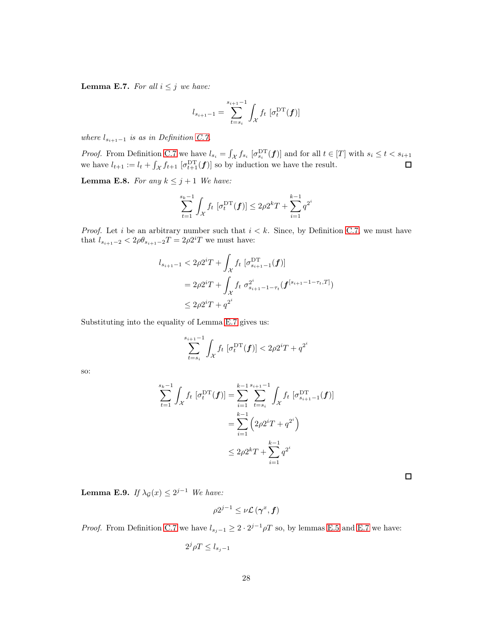<span id="page-27-0"></span>**Lemma E.7.** *For all*  $i \leq j$  *we have:* 

$$
l_{s_{i+1}-1} = \sum_{t=s_i}^{s_{i+1}-1} \int_{\mathcal{X}} f_t \, [\sigma_t^{\mathrm{DT}}(\bm{f})]
$$

*where*  $l_{s_{i+1}-1}$  *is as in Definition [C.7.](#page-16-1)* 

*Proof.* From Definition [C.7](#page-16-1) we have  $l_{s_i} = \int_{\mathcal{X}} f_{s_i} \left[ \sigma_{s_i}^{\text{DT}}(\boldsymbol{f}) \right]$  and for all  $t \in [T]$  with  $s_i \leq t < s_{i+1}$ we have  $l_{t+1} := l_t + \int_{\mathcal{X}} f_{t+1} \left[ \sigma_{t+1}^{\text{DT}}(f) \right]$  so by induction we have the result.

<span id="page-27-1"></span>**Lemma E.8.** For any  $k \leq j+1$  We have:

$$
\sum_{t=1}^{s_k-1} \int_{\mathcal{X}} f_t \, [\sigma_t^{\mathrm{DT}}(\boldsymbol{f})] \le 2\rho 2^k T + \sum_{i=1}^{k-1} q^{2^i}
$$

*Proof.* Let i be an arbitrary number such that  $i < k$ . Since, by Definition [C.7,](#page-16-1) we must have that  $l_{s_{i+1}-2} < 2\rho\theta_{s_{i+1}-2}T = 2\rho 2^{i}T$  we must have:

$$
l_{s_{i+1}-1} < 2\rho 2^{i}T + \int_{\mathcal{X}} f_t \left[ \sigma_{s_{i+1}-1}^{\mathbf{DT}}(\mathbf{f}) \right]
$$
  
=  $2\rho 2^{i}T + \int_{\mathcal{X}} f_t \sigma_{s_{i+1}-1-\tau_t}^{2^{i}}(\mathbf{f}^{[s_{i+1}-1-\tau_t,T]})$   
 $\leq 2\rho 2^{i}T + q^{2^{i}}$ 

Substituting into the equality of Lemma [E.7](#page-27-0) gives us:

$$
\sum_{t=s_i}^{s_{i+1}-1} \int_{\mathcal{X}} f_t \, [\sigma_t^{\mathrm{DT}}(\bm{f})] < 2\rho 2^i T + q^{2^i}
$$

so:

$$
\sum_{t=1}^{s_k-1} \int_{\mathcal{X}} f_t \left[ \sigma_t^{\text{DT}}(f) \right] = \sum_{i=1}^{k-1} \sum_{t=s_i}^{s_{i+1}-1} \int_{\mathcal{X}} f_t \left[ \sigma_{s_{i+1}-1}^{\text{DT}}(f) \right]
$$

$$
= \sum_{i=1}^{k-1} \left( 2\rho 2^i T + q^{2^i} \right)
$$

$$
\leq 2\rho 2^k T + \sum_{i=1}^{k-1} q^{2^i}
$$

 $\Box$ 

<span id="page-27-2"></span>**Lemma E.9.** *If*  $\lambda_{\mathcal{G}}(x) \leq 2^{j-1}$  *We have:* 

$$
\rho 2^{j-1} \leq \nu \mathcal{L} \left( \boldsymbol{\gamma}^x, \boldsymbol{f} \right)
$$

*Proof.* From Definition [C.7](#page-16-1) we have  $l_{s_j-1} \geq 2 \cdot 2^{j-1} \rho T$  so, by lemmas [E.5](#page-26-1) and [E.7](#page-27-0) we have:

$$
2^j \rho T \le l_{s_j-1}
$$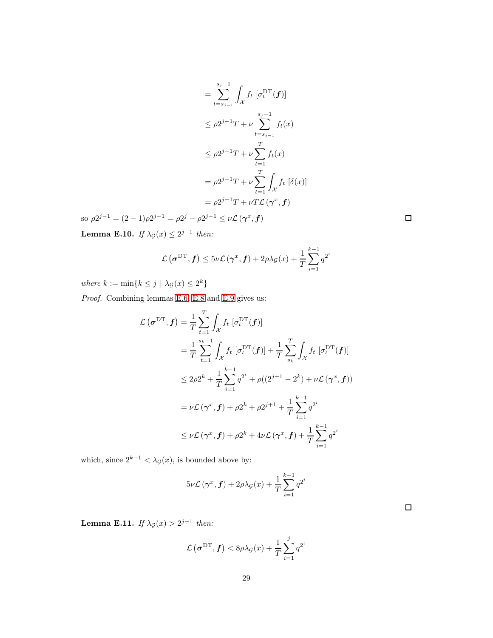$$
= \sum_{t=s_{j-1}}^{s_j-1} \int_{\mathcal{X}} f_t \left[ \sigma_t^{\mathrm{DT}}(f) \right]
$$
  
\n
$$
\leq \rho 2^{j-1} T + \nu \sum_{t=s_{j-1}}^{s_j-1} f_t(x)
$$
  
\n
$$
\leq \rho 2^{j-1} T + \nu \sum_{t=1}^T f_t(x)
$$
  
\n
$$
= \rho 2^{j-1} T + \nu \sum_{t=1}^T \int_{\mathcal{X}} f_t \left[ \delta(x) \right]
$$
  
\n
$$
= \rho 2^{j-1} T + \nu T \mathcal{L}(\gamma^x, f)
$$

so  $\rho 2^{j-1} = (2-1)\rho 2^{j-1} = \rho 2^j - \rho 2^{j-1} \le \nu \mathcal{L}(\gamma^x, \mathbf{f})$ 

<span id="page-28-0"></span>**Lemma E.10.** *If*  $\lambda_{\mathcal{G}}(x) \leq 2^{j-1}$  *then:* 

$$
\mathcal{L}\left(\boldsymbol{\sigma}^{\mathrm{DT}},\boldsymbol{f}\right) \leq 5\nu\mathcal{L}\left(\boldsymbol{\gamma}^{x},\boldsymbol{f}\right) + 2\rho\lambda_{\mathcal{G}}(x) + \frac{1}{T}\sum_{i=1}^{k-1}q^{2^{i}}
$$

*where*  $k := \min\{k \leq j \mid \lambda_{\mathcal{G}}(x) \leq 2^k\}$ 

*Proof.* Combining lemmas [E.6,](#page-26-2) [E.8](#page-27-1) and [E.9](#page-27-2) gives us:

$$
\mathcal{L}(\sigma^{\text{DT}}, \mathbf{f}) = \frac{1}{T} \sum_{t=1}^{T} \int_{\mathcal{X}} f_t \left[ \sigma_t^{\text{DT}}(\mathbf{f}) \right]
$$
  
\n
$$
= \frac{1}{T} \sum_{t=1}^{s_k - 1} \int_{\mathcal{X}} f_t \left[ \sigma_t^{\text{DT}}(\mathbf{f}) \right] + \frac{1}{T} \sum_{s_k}^{T} \int_{\mathcal{X}} f_t \left[ \sigma_t^{\text{DT}}(\mathbf{f}) \right]
$$
  
\n
$$
\leq 2\rho 2^k + \frac{1}{T} \sum_{i=1}^{k-1} q^{2^i} + \rho ((2^{j+1} - 2^k) + \nu \mathcal{L}(\gamma^x, \mathbf{f}))
$$
  
\n
$$
= \nu \mathcal{L}(\gamma^x, \mathbf{f}) + \rho 2^k + \rho 2^{j+1} + \frac{1}{T} \sum_{i=1}^{k-1} q^{2^i}
$$
  
\n
$$
\leq \nu \mathcal{L}(\gamma^x, \mathbf{f}) + \rho 2^k + 4\nu \mathcal{L}(\gamma^x, \mathbf{f}) + \frac{1}{T} \sum_{i=1}^{k-1} q^{2^i}
$$

which, since  $2^{k-1} < \lambda_{\mathcal{G}}(x)$ , is bounded above by:

$$
5\nu\mathcal{L}\left(\boldsymbol{\gamma}^{x},\boldsymbol{f}\right)+2\rho\lambda_{\mathcal{G}}(x)+\frac{1}{T}\sum_{i=1}^{k-1}q^{2^{i}}
$$

<span id="page-28-1"></span>Lemma E.11. *If*  $\lambda_{\mathcal{G}}(x) > 2^{j-1}$  *then:* 

$$
\mathcal{L}\left(\boldsymbol{\sigma}^{\mathrm{DT}},\boldsymbol{f}\right) < 8\rho\lambda_{\mathcal{G}}(x) + \frac{1}{T} \sum_{i=1}^{j} q^{2^{i}}
$$

 $\Box$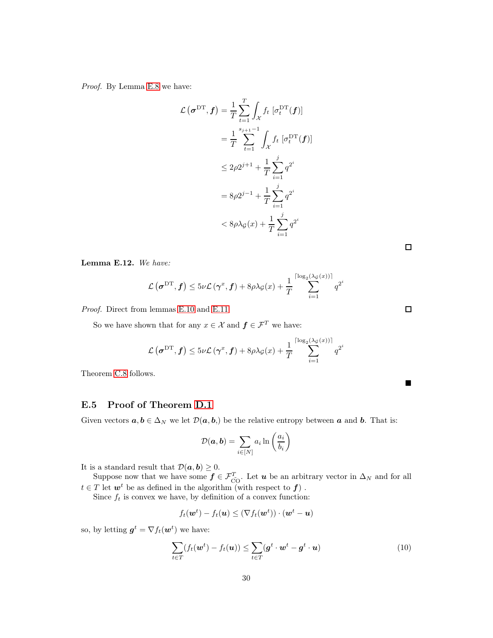*Proof.* By Lemma [E.8](#page-27-1) we have:

$$
\mathcal{L}\left(\boldsymbol{\sigma}^{\mathrm{DT}},\boldsymbol{f}\right) = \frac{1}{T} \sum_{t=1}^{T} \int_{\mathcal{X}} f_t \left[\sigma_t^{\mathrm{DT}}(\boldsymbol{f})\right]
$$
  
\n
$$
= \frac{1}{T} \sum_{t=1}^{s_{j+1}-1} \int_{\mathcal{X}} f_t \left[\sigma_t^{\mathrm{DT}}(\boldsymbol{f})\right]
$$
  
\n
$$
\leq 2\rho 2^{j+1} + \frac{1}{T} \sum_{i=1}^{j} q^{2^i}
$$
  
\n
$$
= 8\rho 2^{j-1} + \frac{1}{T} \sum_{i=1}^{j} q^{2^i}
$$
  
\n
$$
< 8\rho \lambda_{\mathcal{G}}(x) + \frac{1}{T} \sum_{i=1}^{j} q^{2^i}
$$

 $\Box$ 

 $\Box$ 

 $\blacksquare$ 

Lemma E.12. *We have:*

$$
\mathcal{L}\left(\boldsymbol{\sigma}^{\mathrm{DT}},\boldsymbol{f}\right) \leq 5\nu\mathcal{L}\left(\boldsymbol{\gamma}^{x},\boldsymbol{f}\right) + 8\rho\lambda_{\mathcal{G}}(x) + \frac{1}{T}\sum_{i=1}^{\lceil \log_{2}(\lambda_{\mathcal{G}}(x)) \rceil}q^{2^{i}}
$$

*Proof.* Direct from lemmas [E.10](#page-28-0) and [E.11](#page-28-1)

So we have shown that for any  $x \in \mathcal{X}$  and  $f \in \mathcal{F}^T$  we have:

$$
\mathcal{L}\left(\boldsymbol{\sigma}^{\mathrm{DT}},\boldsymbol{f}\right) \leq 5\nu\mathcal{L}\left(\boldsymbol{\gamma}^{x},\boldsymbol{f}\right) + 8\rho\lambda_{\mathcal{G}}(x) + \frac{1}{T}\sum_{i=1}^{\lceil \log_{2}(\lambda_{\mathcal{G}}(x)) \rceil}q^{2^{i}}
$$

Theorem [C.8](#page-16-0) follows.

## E.5 Proof of Theorem [D.1](#page-18-0)

Given vectors  $a, b \in \Delta_N$  we let  $\mathcal{D}(a, b)$  be the relative entropy between a and b. That is:

$$
\mathcal{D}(\boldsymbol{a},\boldsymbol{b})=\sum_{i\in[N]}a_i\ln\left(\frac{a_i}{b_i}\right)
$$

It is a standard result that  $\mathcal{D}(\boldsymbol{a}, \boldsymbol{b}) \geq 0$ .

Suppose now that we have some  $f \in \mathcal{F}_{\text{CO}}^T$ . Let  $u$  be an arbitrary vector in  $\Delta_N$  and for all  $t \in T$  let  $w^t$  be as defined in the algorithm (with respect to  $f$ ).

Since  $f_t$  is convex we have, by definition of a convex function:

<span id="page-29-0"></span>
$$
f_t(\boldsymbol{w}^t) - f_t(\boldsymbol{u}) \leq (\nabla f_t(\boldsymbol{w}^t)) \cdot (\boldsymbol{w}^t - \boldsymbol{u})
$$

so, by letting  $g^t = \nabla f_t(\boldsymbol{w}^t)$  we have:

$$
\sum_{t \in T} (f_t(\boldsymbol{w}^t) - f_t(\boldsymbol{u})) \le \sum_{t \in T} (\boldsymbol{g}^t \cdot \boldsymbol{w}^t - \boldsymbol{g}^t \cdot \boldsymbol{u}) \tag{10}
$$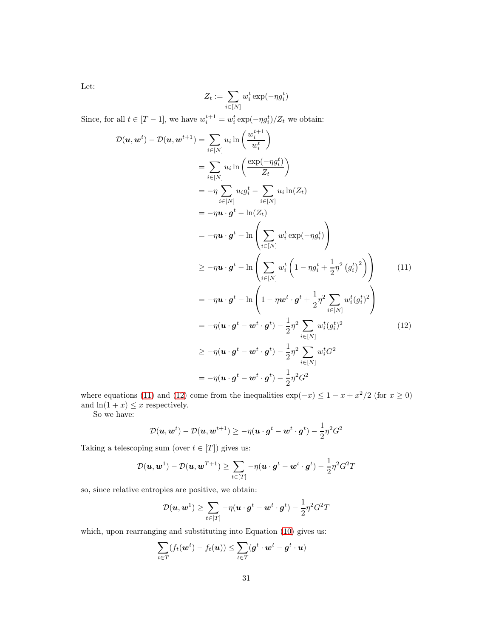Let:

<span id="page-30-0"></span>
$$
Z_t := \sum_{i \in [N]} w_i^t \exp(-\eta g_i^t)
$$

Since, for all  $t \in [T-1]$ , we have  $w_i^{t+1} = w_i^t \exp(-\eta g_i^t)/Z_t$  we obtain:

$$
\mathcal{D}(\mathbf{u}, \mathbf{w}^{t}) - \mathcal{D}(\mathbf{u}, \mathbf{w}^{t+1}) = \sum_{i \in [N]} u_i \ln \left( \frac{w_i^{t+1}}{w_i^t} \right)
$$
  
\n
$$
= \sum_{i \in [N]} u_i \ln \left( \frac{\exp(-\eta g_i^t)}{Z_t} \right)
$$
  
\n
$$
= -\eta \sum_{i \in [N]} u_i g_i^t - \sum_{i \in [N]} u_i \ln(Z_t)
$$
  
\n
$$
= -\eta \mathbf{u} \cdot \mathbf{g}^t - \ln(Z_t)
$$
  
\n
$$
= -\eta \mathbf{u} \cdot \mathbf{g}^t - \ln \left( \sum_{i \in [N]} w_i^t \exp(-\eta g_i^t) \right)
$$
  
\n
$$
\geq -\eta \mathbf{u} \cdot \mathbf{g}^t - \ln \left( \sum_{i \in [N]} w_i^t \left( 1 - \eta g_i^t + \frac{1}{2} \eta^2 (g_i^t)^2 \right) \right)
$$
  
\n
$$
= -\eta \mathbf{u} \cdot \mathbf{g}^t - \ln \left( 1 - \eta \mathbf{w}^t \cdot \mathbf{g}^t + \frac{1}{2} \eta^2 \sum_{i \in [N]} w_i^t (g_i^t)^2 \right)
$$
  
\n
$$
= -\eta (\mathbf{u} \cdot \mathbf{g}^t - \mathbf{w}^t \cdot \mathbf{g}^t) - \frac{1}{2} \eta^2 \sum_{i \in [N]} w_i^t (g_i^t)^2
$$
  
\n
$$
\geq -\eta (\mathbf{u} \cdot \mathbf{g}^t - \mathbf{w}^t \cdot \mathbf{g}^t) - \frac{1}{2} \eta^2 \sum_{i \in [N]} w_i^t G^2
$$
  
\n
$$
= -\eta (\mathbf{u} \cdot \mathbf{g}^t - \mathbf{w}^t \cdot \mathbf{g}^t) - \frac{1}{2} \eta^2 \sum_{i \in [N]} w_i^t G^2
$$
  
\n
$$
= -\eta (\mathbf{u} \cdot \mathbf{g}^t - \mathbf{w}^t \cdot \mathbf{g}^t) - \frac{1}{
$$

where equations [\(11\)](#page-30-0) and [\(12\)](#page-30-1) come from the inequalities  $\exp(-x) \leq 1 - x + x^2/2$  (for  $x \geq 0$ ) and  $\ln(1+x) \leq x$  respectively.

So we have:

<span id="page-30-1"></span>
$$
\mathcal{D}(\boldsymbol{u},\boldsymbol{w}^{t}) - \mathcal{D}(\boldsymbol{u},\boldsymbol{w}^{t+1}) \geq -\eta(\boldsymbol{u}\cdot\boldsymbol{g}^{t} - \boldsymbol{w}^{t}\cdot\boldsymbol{g}^{t}) - \frac{1}{2}\eta^{2}G^{2}
$$

Taking a telescoping sum (over  $t \in [T]$ ) gives us:

$$
\mathcal{D}(\boldsymbol{u}, \boldsymbol{w}^1) - \mathcal{D}(\boldsymbol{u}, \boldsymbol{w}^{T+1}) \ge \sum_{t \in [T]} -\eta(\boldsymbol{u} \cdot \boldsymbol{g}^t - \boldsymbol{w}^t \cdot \boldsymbol{g}^t) - \frac{1}{2}\eta^2 G^2 T
$$

so, since relative entropies are positive, we obtain:

$$
\mathcal{D}(\boldsymbol{u},\boldsymbol{w}^1)\geq \sum_{t\in [T]} -\eta(\boldsymbol{u}\cdot \boldsymbol{g}^t - \boldsymbol{w}^t \cdot \boldsymbol{g}^t) - \frac{1}{2}\eta^2 G^2 T
$$

which, upon rearranging and substituting into Equation [\(10\)](#page-29-0) gives us:

$$
\sum_{t \in T} (f_t(\boldsymbol{w}^t) - f_t(\boldsymbol{u})) \leq \sum_{t \in T} (g^t \cdot \boldsymbol{w}^t - g^t \cdot \boldsymbol{u})
$$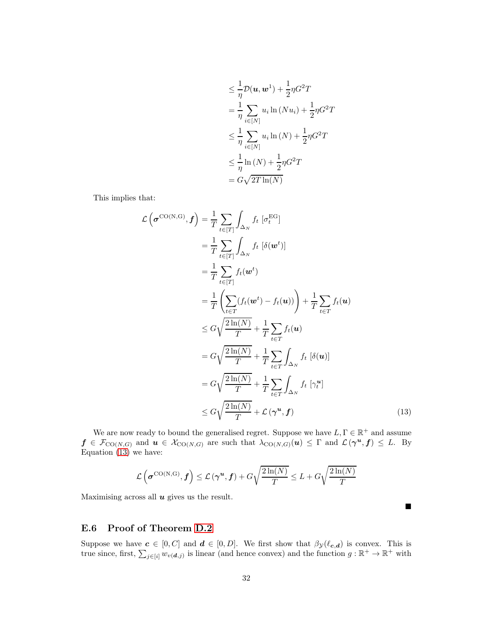$$
\leq \frac{1}{\eta} \mathcal{D}(\mathbf{u}, \mathbf{w}^1) + \frac{1}{2} \eta G^2 T
$$
  
= 
$$
\frac{1}{\eta} \sum_{i \in [N]} u_i \ln(Nu_i) + \frac{1}{2} \eta G^2 T
$$
  

$$
\leq \frac{1}{\eta} \sum_{i \in [N]} u_i \ln(N) + \frac{1}{2} \eta G^2 T
$$
  

$$
\leq \frac{1}{\eta} \ln(N) + \frac{1}{2} \eta G^2 T
$$
  
= 
$$
G \sqrt{2T \ln(N)}
$$

This implies that:

$$
\mathcal{L}\left(\boldsymbol{\sigma}^{\text{CO(N,G)}},\boldsymbol{f}\right) = \frac{1}{T} \sum_{t \in [T]} \int_{\Delta_N} f_t \left[\delta(\boldsymbol{w}^t)\right]
$$
\n
$$
= \frac{1}{T} \sum_{t \in [T]} \int_{\Delta_N} f_t \left[\delta(\boldsymbol{w}^t)\right]
$$
\n
$$
= \frac{1}{T} \sum_{t \in [T]} f_t(\boldsymbol{w}^t)
$$
\n
$$
= \frac{1}{T} \left(\sum_{t \in T} (f_t(\boldsymbol{w}^t) - f_t(\boldsymbol{u}))\right) + \frac{1}{T} \sum_{t \in T} f_t(\boldsymbol{u})
$$
\n
$$
\leq G \sqrt{\frac{2\ln(N)}{T}} + \frac{1}{T} \sum_{t \in T} f_t(\boldsymbol{u})
$$
\n
$$
= G \sqrt{\frac{2\ln(N)}{T}} + \frac{1}{T} \sum_{t \in T} \int_{\Delta_N} f_t \left[\delta(\boldsymbol{u})\right]
$$
\n
$$
= G \sqrt{\frac{2\ln(N)}{T}} + \frac{1}{T} \sum_{t \in T} \int_{\Delta_N} f_t \left[\gamma_t^u\right]
$$
\n
$$
\leq G \sqrt{\frac{2\ln(N)}{T}} + \mathcal{L}\left(\gamma^u, \boldsymbol{f}\right) \tag{13}
$$

We are now ready to bound the generalised regret. Suppose we have  $L, \Gamma \in \mathbb{R}^+$  and assume  $f \in \mathcal{F}_{\text{CO}(N,G)}$  and  $u \in \mathcal{X}_{\text{CO}(N,G)}$  are such that  $\lambda_{\text{CO}(N,G)}(u) \leq \Gamma$  and  $\mathcal{L}(\gamma^u, f) \leq L$ . By Equation  $(13)$  we have:

$$
\mathcal{L}\left(\boldsymbol{\sigma}^{\mathrm{CO}(N,G)},\boldsymbol{f}\right) \leq \mathcal{L}\left(\boldsymbol{\gamma}^{\boldsymbol{u}},\boldsymbol{f}\right) + G\sqrt{\frac{2\ln(N)}{T}} \leq L + G\sqrt{\frac{2\ln(N)}{T}}
$$

<span id="page-31-0"></span> $\blacksquare$ 

Maximising across all  $u$  gives us the result.

### E.6 Proof of Theorem [D.2](#page-18-1)

Suppose we have  $c \in [0, C]$  and  $d \in [0, D]$ . We first show that  $\beta_{\mathcal{Y}}(\ell_{c,d})$  is convex. This is true since, first,  $\sum_{j\in[i]} w_{v(\boldsymbol{d},j)}$  is linear (and hence convex) and the function  $g : \mathbb{R}^+ \to \mathbb{R}^+$  with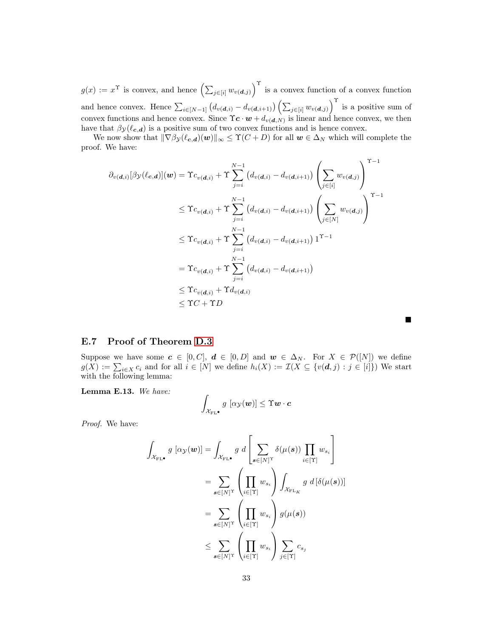$g(x) := x^{\Upsilon}$  is convex, and hence  $\left(\sum_{j \in [i]} w_{v(\boldsymbol{d},j)}\right)^{\Upsilon}$  is a convex function of a convex function and hence convex. Hence  $\sum_{i\in[N-1]} (d_{v(\boldsymbol{d},i)} - d_{v(\boldsymbol{d},i+1)}) (\sum_{j\in[i]} w_{v(\boldsymbol{d},j)})^{\Upsilon}$  is a positive sum of convex functions and hence convex. Since  $\Upsilon c \cdot \boldsymbol{w} + d_{v(\boldsymbol{d},N)}$  is linear and hence convex, we then have that  $\beta y(\ell_{c,d})$  is a positive sum of two convex functions and is hence convex.

We now show that  $\|\nabla \beta_{\mathcal{Y}}(\ell_{c,d})(w)\|_{\infty} \leq \Upsilon(C+D)$  for all  $w \in \Delta_N$  which will complete the proof. We have:

$$
\partial_{v(\boldsymbol{d},i)}[\beta y(\ell_{\boldsymbol{c},\boldsymbol{d}})](\boldsymbol{w}) = \Upsilon c_{v(\boldsymbol{d},i)} + \Upsilon \sum_{j=i}^{N-1} (d_{v(\boldsymbol{d},i)} - d_{v(\boldsymbol{d},i+1)}) \left( \sum_{j \in [i]} w_{v(\boldsymbol{d},j)} \right)^{\Upsilon-1}
$$
\n
$$
\leq \Upsilon c_{v(\boldsymbol{d},i)} + \Upsilon \sum_{j=i}^{N-1} (d_{v(\boldsymbol{d},i)} - d_{v(\boldsymbol{d},i+1)}) \left( \sum_{j \in [N]} w_{v(\boldsymbol{d},j)} \right)^{\Upsilon-1}
$$
\n
$$
\leq \Upsilon c_{v(\boldsymbol{d},i)} + \Upsilon \sum_{j=i}^{N-1} (d_{v(\boldsymbol{d},i)} - d_{v(\boldsymbol{d},i+1)}) \Upsilon^{-1}
$$
\n
$$
= \Upsilon c_{v(\boldsymbol{d},i)} + \Upsilon \sum_{j=i}^{N-1} (d_{v(\boldsymbol{d},i)} - d_{v(\boldsymbol{d},i+1)})
$$
\n
$$
\leq \Upsilon c_{v(\boldsymbol{d},i)} + \Upsilon d_{v(\boldsymbol{d},i)}
$$
\n
$$
\leq \Upsilon C + \Upsilon D
$$

#### E.7 Proof of Theorem [D.3](#page-19-4)

Suppose we have some  $c \in [0, C], d \in [0, D]$  and  $w \in \Delta_N$ . For  $X \in \mathcal{P}([N])$  we define  $g(X) := \sum_{i \in X} c_i$  and for all  $i \in [N]$  we define  $h_i(X) := \mathcal{I}(X \subseteq \{v(\boldsymbol{d},j) : j \in [i]\})$  We start with the following lemma:

 $\blacksquare$ 

<span id="page-32-0"></span>Lemma E.13. *We have:*

$$
\int_{\mathcal{X}_{\mathrm{FL}}\bullet} g \, [\alpha_{\mathcal{Y}}(\boldsymbol{w})] \leq \Upsilon \boldsymbol{w} \cdot \boldsymbol{c}
$$

*Proof.* We have:

$$
\int_{\mathcal{X}_{\mathrm{FL}}}\, g\left[\alpha_{\mathcal{Y}}(\boldsymbol{w})\right] = \int_{\mathcal{X}_{\mathrm{FL}}}\, g\, d\left[\sum_{\boldsymbol{s}\in[N]^{\mathrm{T}}} \delta(\mu(\boldsymbol{s})) \prod_{i\in[\Upsilon]} w_{s_i}\right] \\
= \sum_{\boldsymbol{s}\in[N]^{\mathrm{T}}} \left(\prod_{i\in[\Upsilon]} w_{s_i}\right) \int_{\mathcal{X}_{\mathrm{FL}_K}} g\, d\left[\delta(\mu(\boldsymbol{s}))\right] \\
= \sum_{\boldsymbol{s}\in[N]^{\mathrm{T}}} \left(\prod_{i\in[\Upsilon]} w_{s_i}\right) g(\mu(\boldsymbol{s})) \\
\leq \sum_{\boldsymbol{s}\in[N]^{\mathrm{T}}} \left(\prod_{i\in[\Upsilon]} w_{s_i}\right) \sum_{j\in[\Upsilon]} c_{s_j}
$$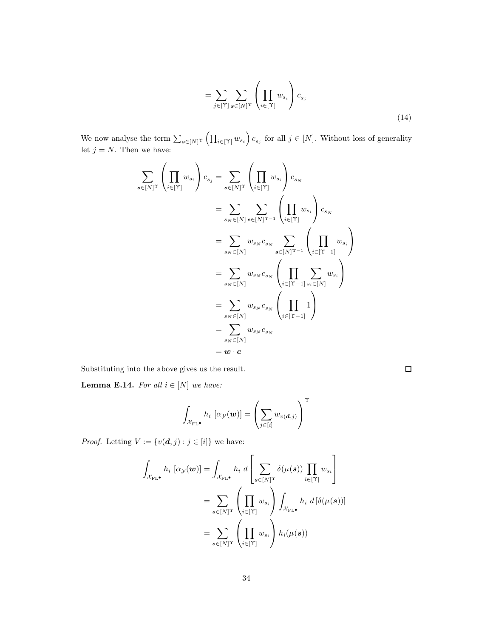$$
= \sum_{j \in [\Upsilon]} \sum_{s \in [N]^{\Upsilon}} \left( \prod_{i \in [\Upsilon]} w_{s_i} \right) c_{s_j} \tag{14}
$$

We now analyse the term  $\sum_{s \in [N]^T} (\prod_{i \in [T]} w_{s_i}) c_{s_j}$  for all  $j \in [N]$ . Without loss of generality let  $j = N$ . Then we have:

$$
\sum_{\mathbf{s}\in[N]^{\mathrm{T}}} \left(\prod_{i\in[\Upsilon]} w_{s_i}\right) c_{s_j} = \sum_{\mathbf{s}\in[N]^{\mathrm{T}}} \left(\prod_{i\in[\Upsilon]} w_{s_i}\right) c_{s_N}
$$
\n
$$
= \sum_{s_N\in[N]} \sum_{\mathbf{s}\in[N]^{\mathrm{T}-1}} \left(\prod_{i\in[\Upsilon]} w_{s_i}\right) c_{s_N}
$$
\n
$$
= \sum_{s_N\in[N]} w_{s_N} c_{s_N} \sum_{\mathbf{s}\in[N]^{\mathrm{T}-1}} \left(\prod_{i\in[\Upsilon-1]} w_{s_i}\right)
$$
\n
$$
= \sum_{s_N\in[N]} w_{s_N} c_{s_N} \left(\prod_{i\in[\Upsilon-1]} \sum_{s_i\in[N]} w_{s_i}\right)
$$
\n
$$
= \sum_{s_N\in[N]} w_{s_N} c_{s_N} \left(\prod_{i\in[\Upsilon-1]} 1\right)
$$
\n
$$
= \sum_{s_N\in[N]} w_{s_N} c_{s_N}
$$
\n
$$
= \mathbf{w} \cdot \mathbf{c}
$$

Substituting into the above gives us the result.

<span id="page-33-0"></span>**Lemma E.14.** For all  $i \in [N]$  we have:

$$
\int_{\mathcal{X}_{\mathrm{FL}}\bullet} h_i\ [\alpha_{\mathcal{Y}}(\boldsymbol{w})] = \left(\sum_{j \in [i]} w_{v(\boldsymbol{d},j)}\right)^{\mathrm{T}}
$$

 $Proof.$  Letting  $V:=\{v(\boldsymbol{d},j):j\in[i]\}$  we have:

$$
\int_{\mathcal{X}_{\mathrm{FL}}\bullet} h_i \, [\alpha \mathbf{y}(\boldsymbol{w})] = \int_{\mathcal{X}_{\mathrm{FL}}\bullet} h_i \, d \left[ \sum_{\boldsymbol{s} \in [N]^{\mathrm{T}}} \delta(\mu(\boldsymbol{s})) \prod_{i \in [T]} w_{s_i} \right]
$$
\n
$$
= \sum_{\boldsymbol{s} \in [N]^{\mathrm{T}}} \left( \prod_{i \in [T]} w_{s_i} \right) \int_{\mathcal{X}_{\mathrm{FL}}\bullet} h_i \, d \left[ \delta(\mu(\boldsymbol{s})) \right]
$$
\n
$$
= \sum_{\boldsymbol{s} \in [N]^{\mathrm{T}}} \left( \prod_{i \in [T]} w_{s_i} \right) h_i(\mu(\boldsymbol{s}))
$$

 $\Box$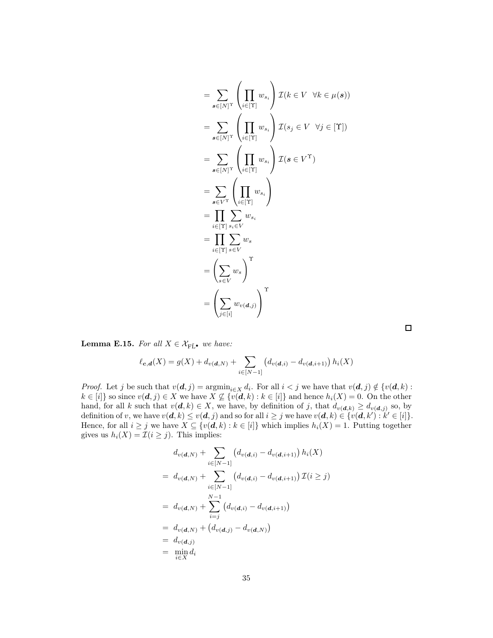$$
= \sum_{\mathbf{s}\in[N]^{\Upsilon}} \left( \prod_{i\in[T]} w_{s_i} \right) \mathcal{I}(k \in V \quad \forall k \in \mu(\mathbf{s}))
$$
  
\n
$$
= \sum_{\mathbf{s}\in[N]^{\Upsilon}} \left( \prod_{i\in[T]} w_{s_i} \right) \mathcal{I}(s_j \in V \quad \forall j \in [Y])
$$
  
\n
$$
= \sum_{\mathbf{s}\in[N]^{\Upsilon}} \left( \prod_{i\in[T]} w_{s_i} \right) \mathcal{I}(\mathbf{s} \in V^{\Upsilon})
$$
  
\n
$$
= \sum_{\mathbf{s}\in V^{\Upsilon}} \left( \prod_{i\in[T]} w_{s_i} \right)
$$
  
\n
$$
= \prod_{i\in[T]} \sum_{s\in V} w_{s_i}
$$
  
\n
$$
= \prod_{i\in[T]} \sum_{s\in V} w_{s}
$$
  
\n
$$
= \left( \sum_{s\in V} w_{s} \right)^{\Upsilon}
$$
  
\n
$$
= \left( \sum_{j\in[i]} w_{v(\mathbf{d},j)} \right)^{\Upsilon}
$$

<span id="page-34-0"></span>**Lemma E.15.** *For all*  $X \in \mathcal{X}_{\tilde{FL}}$  *we have:* 

$$
\ell_{\mathbf{c},\mathbf{d}}(X) = g(X) + d_{v(\mathbf{d},N)} + \sum_{i \in [N-1]} \left( d_{v(\mathbf{d},i)} - d_{v(\mathbf{d},i+1)} \right) h_i(X)
$$

*Proof.* Let j be such that  $v(\mathbf{d}, j) = \operatorname{argmin}_{i \in X} d_i$ . For all  $i < j$  we have that  $v(\mathbf{d}, j) \notin \{v(\mathbf{d}, k) :$  $k \in [i]$  so since  $v(\boldsymbol{d}, j) \in X$  we have  $X \nsubseteq \{v(\boldsymbol{d}, k) : k \in [i]\}$  and hence  $h_i(X) = 0$ . On the other hand, for all k such that  $v(d, k) \in X$ , we have, by definition of j, that  $d_{v(d, k)} \ge d_{v(d, j)}$  so, by definition of v, we have  $v(\boldsymbol{d},k) \leq v(\boldsymbol{d},j)$  and so for all  $i \geq j$  we have  $v(\boldsymbol{d},k) \in \{v(\boldsymbol{d},k'): k' \in [i]\}.$ Hence, for all  $i \geq j$  we have  $X \subseteq \{v(\boldsymbol{d},k) : k \in [i]\}$  which implies  $h_i(X) = 1$ . Putting together gives us  $h_i(X) = \mathcal{I}(i \geq j)$ . This implies:

$$
d_{v(\boldsymbol{d},N)} + \sum_{i \in [N-1]} (d_{v(\boldsymbol{d},i)} - d_{v(\boldsymbol{d},i+1)}) h_i(X)
$$
  
=  $d_{v(\boldsymbol{d},N)} + \sum_{i \in [N-1]} (d_{v(\boldsymbol{d},i)} - d_{v(\boldsymbol{d},i+1)}) \mathcal{I}(i \geq j)$   
=  $d_{v(\boldsymbol{d},N)} + \sum_{i=j}^{N-1} (d_{v(\boldsymbol{d},i)} - d_{v(\boldsymbol{d},i+1)})$   
=  $d_{v(\boldsymbol{d},N)} + (d_{v(\boldsymbol{d},j)} - d_{v(\boldsymbol{d},N)})$   
=  $d_{v(\boldsymbol{d},j)}$   
=  $\min_{i \in X} d_i$ 

 $\Box$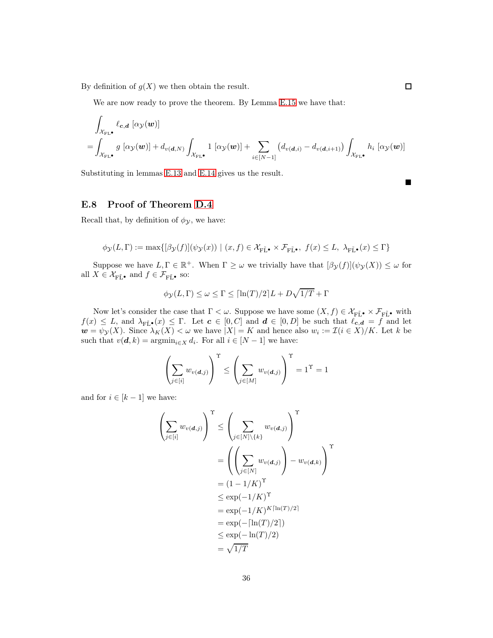By definition of  $g(X)$  we then obtain the result.

We are now ready to prove the theorem. By Lemma [E.15](#page-34-0) we have that:

$$
\int_{\mathcal{X}_{\text{FL•}}} \ell_{\mathbf{c},\mathbf{d}} \left[ \alpha_{\mathcal{Y}}(\mathbf{w}) \right]
$$
\n
$$
= \int_{\mathcal{X}_{\text{FL•}}} g \left[ \alpha_{\mathcal{Y}}(\mathbf{w}) \right] + d_{v(\mathbf{d},N)} \int_{\mathcal{X}_{\text{FL•}}} 1 \left[ \alpha_{\mathcal{Y}}(\mathbf{w}) \right] + \sum_{i \in [N-1]} \left( d_{v(\mathbf{d},i)} - d_{v(\mathbf{d},i+1)} \right) \int_{\mathcal{X}_{\text{FL•}}} h_i \left[ \alpha_{\mathcal{Y}}(\mathbf{w}) \right]
$$

п

 $\Box$ 

Substituting in lemmas [E.13](#page-32-0) and [E.14](#page-33-0) gives us the result.

### E.8 Proof of Theorem [D.4](#page-19-0)

Recall that, by definition of  $\phi_{\mathcal{Y}}$ , we have:

$$
\phi_{\mathcal{Y}}(L,\Gamma):=\max\{[\beta_{\mathcal{Y}}(f)](\psi_{\mathcal{Y}}(x))\,\,|\,\,(x,f)\in\mathcal{X}_{\mathrm{F}\tilde{\mathrm{L}}^{\bullet}}\times\mathcal{F}_{\mathrm{F}\tilde{\mathrm{L}}^{\bullet}},\,\,f(x)\leq L,\,\,\lambda_{\mathrm{F}\tilde{\mathrm{L}}^{\bullet}}(x)\leq\Gamma\}
$$

Suppose we have  $L, \Gamma \in \mathbb{R}^+$ . When  $\Gamma \geq \omega$  we trivially have that  $[\beta_{\mathcal{Y}}(f)](\psi_{\mathcal{Y}}(X)) \leq \omega$  for all  $X \in \mathcal{X}_{\mathbf{F}\tilde{\mathbf{L}}^{\bullet}}$  and  $f \in \mathcal{F}_{\mathbf{F}\tilde{\mathbf{L}}^{\bullet}}$  so:

$$
\phi_{\mathcal{Y}}(L,\Gamma) \le \omega \le \Gamma \le \lceil \ln(T)/2 \rceil L + D\sqrt{1/T} + \Gamma
$$

Now let's consider the case that  $\Gamma < \omega$ . Suppose we have some  $(X, f) \in \mathcal{X}_{\mathbf{F}\tilde{\mathbf{L}}}\bullet \times \mathcal{F}_{\mathbf{F}\tilde{\mathbf{L}}}\bullet$  with  $f(x) \leq L$ , and  $\lambda_{\widetilde{\mathrm{FL}}\bullet}(x) \leq \Gamma$ . Let  $\mathbf{c} \in [0, C]$  and  $\mathbf{d} \in [0, D]$  be such that  $\ell_{\mathbf{c}, \mathbf{d}} = f$  and let  $w = \psi_{\mathcal{Y}}(X)$ . Since  $\lambda_K(X) < \omega$  we have  $|X| = K$  and hence also  $w_i := \mathcal{I}(i \in X)/K$ . Let k be such that  $v(\boldsymbol{d}, k) = \operatorname{argmin}_{i \in X} d_i$ . For all  $i \in [N - 1]$  we have:

$$
\left(\sum_{j\in[i]}w_{v(\boldsymbol{d},j)}\right)^{\mathrm{T}}\leq\left(\sum_{j\in[M]}w_{v(\boldsymbol{d},j)}\right)^{\mathrm{T}}=1^{\mathrm{T}}=1
$$

and for  $i \in [k-1]$  we have:

$$
\left(\sum_{j\in[i]} w_{v(\boldsymbol{d},j)}\right)^{\mathrm{T}} \leq \left(\sum_{j\in[N]\backslash\{k\}} w_{v(\boldsymbol{d},j)}\right)^{\mathrm{T}}
$$

$$
= \left(\left(\sum_{j\in[N]} w_{v(\boldsymbol{d},j)}\right) - w_{v(\boldsymbol{d},k)}\right)^{\mathrm{T}}
$$

$$
= (1 - 1/K)^{\mathrm{T}}
$$

$$
\leq \exp(-1/K)^{\mathrm{T}}
$$

$$
= \exp(-1/K)^{K[\ln(T)/2]}
$$

$$
= \exp(-[\ln(T)/2])
$$

$$
\leq \exp(-\ln(T)/2)
$$

$$
= \sqrt{1/T}
$$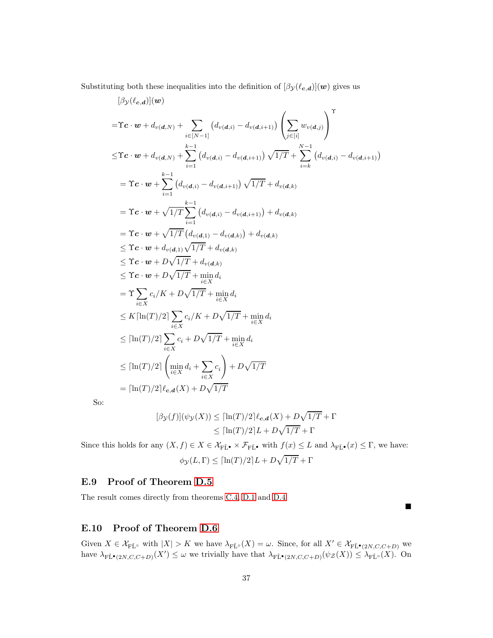Substituting both these inequalities into the definition of  $[\beta_{\mathcal{Y}}(\ell_{c,d})](w)$  gives us

$$
[\beta y(\ell_{c,d})](w)
$$
  
=
$$
\Upsilon c \cdot w + d_{v(d,N)} + \sum_{i \in [N-1]} (d_{v(d,i)} - d_{v(d,i+1)}) \left( \sum_{j \in [i]} w_{v(d,j)} \right)^{\Upsilon}
$$
  

$$
\leq \Upsilon c \cdot w + d_{v(d,N)} + \sum_{i=1}^{k-1} (d_{v(d,i)} - d_{v(d,i+1)}) \sqrt{1/T} + \sum_{i=k}^{N-1} (d_{v(d,i)} - d_{v(d,i+1)})
$$
  
=
$$
\Upsilon c \cdot w + \sum_{i=1}^{k-1} (d_{v(d,i)} - d_{v(d,i+1)}) \sqrt{1/T} + d_{v(d,k)}
$$
  
=
$$
\Upsilon c \cdot w + \sqrt{1/T} \sum_{i=1}^{k-1} (d_{v(d,i)} - d_{v(d,i+1)}) + d_{v(d,k)}
$$
  
=
$$
\Upsilon c \cdot w + \sqrt{1/T} (d_{v(d,1)} - d_{v(d,k)}) + d_{v(d,k)}
$$
  

$$
\leq \Upsilon c \cdot w + d_{v(d,1)} \sqrt{1/T} + d_{v(d,k)}
$$
  

$$
\leq \Upsilon c \cdot w + D \sqrt{1/T} + \min_{i \in X} d_i
$$
  
=
$$
\Upsilon \sum_{i \in X} c_i/K + D \sqrt{1/T} + \min_{i \in X} d_i
$$
  

$$
\leq \lceil \ln(T)/2 \rceil \sum_{i \in X} c_i/K + D \sqrt{1/T} + \min_{i \in X} d_i
$$
  

$$
\leq \lceil \ln(T)/2 \rceil \left( \min_{i \in X} d_i + \sum_{i \in X} c_i \right) + D \sqrt{1/T}
$$
  
=
$$
\lceil \ln(T)/2 \rceil \ell_{c,d}(X) + D \sqrt{1/T}
$$

So:

$$
[\beta_{\mathcal{Y}}(f)](\psi_{\mathcal{Y}}(X)) \leq [\ln(T)/2] \ell_{c,d}(X) + D\sqrt{1/T} + \Gamma
$$
  

$$
\leq [\ln(T)/2]L + D\sqrt{1/T} + \Gamma
$$

Since this holds for any  $(X, f) \in X \in \mathcal{X}_{\mathbf{F}\tilde{\mathbf{L}}^{\bullet}} \times \mathcal{F}_{\mathbf{F}\tilde{\mathbf{L}}^{\bullet}}$  with  $f(x) \leq L$  and  $\lambda_{\mathbf{F}\tilde{\mathbf{L}}^{\bullet}}(x) \leq \Gamma$ , we have:  $\phi_{\mathcal{Y}}(L,\Gamma) \leq \left[ \ln(T)/2 \right] L + D\sqrt{1/T} + \Gamma$ 

#### E.9 Proof of Theorem [D.5](#page-19-1)

The result comes directly from theorems [C.4,](#page-15-1) [D.1](#page-18-0) and [D.4](#page-19-0)

### E.10 Proof of Theorem [D.6](#page-19-5)

Given  $X \in \mathcal{X}_{\mathbf{F}\tilde{\mathbf{L}}^{\circ}}$  with  $|X| > K$  we have  $\lambda_{\mathbf{F}\tilde{\mathbf{L}}^{\circ}}(X) = \omega$ . Since, for all  $X' \in \mathcal{X}_{\mathbf{F}\tilde{\mathbf{L}}^{\bullet}(2N,C,C+D)}$  we have  $\lambda_{\widetilde{\mathrm{FL}}^\bullet(2N,C,C+D)}(X') \leq \omega$  we trivially have that  $\lambda_{\widetilde{\mathrm{FL}}^\bullet(2N,C,C+D)}(\psi_{\mathcal{Z}}(X)) \leq \lambda_{\widetilde{\mathrm{FL}}^\circ}(X)$ . On

 $\blacksquare$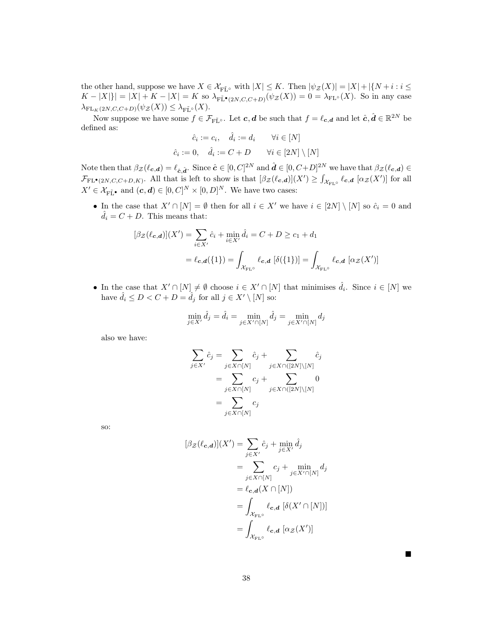the other hand, suppose we have  $X \in \mathcal{X}_{\mathrm{F\tilde{L}}^{\circ}}$  with  $|X| \leq K$ . Then  $|\psi_{\mathcal{Z}}(X)| = |X| + |\{N + i : i \leq k\}|$  $K - |X| = |X| + K - |X| = K$  so  $\lambda_{\text{F\tilde{L}\bullet}(2N,C,C+D)}(\psi_{\mathcal{Z}}(X)) = 0 = \lambda_{\text{FL}^{\circ}}(X)$ . So in any case  $\lambda_{\mathrm{FL}_K(2N,C,C+D)}(\psi_{\mathcal{Z}}(X)) \leq \lambda_{\mathrm{F\tilde{L}}^\circ}(X).$ 

Now suppose we have some  $f \in \mathcal{F}_{\tilde{\mathrm{FL}}^{\circ}}$ . Let  $\boldsymbol{c}, \boldsymbol{d}$  be such that  $f = \ell_{\boldsymbol{c}, \boldsymbol{d}}$  and let  $\hat{\boldsymbol{c}}, \hat{\boldsymbol{d}} \in \mathbb{R}^{2N}$  be defined as:

$$
\hat{c}_i := c_i, \quad \hat{d}_i := d_i \qquad \forall i \in [N]
$$

$$
\hat{c}_i := 0, \quad \hat{d}_i := C + D \qquad \forall i \in [2N] \setminus [N]
$$

Note then that  $\beta_{\mathcal{Z}}(\ell_{\mathbf{c},\mathbf{d}}) = \ell_{\hat{\mathbf{c}},\hat{\mathbf{d}}}.$  Since  $\hat{\mathbf{c}} \in [0,C]^{2N}$  and  $\hat{\mathbf{d}} \in [0,C+D]^{2N}$  we have that  $\beta_{\mathcal{Z}}(\ell_{\mathbf{c},\mathbf{d}}) \in$  $\mathcal{F}_{\text{FL}^{\bullet}(2N,C,C+D,K)}$ . All that is left to show is that  $[\beta_{\mathcal{Z}}(\ell_{c,d})](X') \geq \int_{\mathcal{X}_{\text{FL}^{\circ}}} \ell_{c,d} [\alpha_{\mathcal{Z}}(X')]$  for all  $X' \in \mathcal{X}_{\mathbf{F}\tilde{\mathbf{L}}^{\bullet}}$  and  $(\mathbf{c}, \mathbf{d}) \in [0, C]^N \times [0, D]^N$ . We have two cases:

• In the case that  $X' \cap [N] = \emptyset$  then for all  $i \in X'$  we have  $i \in [2N] \setminus [N]$  so  $\hat{c}_i = 0$  and  $d_i = C + D$ . This means that:

$$
[\beta_{\mathcal{Z}}(\ell_{\mathbf{c},\mathbf{d}})](X') = \sum_{i \in X'} \hat{c}_i + \min_{i \in X'} \hat{d}_i = C + D \ge c_1 + d_1
$$

$$
= \ell_{\mathbf{c},\mathbf{d}}(\{1\}) = \int_{\mathcal{X}_{\text{FL}^\circ}} \ell_{\mathbf{c},\mathbf{d}} [\delta(\{1\})] = \int_{\mathcal{X}_{\text{FL}^\circ}} \ell_{\mathbf{c},\mathbf{d}} [\alpha_{\mathcal{Z}}(X')]
$$

• In the case that  $X' \cap [N] \neq \emptyset$  choose  $i \in X' \cap [N]$  that minimises  $\hat{d}_i$ . Since  $i \in [N]$  we have  $\hat{d}_i \leq D < C + D = \hat{d}_j$  for all  $j \in X' \setminus [N]$  so:

$$
\min_{j \in X'} \hat{d}_j = \hat{d}_i = \min_{j \in X' \cap [N]} \hat{d}_j = \min_{j \in X' \cap [N]} d_j
$$

also we have:

$$
\sum_{j \in X'} \hat{c}_j = \sum_{j \in X \cap [N]} \hat{c}_j + \sum_{j \in X \cap ([2N] \setminus [N]} \hat{c}_j
$$
\n
$$
= \sum_{j \in X \cap [N]} c_j + \sum_{j \in X \cap ([2N] \setminus [N]} 0
$$
\n
$$
= \sum_{j \in X \cap [N]} c_j
$$

so:

$$
[\beta_{\mathcal{Z}}(\ell_{\mathbf{c},\mathbf{d}})](X') = \sum_{j \in X'} \hat{c}_j + \min_{j \in X'} \hat{d}_j
$$
  
\n
$$
= \sum_{j \in X \cap [N]} c_j + \min_{j \in X' \cap [N]} d_j
$$
  
\n
$$
= \ell_{\mathbf{c},\mathbf{d}}(X \cap [N])
$$
  
\n
$$
= \int_{\mathcal{X}_{\text{FL}^{\circ}}} \ell_{\mathbf{c},\mathbf{d}} \left[ \delta(X' \cap [N]) \right]
$$
  
\n
$$
= \int_{\mathcal{X}_{\text{FL}^{\circ}}} \ell_{\mathbf{c},\mathbf{d}} \left[ \alpha_{\mathcal{Z}}(X') \right]
$$

 $\blacksquare$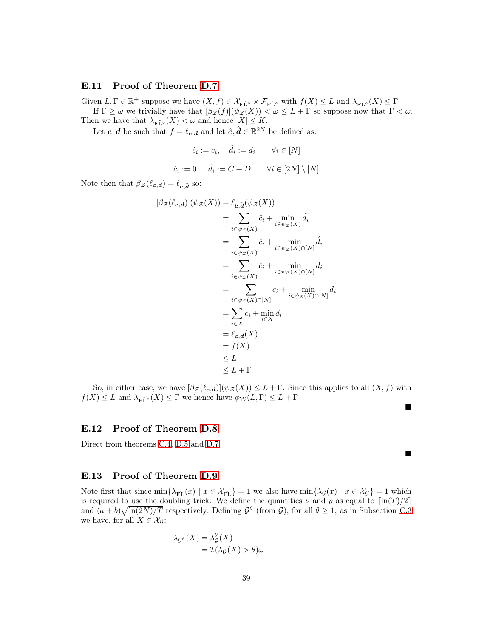### E.11 Proof of Theorem [D.7](#page-19-2)

Given  $L, \Gamma \in \mathbb{R}^+$  suppose we have  $(X, f) \in \mathcal{X}_{\mathbf{F}\tilde{\mathbf{L}}^\circ} \times \mathcal{F}_{\mathbf{F}\tilde{\mathbf{L}}^\circ}$  with  $f(X) \leq L$  and  $\lambda_{\mathbf{F}\tilde{\mathbf{L}}^\circ}(X) \leq \Gamma$ If  $\Gamma \geq \omega$  we trivially have that  $[\beta_{\mathcal{Z}}(f)](\psi_{\mathcal{Z}}(X)) < \omega \leq L + \Gamma$  so suppose now that  $\Gamma < \omega$ . Then we have that  $\lambda_{\widetilde{\mathrm{FL}}^{\circ}}(X) < \omega$  and hence  $|X| \leq K$ .

Let  $c, d$  be such that  $f = \ell_{c,d}$  and let  $\hat{c}, \hat{d} \in \mathbb{R}^{2N}$  be defined as:

$$
\hat{c}_i := c_i, \quad \hat{d}_i := d_i \qquad \forall i \in [N]
$$
  

$$
\hat{c}_i := 0, \quad \hat{d}_i := C + D \qquad \forall i \in [2N] \setminus [N]
$$

Note then that  $\beta_{\mathcal{Z}}(\ell_{c,d}) = \ell_{\hat{c},\hat{d}}$  so:

$$
\begin{aligned}\n[\beta_{\mathcal{Z}}(\ell_{\mathbf{c},\mathbf{d}})](\psi_{\mathcal{Z}}(X)) &= \ell_{\hat{\mathbf{c}},\hat{\mathbf{d}}}(\psi_{\mathcal{Z}}(X)) \\
&= \sum_{i \in \psi_{\mathcal{Z}}(X)} \hat{c}_i + \min_{i \in \psi_{\mathcal{Z}}(X)} \hat{d}_i \\
&= \sum_{i \in \psi_{\mathcal{Z}}(X)} \hat{c}_i + \min_{i \in \psi_{\mathcal{Z}}(X) \cap [N]} \hat{d}_i \\
&= \sum_{i \in \psi_{\mathcal{Z}}(X)} \hat{c}_i + \min_{i \in \psi_{\mathcal{Z}}(X) \cap [N]} d_i \\
&= \sum_{i \in \psi_{\mathcal{Z}}(X) \cap [N]} c_i + \min_{i \in \psi_{\mathcal{Z}}(X) \cap [N]} d_i \\
&= \sum_{i \in X} c_i + \min_{i \in X} d_i \\
&= \ell_{\mathbf{c},\mathbf{d}}(X) \\
&= f(X) \\
&\leq L \\
&\leq L + \Gamma\n\end{aligned}
$$

So, in either case, we have  $[\beta_{\mathcal{Z}}(\ell_{c,d})](\psi_{\mathcal{Z}}(X)) \leq L + \Gamma$ . Since this applies to all  $(X, f)$  with  $f(X) \leq L$  and  $\lambda_{\widetilde{\mathrm{FL}}^{\circ}}(X) \leq \Gamma$  we hence have  $\phi_{\mathcal{W}}(L, \Gamma) \leq L + \Gamma$ 

п

 $\blacksquare$ 

#### E.12 Proof of Theorem [D.8](#page-19-3)

Direct from theorems [C.4,](#page-15-1) [D.5](#page-19-1) and [D.7](#page-19-2)

## E.13 Proof of Theorem [D.9](#page-20-2)

Note first that since  $\min\{\lambda_{\tilde{FI}}(x) \mid x \in \mathcal{X}_{\tilde{FI}}\} = 1$  we also have  $\min\{\lambda_{\mathcal{G}}(x) \mid x \in \mathcal{X}_{\mathcal{G}}\} = 1$  which is required to use the doubling trick. We define the quantities  $\nu$  and  $\rho$  as equal to  $\lceil \ln(T)/2 \rceil$ and  $(a + b)\sqrt{\ln(2N)/T}$  respectively. Defining  $\mathcal{G}^{\theta}$  (from  $\mathcal{G}$ ), for all  $\theta \geq 1$ , as in Subsection [C.3](#page-15-0) we have, for all  $X \in \mathcal{X}_G$ :

$$
\lambda_{\mathcal{G}^{\theta}}(X) = \lambda_{\mathcal{G}}^{\theta}(X)
$$

$$
= \mathcal{I}(\lambda_{\mathcal{G}}(X) > \theta)\omega
$$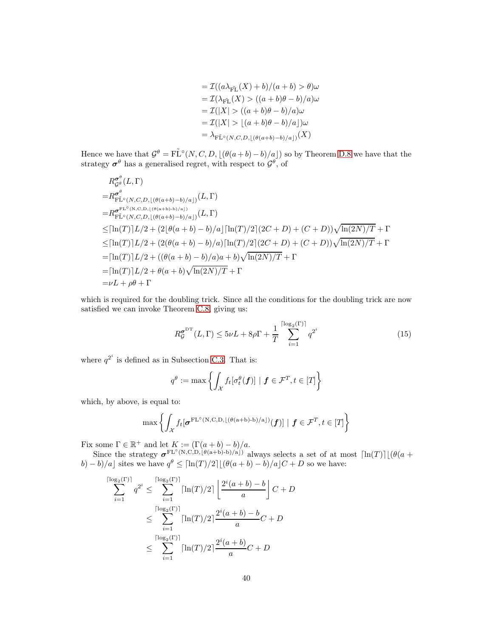$$
= \mathcal{I}((a\lambda_{\tilde{\text{FL}}}(X) + b)/(a + b) > \theta)\omega
$$
  
\n
$$
= \mathcal{I}(\lambda_{\tilde{\text{FL}}}(X) > ((a + b)\theta - b)/a)\omega
$$
  
\n
$$
= \mathcal{I}(|X| > ((a + b)\theta - b)/a)\omega
$$
  
\n
$$
= \mathcal{I}(|X| > [(a + b)\theta - b)/a])\omega
$$
  
\n
$$
= \lambda_{\tilde{\text{FL}}^{\circ}(N,C,D, [(\theta(a+b)-b)/a])}(X)
$$

Hence we have that  $\mathcal{G}^{\theta} = \tilde{\text{FL}}^{\circ}(N, C, D, \lfloor (\theta(a+b)-b)/a \rfloor)$  so by Theorem [D.8](#page-19-3) we have that the strategy  $\sigma^{\theta}$  has a generalised regret, with respect to  $\mathcal{G}^{\theta}$ , of

$$
R_{\mathcal{G}^{\theta}}^{\sigma^{\theta}}(L, \Gamma)
$$
\n
$$
= R_{\mathcal{F}\tilde{\mathcal{L}}^{\circ}(N,C,D,\lfloor(\theta(a+b)-b)/a\rfloor)}^{\sigma^{\theta}}(L, \Gamma)
$$
\n
$$
= R_{\mathcal{F}\tilde{\mathcal{L}}^{\circ}(N,C,D,\lfloor(\theta(a+b)-b)/a\rfloor)}^{\sigma^{\mathcal{F}\mathcal{L}^{\circ}}(N,C,D,\lfloor(\theta(a+b)-b)/a\rfloor)}(L, \Gamma)
$$
\n
$$
\leq [\ln(T)]L/2 + (2[\theta(a+b)-b)/a][\ln(T)/2](2C+D) + (C+D))\sqrt{\ln(2N)/T} + \Gamma
$$
\n
$$
\leq [\ln(T)]L/2 + (2(\theta(a+b)-b)/a)[\ln(T)/2](2C+D) + (C+D))\sqrt{\ln(2N)/T} + \Gamma
$$
\n
$$
= [\ln(T)]L/2 + ((\theta(a+b)-b)/a)a + b)\sqrt{\ln(2N)/T} + \Gamma
$$
\n
$$
= [\ln(T)]L/2 + \theta(a+b)\sqrt{\ln(2N)/T} + \Gamma
$$
\n
$$
= \nu L + \rho\theta + \Gamma
$$

which is required for the doubling trick. Since all the conditions for the doubling trick are now satisfied we can invoke Theorem [C.8,](#page-16-0) giving us:

<span id="page-39-0"></span>
$$
R_{\mathcal{G}}^{\sigma^{\mathrm{DT}}}(L,\Gamma) \le 5\nu L + 8\rho \Gamma + \frac{1}{T} \sum_{i=1}^{\lceil \log_2(\Gamma) \rceil} q^{2^i}
$$
 (15)

where  $q^{2^i}$  is defined as in Subsection [C.3.](#page-15-0) That is:

$$
q^{\theta} := \max \left\{ \int_{\mathcal{X}} f_t[\sigma_t^{\theta}(\mathbf{f})] \mid \mathbf{f} \in \mathcal{F}^T, t \in [T] \right\}
$$

which, by above, is equal to:

θ

$$
\max \left\{ \int_{\mathcal{X}} f_t[\boldsymbol{\sigma}^{\mathrm{FL}^{\circ}(\mathrm{N},\mathrm{C},\mathrm{D},\lfloor(\theta(\mathrm{a}+\mathrm{b})\cdot\mathrm{b})/\mathrm{a}\rfloor)}(\boldsymbol{f})] \mid \boldsymbol{f} \in \mathcal{F}^T, t \in [T] \right\}
$$

Fix some  $\Gamma \in \mathbb{R}^+$  and let  $K := (\Gamma(a+b) - b)/a$ .

Since the strategy  $\sigma^{\text{FL}^{\circ}(N,C,D)}\ell^{(a+b)-b)/a(j)}$  always selects a set of at most  $\lceil \ln(T) \rceil \lfloor (\theta(a+b)-b)/a(j) \rfloor \}$ b) – b)/a] sites we have  $q^{\theta} \leq \lceil \ln(T)/2 \rceil \lfloor (\theta(a+b) - b)/a \rfloor C + D$  so we have:

$$
\sum_{i=1}^{\lceil \log_2(\Gamma) \rceil} q^{2^i} \le \sum_{i=1}^{\lceil \log_2(\Gamma) \rceil} \lceil \ln(T)/2 \rceil \left\lfloor \frac{2^i(a+b)-b}{a} \right\rfloor C + D
$$
  

$$
\le \sum_{i=1}^{\lceil \log_2(\Gamma) \rceil} \lceil \ln(T)/2 \rceil \frac{2^i(a+b)-b}{a} C + D
$$
  

$$
\le \sum_{i=1}^{\lceil \log_2(\Gamma) \rceil} \lceil \ln(T)/2 \rceil \frac{2^i(a+b)}{a} C + D
$$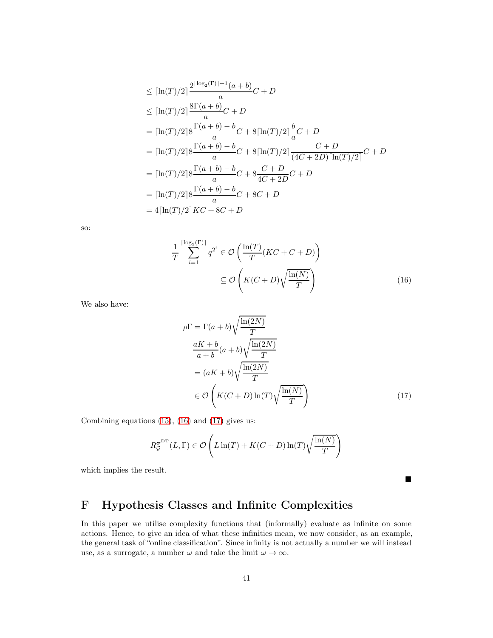$$
\leq [\ln(T)/2] \frac{2^{\lceil \log_2(T) \rceil + 1} (a+b)}{a} C + D
$$
  
\n
$$
\leq [\ln(T)/2] \frac{8\Gamma(a+b)}{a} C + D
$$
  
\n
$$
= [\ln(T)/2] 8 \frac{\Gamma(a+b) - b}{a} C + 8[\ln(T)/2] \frac{b}{a} C + D
$$
  
\n
$$
= [\ln(T)/2] 8 \frac{\Gamma(a+b) - b}{a} C + 8[\ln(T)/2] \frac{C + D}{(4C + 2D)[\ln(T)/2]} C + D
$$
  
\n
$$
= [\ln(T)/2] 8 \frac{\Gamma(a+b) - b}{a} C + 8 \frac{C + D}{4C + 2D} C + D
$$
  
\n
$$
= [\ln(T)/2] 8 \frac{\Gamma(a+b) - b}{a} C + 8C + D
$$
  
\n
$$
= 4[\ln(T)/2] K C + 8C + D
$$

so:

$$
\frac{1}{T} \sum_{i=1}^{\lceil \log_2(\Gamma) \rceil} q^{2^i} \in \mathcal{O}\left(\frac{\ln(T)}{T} (KC + C + D)\right)
$$
\n
$$
\subseteq \mathcal{O}\left(K(C+D)\sqrt{\frac{\ln(N)}{T}}\right) \tag{16}
$$

We also have:

$$
\rho \Gamma = \Gamma(a+b) \sqrt{\frac{\ln(2N)}{T}}
$$
  
\n
$$
\frac{aK+b}{a+b}(a+b) \sqrt{\frac{\ln(2N)}{T}}
$$
  
\n
$$
= (aK+b) \sqrt{\frac{\ln(2N)}{T}}
$$
  
\n
$$
\in \mathcal{O}\left(K(C+D)\ln(T)\sqrt{\frac{\ln(N)}{T}}\right)
$$
\n(17)

<span id="page-40-2"></span><span id="page-40-1"></span> $\blacksquare$ 

Combining equations  $(15)$ ,  $(16)$  and  $(17)$  gives us:

$$
R_{\mathcal{G}}^{\sigma^{\mathrm{DT}}}(L,\Gamma) \in \mathcal{O}\left(L\ln(T) + K(C+D)\ln(T)\sqrt{\frac{\ln(N)}{T}}\right)
$$

which implies the result.

# <span id="page-40-0"></span>F Hypothesis Classes and Infinite Complexities

In this paper we utilise complexity functions that (informally) evaluate as infinite on some actions. Hence, to give an idea of what these infinities mean, we now consider, as an example, the general task of "online classification". Since infinity is not actually a number we will instead use, as a surrogate, a number  $\omega$  and take the limit  $\omega \to \infty$ .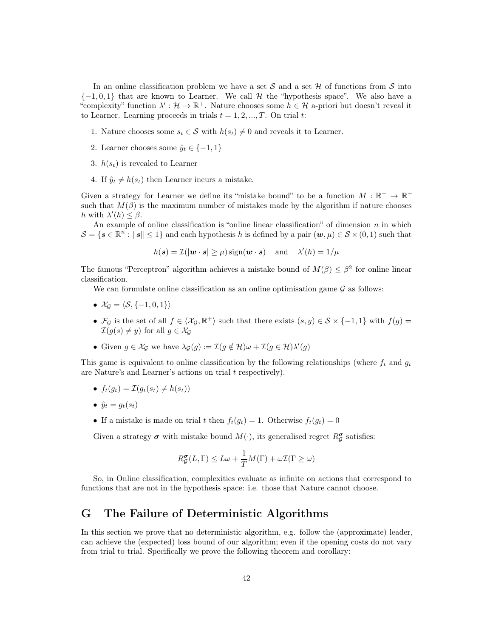In an online classification problem we have a set S and a set  $\mathcal H$  of functions from S into  $\{-1,0,1\}$  that are known to Learner. We call H the "hypothesis space". We also have a "complexity" function  $\lambda': \mathcal{H} \to \mathbb{R}^+$ . Nature chooses some  $h \in \mathcal{H}$  a-priori but doesn't reveal it to Learner. Learning proceeds in trials  $t = 1, 2, ..., T$ . On trial t:

- 1. Nature chooses some  $s_t \in \mathcal{S}$  with  $h(s_t) \neq 0$  and reveals it to Learner.
- 2. Learner chooses some  $\hat{y}_t \in \{-1, 1\}$
- 3.  $h(s_t)$  is revealed to Learner
- 4. If  $\hat{y}_t \neq h(s_t)$  then Learner incurs a mistake.

Given a strategy for Learner we define its "mistake bound" to be a function  $M : \mathbb{R}^+ \to \mathbb{R}^+$ such that  $M(\beta)$  is the maximum number of mistakes made by the algorithm if nature chooses h with  $\lambda'(h) \leq \beta$ .

An example of online classification is "online linear classification" of dimension  $n$  in which  $S = \{ s \in \mathbb{R}^n : ||s|| \leq 1 \}$  and each hypothesis h is defined by a pair  $(w, \mu) \in S \times (0, 1)$  such that

$$
h(\mathbf{s}) = \mathcal{I}(|\mathbf{w} \cdot \mathbf{s}| \ge \mu) \operatorname{sign}(\mathbf{w} \cdot \mathbf{s})
$$
 and  $\lambda'(h) = 1/\mu$ 

The famous "Perceptron" algorithm achieves a mistake bound of  $M(\beta) \leq \beta^2$  for online linear classification.

We can formulate online classification as an online optimisation game  $\mathcal G$  as follows:

- $\mathcal{X}_G = \langle \mathcal{S}, \{-1, 0, 1\}\rangle$
- $\mathcal{F}_{\mathcal{G}}$  is the set of all  $f \in \langle \mathcal{X}_{\mathcal{G}}, \mathbb{R}^+ \rangle$  such that there exists  $(s, y) \in \mathcal{S} \times \{-1, 1\}$  with  $f(g) =$  $\mathcal{I}(g(s) \neq y)$  for all  $g \in \mathcal{X}_{\mathcal{G}}$
- Given  $g \in \mathcal{X}_{\mathcal{G}}$  we have  $\lambda_{\mathcal{G}}(g) := \mathcal{I}(g \notin \mathcal{H})\omega + \mathcal{I}(g \in \mathcal{H})\lambda'(g)$

This game is equivalent to online classification by the following relationships (where  $f_t$  and  $g_t$ are Nature's and Learner's actions on trial t respectively).

• 
$$
f_t(g_t) = \mathcal{I}(g_t(s_t) \neq h(s_t))
$$

- $\hat{y}_t = g_t(s_t)$
- If a mistake is made on trial t then  $f_t(g_t) = 1$ . Otherwise  $f_t(g_t) = 0$

Given a strategy  $\sigma$  with mistake bound  $M(\cdot)$ , its generalised regret  $R^{\sigma}_{\mathcal{G}}$  satisfies:

$$
R_{\mathcal{G}}^{\sigma}(L,\Gamma) \leq L\omega + \frac{1}{T}M(\Gamma) + \omega \mathcal{I}(\Gamma \geq \omega)
$$

So, in Online classification, complexities evaluate as infinite on actions that correspond to functions that are not in the hypothesis space: i.e. those that Nature cannot choose.

## <span id="page-41-0"></span>G The Failure of Deterministic Algorithms

In this section we prove that no deterministic algorithm, e.g. follow the (approximate) leader, can achieve the (expected) loss bound of our algorithm; even if the opening costs do not vary from trial to trial. Specifically we prove the following theorem and corollary: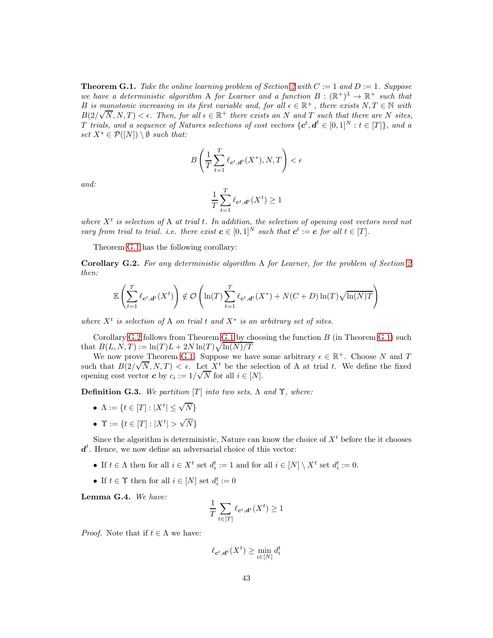<span id="page-42-0"></span>**Theorem G.1.** Take the online learning problem of Section [2](#page-4-0) with  $C := 1$  and  $D := 1$ . Suppose *we have a deterministic algorithm* A *for Learner and a function*  $B: (\mathbb{R}^+)^3 \to \mathbb{R}^+$  *such that* B is monotonic increasing in its first variable and, for all  $\epsilon \in \mathbb{R}^+$ , there exists  $N, T \in \mathbb{N}$  with  $B(2/\sqrt{N}, N, T) < \epsilon$ . Then, for all  $\epsilon \in \mathbb{R}^+$  there exists an N and T such that there are N sites, T *trials, and a sequence of Natures selections of cost vectors*  $\{c^t, d^t \in [0,1]^N : t \in [T]\}$ *, and a set*  $X^* \in \mathcal{P}([N]) \setminus \emptyset$  *such that:* 

$$
B\left(\frac{1}{T}\sum_{t=1}^T \ell_{\mathbf{c}^t, \mathbf{d}^t}(X^*), N, T\right) < \epsilon
$$

*and:*

$$
\frac{1}{T} \sum_{t=1}^{T} \ell_{\mathbf{c}^t, \mathbf{d}^t}(X^t) \ge 1
$$

where  $X<sup>t</sup>$  is selection of A at trial t. In addition, the selection of opening cost vectors need not *vary from trial to trial. i.e. there exist*  $c \in [0,1]^N$  *such that*  $c^t := c$  *for all*  $t \in [T]$ *.* 

Theorem [G.1](#page-42-0) has the following corollary:

<span id="page-42-1"></span>Corollary G.2. *For any deterministic algorithm* A *for Learner, for the problem of Section [2](#page-4-0) then:*

$$
\mathbb{E}\left(\sum_{t=1}^T \ell_{\boldsymbol{c}^t,\boldsymbol{d}^t}(X^t)\right) \notin \mathcal{O}\left(\ln(T) \sum_{t=1}^T \ell_{\boldsymbol{c}^t,\boldsymbol{d}^t}(X^*) + N(C+D)\ln(T)\sqrt{\ln(N)T}\right)
$$

 $where X<sup>t</sup> is selection of A on trial t and X<sup>*</sup> is an arbitrary set of sites.$ 

Corollary [G.2](#page-42-1) follows from Theorem [G.1](#page-42-0) by choosing the function  $B$  (in Theorem [G.1\)](#page-42-0) such that  $B(L, N, T) := \ln(T) L + 2N \ln(T) \sqrt{\ln(N)/T}$ 

We now prove Theorem [G.1.](#page-42-0) Suppose we have some arbitrary  $\epsilon \in \mathbb{R}^+$ . Choose N and T such that  $B(2/\sqrt{N}, N, T) < \epsilon$ . Let X<sup>t</sup> be the selection of A at trial t. We define the fixed opening cost vector **c** by  $c_i := 1/\sqrt{N}$  for all  $i \in [N]$ .

**Definition G.3.** We partition [T] into two sets,  $\Lambda$  and  $\Upsilon$ , where:

- $\Lambda := \{ t \in [T] : |X^t| \le \sqrt{N} \}$
- $\Upsilon := \{t \in [T] : |X^t| > \sqrt{N}\}\$

Since the algorithm is deterministic, Nature can know the choice of  $X<sup>t</sup>$  before the it chooses  $d<sup>t</sup>$ . Hence, we now define an adversarial choice of this vector:

- If  $t \in \Lambda$  then for all  $i \in X^t$  set  $d_i^t := 1$  and for all  $i \in [N] \setminus X^t$  set  $d_i^t := 0$ .
- If  $t \in \Upsilon$  then for all  $i \in [N]$  set  $d_i^t := 0$

<span id="page-42-2"></span>Lemma G.4. *We have:*

$$
\frac{1}{T} \sum_{t \in [T]} \ell_{\mathbf{c}^t, \mathbf{d}^t}(X^t) \ge 1
$$

*Proof.* Note that if  $t \in \Lambda$  we have:

$$
\ell_{\mathbf{c}^t, \mathbf{d}^t}(X^t) \ge \min_{i \in [N]} d_i^t
$$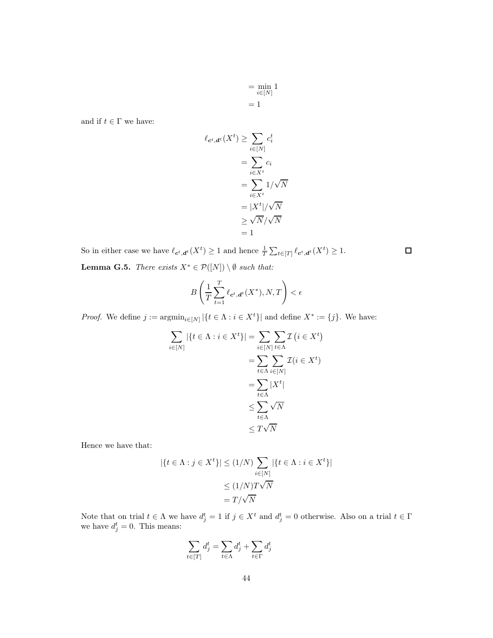$$
= \min_{i \in [N]} 1
$$

$$
= 1
$$

and if  $t\in \Gamma$  we have:

$$
\ell_{\mathbf{c}^t, \mathbf{d}^t}(X^t) \ge \sum_{i \in [N]} c_i^t
$$

$$
= \sum_{i \in X^t} c_i
$$

$$
= \sum_{i \in X^t} 1/\sqrt{N}
$$

$$
= |X^t|/\sqrt{N}
$$

$$
\ge \sqrt{N}/\sqrt{N}
$$

$$
= 1
$$

 $\Box$ 

<span id="page-43-0"></span>So in either case we have  $\ell_{\mathbf{c}^t, \mathbf{d}^t}(X^t) \geq 1$  and hence  $\frac{1}{T} \sum_{t \in [T]} \ell_{\mathbf{c}^t, \mathbf{d}^t}(X^t) \geq 1$ . **Lemma G.5.** *There exists*  $X^* \in \mathcal{P}([N]) \setminus \emptyset$  *such that:* 

$$
B\left(\frac{1}{T}\sum_{t=1}^T \ell_{\mathbf{c}^t, \mathbf{d}^t}(X^*), N, T\right) < \epsilon
$$

*Proof.* We define  $j := \operatorname{argmin}_{i \in [N]} |\{t \in \Lambda : i \in X^t\}|$  and define  $X^* := \{j\}$ . We have:

$$
\sum_{i \in [N]} |\{t \in \Lambda : i \in X^t\}| = \sum_{i \in [N]} \sum_{t \in \Lambda} \mathcal{I}(i \in X^t)
$$

$$
= \sum_{t \in \Lambda} \sum_{i \in [N]} \mathcal{I}(i \in X^t)
$$

$$
= \sum_{t \in \Lambda} |\overline{X}^t|
$$

$$
\leq \sum_{t \in \Lambda} |\overline{X}^t|
$$

$$
\leq T\sqrt{N}
$$

Hence we have that:

$$
|\{t \in \Lambda : j \in X^t\}| \le (1/N) \sum_{i \in [N]} |\{t \in \Lambda : i \in X^t\}|
$$
  

$$
\le (1/N)T\sqrt{N}
$$
  

$$
= T/\sqrt{N}
$$

Note that on trial  $t \in \Lambda$  we have  $d_j^t = 1$  if  $j \in X^t$  and  $d_j^t = 0$  otherwise. Also on a trial  $t \in \Gamma$ we have  $d_j^t = 0$ . This means:

$$
\sum_{t \in [T]} d_j^t = \sum_{t \in \Lambda} d_j^t + \sum_{t \in \Gamma} d_j^t
$$